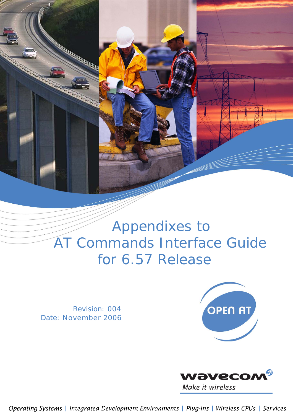

 Revision: 004 Date: November 2006





Operating Systems | Integrated Development Environments | Plug-Ins | Wireless CPUs | Services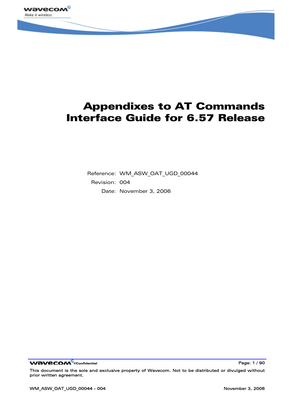

Reference: WM\_ASW\_OAT\_UGD\_00044 Revision: 004 Date: November 3, 2006

WƏVECOM<sup>S</sup>confidential **Page: 1** / 90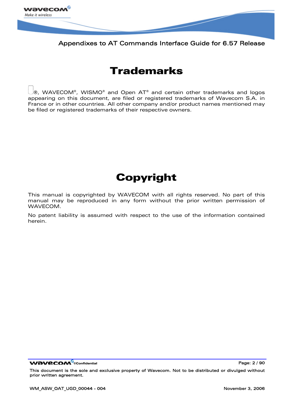

# Trademarks

 $| \circledast$ , WAVECOM®, WISMO® and Open AT® and certain other trademarks and logos appearing on this document, are filed or registered trademarks of Wavecom S.A. in France or in other countries. All other company and/or product names mentioned may be filed or registered trademarks of their respective owners.

# Copyright

This manual is copyrighted by WAVECOM with all rights reserved. No part of this manual may be reproduced in any form without the prior written permission of WAVECOM.

No patent liability is assumed with respect to the use of the information contained herein.

WƏVECOM<sup>S</sup> econfidential **Page: 2** / 90

This document is the sole and exclusive property of Wavecom. Not to be distributed or divulged without prior written agreement.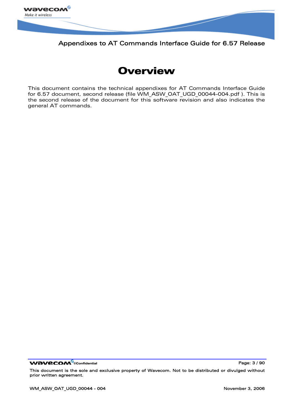



This document contains the technical appendixes for AT Commands Interface Guide for 6.57 document, second release (file WM\_ASW\_OAT\_UGD\_00044-004.pdf ). This is the second release of the document for this software revision and also indicates the general AT commands.

WƏVECOM<sup>S</sup>confidential **Page: 3** / 90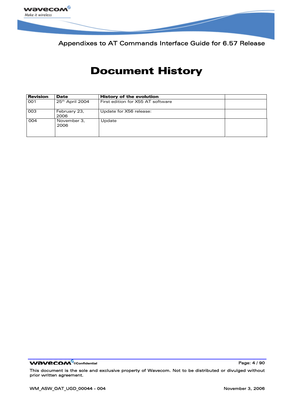

# Document History

| <b>Revision</b> | <b>Date</b>          | <b>History of the evolution</b>   |  |
|-----------------|----------------------|-----------------------------------|--|
| 001             | $25th$ April 2004    | First edition for X55 AT software |  |
| 003             | February 23,<br>2006 | Update for X56 release:           |  |
| 004             | November 3,<br>2006  | Update                            |  |

WƏVECOM<sup>®</sup>cconfidential **Page: 4** / 90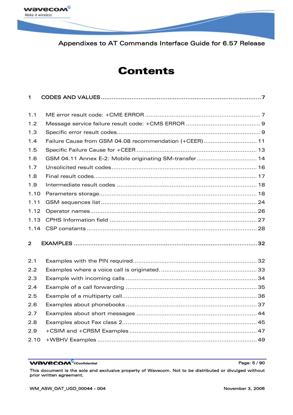

# **Contents**

| $\mathbf 1$    |                                                        |
|----------------|--------------------------------------------------------|
| 1.1            |                                                        |
| 1.2            |                                                        |
| 1.3            |                                                        |
| 1.4            | Failure Cause from GSM 04.08 recommendation (+CEER) 11 |
| 1.5            |                                                        |
| 1.6            | GSM 04.11 Annex E-2: Mobile originating SM-transfer 14 |
| 1.7            |                                                        |
| 1.8            |                                                        |
| 1.9            |                                                        |
| 1.10           |                                                        |
| 1.11           |                                                        |
| 1.12           |                                                        |
| 1.13           |                                                        |
| 1.14           |                                                        |
| $\overline{2}$ |                                                        |
| 2.1            |                                                        |
| 2.2            |                                                        |
| 2.3            |                                                        |
| 2.4            |                                                        |
| 2.5            |                                                        |
| 2.6            |                                                        |
| 2.7            |                                                        |
| 2.8            |                                                        |
| 2.9            |                                                        |
| 2.10           |                                                        |

WƏVECOM<sup>®</sup>cconfidential **Page: 5** / 90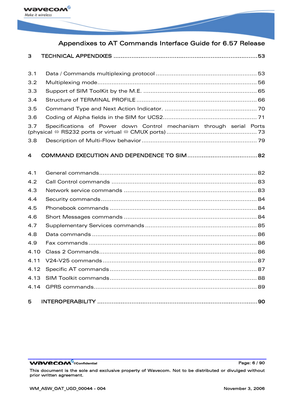

| 3    |                                                                     |  |
|------|---------------------------------------------------------------------|--|
| 3.1  |                                                                     |  |
| 3.2  |                                                                     |  |
| 3.3  |                                                                     |  |
| 3.4  |                                                                     |  |
| 3.5  |                                                                     |  |
| 3.6  |                                                                     |  |
| 3.7  | Specifications of Power down Control mechanism through serial Ports |  |
| 3.8  |                                                                     |  |
| 4    |                                                                     |  |
| 4.1  |                                                                     |  |
| 4.2  |                                                                     |  |
| 4.3  |                                                                     |  |
| 4.4  |                                                                     |  |
| 4.5  |                                                                     |  |
| 4.6  |                                                                     |  |
| 4.7  |                                                                     |  |
| 4.8  |                                                                     |  |
| 4.9  |                                                                     |  |
| 4.10 |                                                                     |  |
| 4.11 |                                                                     |  |
| 4.12 |                                                                     |  |
| 4.13 |                                                                     |  |
| 4.14 |                                                                     |  |
| 5    |                                                                     |  |

WƏVECOM<sup>®</sup>cconfidential example of the example of the Page: 6 / 90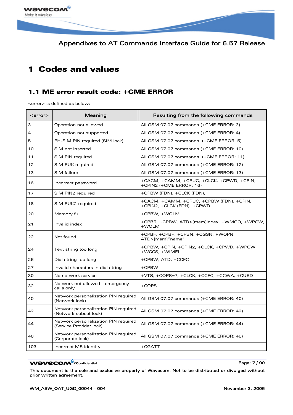<span id="page-7-0"></span>

## 1 Codes and values

### 1.1 ME error result code: +CME ERROR

<error> is defined as below:

| <error></error> | Meaning                                                         | Resulting from the following commands                                  |
|-----------------|-----------------------------------------------------------------|------------------------------------------------------------------------|
| 3               | Operation not allowed                                           | All GSM 07.07 commands (+CME ERROR: 3)                                 |
| 4               | Operation not supported                                         | All GSM 07.07 commands (+CME ERROR: 4)                                 |
| 5               | PH-SIM PIN required (SIM lock)                                  | All GSM 07.07 commands (+CME ERROR: 5)                                 |
| 10              | SIM not inserted                                                | All GSM 07.07 commands (+CME ERROR: 10)                                |
| 11              | SIM PIN required                                                | All GSM 07.07 commands (+CME ERROR: 11)                                |
| 12              | SIM PUK required                                                | All GSM 07.07 commands (+CME ERROR: 12)                                |
| 13              | SIM failure                                                     | All GSM 07.07 commands (+CME ERROR: 13)                                |
| 16              | Incorrect password                                              | +CACM, +CAMM, +CPUC, +CLCK, +CPWD, +CPIN,<br>+CPIN2 (+CME ERROR: 16)   |
| 17              | SIM PIN2 required                                               | +CPBW (FDN), +CLCK (FDN),                                              |
| 18              | SIM PUK2 required                                               | +CACM, +CAMM, +CPUC, +CPBW (FDN), +CPIN,<br>+CPIN2, +CLCK (FDN), +CPWD |
| 20              | Memory full                                                     | +CPBW, +WOLM                                                           |
| 21              | Invalid index                                                   | +CPBR, +CPBW, ATD>[mem]index, +WMGO, +WPGW,<br>+WOLM                   |
| 22              | Not found                                                       | +CPBF, +CPBP, +CPBN, +CGSN, +WOPN,<br>ATD>[mem]"name"                  |
| 24              | Text string too long                                            | +CPBW, +CPIN, +CPIN2, +CLCK, +CPWD, +WPGW,<br>+WCCS, +WIMEI            |
| 26              | Dial string too long                                            | +CPBW, ATD, +CCFC                                                      |
| 27              | Invalid characters in dial string                               | $+$ CPBW                                                               |
| 30              | No network service                                              | +VTS, +COPS=?, +CLCK, +CCFC, +CCWA, +CUSD                              |
| 32              | Network not allowed - emergency<br>calls only                   | $+COPS$                                                                |
| 40              | Network personalization PIN required<br>(Network lock)          | All GSM 07.07 commands (+CME ERROR: 40)                                |
| 42              | Network personalization PIN required<br>(Network subset lock)   | All GSM 07.07 commands (+CME ERROR: 42)                                |
| 44              | Network personalization PIN required<br>(Service Provider lock) | All GSM 07.07 commands (+CME ERROR: 44)                                |
| 46              | Network personalization PIN required<br>(Corporate lock)        | All GSM 07.07 commands (+CME ERROR: 46)                                |
| 103             | Incorrect MS identity.                                          | $+CGATT$                                                               |

#### WƏVECOM<sup>®</sup>cconfidential **Page: 7/90**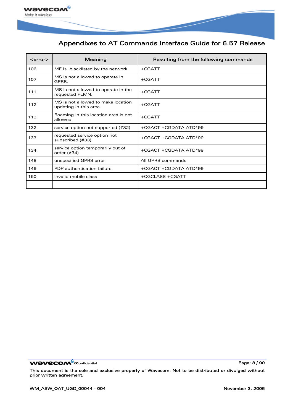

| <error></error> | Meaning                                                      | Resulting from the following commands |
|-----------------|--------------------------------------------------------------|---------------------------------------|
| 106             | ME is blacklisted by the network.                            | $+CGATT$                              |
| 107             | MS is not allowed to operate in<br>GPRS.                     | $+CGATT$                              |
| 111             | MS is not allowed to operate in the<br>requested PLMN.       | $+CGATT$                              |
| 112             | MS is not allowed to make location<br>updating in this area. | +CGATT                                |
| 113             | Roaming in this location area is not<br>allowed.             | $+CGATT$                              |
| 132             | service option not supported (#32)                           | +CGACT +CGDATA ATD*99                 |
| 133             | requested service option not<br>subscribed (#33)             | +CGACT +CGDATA ATD*99                 |
| 134             | service option temporarily out of<br>order (#34)             | +CGACT +CGDATA ATD*99                 |
| 148             | unspecified GPRS error                                       | All GPRS commands                     |
| 149             | PDP authentication failure                                   | +CGACT +CGDATA ATD*99                 |
| 150             | invalid mobile class                                         | +CGCLASS +CGATT                       |
|                 |                                                              |                                       |

WƏVECOM<sup>®</sup>cconfidential example of the example of the Page: 8 / 90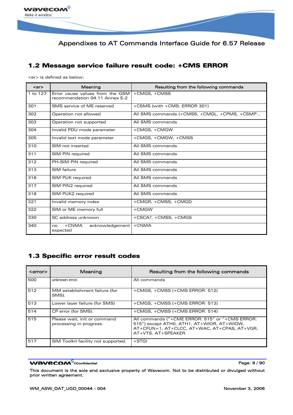<span id="page-9-0"></span>

### 1.2 Message service failure result code: +CMS ERROR

<er> is defined as below:

| $er$     | Meaning                                                           | Resulting from the following commands        |
|----------|-------------------------------------------------------------------|----------------------------------------------|
| 1 to 127 | Error cause values from the GSM<br>recommendation 04.11 Annex E-2 | +CMGS, +CMSS                                 |
| 301      | SMS service of ME reserved                                        | +CSMS (with +CMS: ERROR 301)                 |
| 302      | Operation not allowed                                             | All SMS commands (+CMSS, +CMGL, +CPMS, +CSMP |
| 303      | Operation not supported                                           | All SMS commands                             |
| 304      | Invalid PDU mode parameter                                        | +CMGS, +CMGW                                 |
| 305      | Invalid text mode parameter                                       | +CMGS, +CMGW, +CMSS                          |
| 310      | SIM not inserted                                                  | All SMS commands                             |
| 311      | SIM PIN required                                                  | All SMS commands                             |
| 312      | PH-SIM PIN required                                               | All SMS commands                             |
| 313      | SIM failure                                                       | All SMS commands                             |
| 316      | SIM PUK required                                                  | All SMS commands                             |
| 317      | SIM PIN2 required                                                 | All SMS commands                             |
| 318      | SIM PUK2 required                                                 | All SMS commands                             |
| 321      | Invalid memory index                                              | +CMGR, +CMSS, +CMGD                          |
| 322      | SIM or ME memory full                                             | +CMGW                                        |
| 330      | SC address unknown                                                | +CSCA?, +CMSS, +CMGS                         |
| 340      | $+CNMA$<br>acknowledgement<br>no<br>expected                      | $+CNMA$                                      |

### 1.3 Specific error result codes

| <error></error> | Meaning                                                 | Resulting from the following commands                                                                                                                                |
|-----------------|---------------------------------------------------------|----------------------------------------------------------------------------------------------------------------------------------------------------------------------|
| 500             | unknown error.                                          | All commands                                                                                                                                                         |
| 512             | MM establishment failure (for<br>SMS).                  | +CMGS, +CMSS (+CMS ERROR: 512)                                                                                                                                       |
| 513             | Lower layer failure (for SMS)                           | +CMGS, +CMSS (+CMS ERROR: 513)                                                                                                                                       |
| 514             | CP error (for SMS).                                     | $+$ CMGS, $+$ CMSS ( $+$ CMS ERROR: 514)                                                                                                                             |
| 515             | Please wait, init or command<br>processing in progress. | All commands ("+CME ERROR: 515" or "+CMS ERROR:<br>515") except ATH0, ATH1, AT+WIOR, AT+WIOW,<br>AT+CFUN=1, AT+CLCC, AT+WAC, AT+CPAS, AT+VGR,<br>AT+VTS, AT+SPEAKER. |
| 517             | SIM Toolkit facility not supported.                     | $+STGI$                                                                                                                                                              |

#### WƏVECOM<sup>®</sup>cconfidential example of the example of the Page: 9 / 90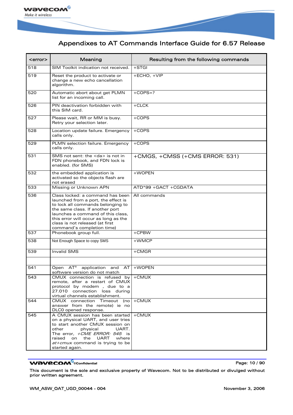

| <error></error> | Meaning                                                                                                                                                                                                                                                                                       | Resulting from the following commands |
|-----------------|-----------------------------------------------------------------------------------------------------------------------------------------------------------------------------------------------------------------------------------------------------------------------------------------------|---------------------------------------|
| 518             | SIM Toolkit indication not received.                                                                                                                                                                                                                                                          | $+STGI$                               |
| 519             | Reset the product to activate or<br>change a new echo cancellation<br>algorithm.                                                                                                                                                                                                              | +ECHO, +VIP                           |
| 520             | Automatic abort about get PLMN<br>list for an incoming call.                                                                                                                                                                                                                                  | $+COPS=?$                             |
| 526             | PIN deactivation forbidden with<br>this SIM card.                                                                                                                                                                                                                                             | $+CLCK$                               |
| 527             | Please wait, RR or MM is busy.<br>Retry your selection later.                                                                                                                                                                                                                                 | $+COPS$                               |
| 528             | Location update failure. Emergency<br>calls only.                                                                                                                                                                                                                                             | $+COPS$                               |
| 529             | PLMN selection failure. Emergency<br>calls only.                                                                                                                                                                                                                                              | $+COPS$                               |
| 531             | SMS not sent: the <da> is not in<br/>FDN phonebook, and FDN lock is<br/>enabled. (for SMS)</da>                                                                                                                                                                                               | +CMGS, +CMSS (+CMS ERROR: 531)        |
| 532             | the embedded application is<br>activated so the objects flash are<br>not erased                                                                                                                                                                                                               | +WOPEN                                |
| 533             | Missing or Unknown APN                                                                                                                                                                                                                                                                        | ATD*99 + GACT + CGDATA                |
| 536             | Class locked: a command has been<br>launched from a port, the effect is<br>to lock all commands belonging to<br>the same class. If another port<br>launches a command of this class,<br>this error will occur as long as the<br>class is not released (at first<br>command's completion time) | All commands                          |
| 537             | Phonebook group full.                                                                                                                                                                                                                                                                         | $+$ CPBW                              |
| 538             | Not Enough Space to copy SMS                                                                                                                                                                                                                                                                  | +WMCP                                 |
| 539             | Invalid SMS                                                                                                                                                                                                                                                                                   | $+$ CMGR                              |
| 541             | Open AT®<br>application<br>and<br>AT<br>software version do not match                                                                                                                                                                                                                         | +WOPEN                                |
| 543             | CMUX connection is refused by +CMUX<br>remote, after a restart of CMUX<br>protocol by modem , due to a<br>27.010 connection loss during<br>virtual channels establishment.                                                                                                                    |                                       |
| 544             | CMUX connection Timeout (no<br>answer from the remote) ie no<br>DLC0 opened response.                                                                                                                                                                                                         | $+$ CMUX                              |
| 545             | A CMUX session has been started<br>on a physical UART, and user tries<br>to start another CMUX session on<br>UART.<br>other<br>physical<br>The error, +CME ERROR: 545 is<br>the<br>UART<br>raised<br>on<br>where<br><i>at+cmux</i> command is trying to be<br>started again.                  | +CMUX                                 |

#### WƏVECOM<sup>®</sup>cconfidential example of the example of the Page: 10 / 90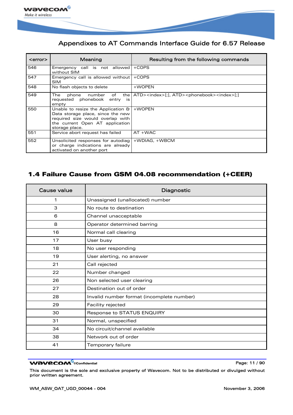<span id="page-11-0"></span>

| <error></error> | Meaning                                                                                                                                                                        | Resulting from the following commands                                           |
|-----------------|--------------------------------------------------------------------------------------------------------------------------------------------------------------------------------|---------------------------------------------------------------------------------|
| 546             | Emergency call is not allowed   +COPS<br>without SIM                                                                                                                           |                                                                                 |
| 547             | Emergency call is allowed without   +COPS<br><b>SIM</b>                                                                                                                        |                                                                                 |
| 548             | No flash objects to delete                                                                                                                                                     | +WOPEN                                                                          |
| 549             | The<br>of<br>phone<br>number<br>requested phonebook<br>entry<br>is.<br>empty                                                                                                   | the   ATD> <index>[;], ATD&gt;<phonebook><index>[;]</index></phonebook></index> |
| 550             | Unable to resize the Application $\theta$ +WOPEN<br>Data storage place, since the new<br>required size would overlap with<br>the current Open AT application<br>storage place. |                                                                                 |
| 551             | Service abort request has failed                                                                                                                                               | $AT + WAC$                                                                      |
| 552             | Unsolicited responses for autodiag<br>or charge indications are already<br>activated on another port                                                                           | +WDIAG, +WBCM                                                                   |

### 1.4 Failure Cause from GSM 04.08 recommendation (+CEER)

| <b>Cause value</b> | Diagnostic                                |
|--------------------|-------------------------------------------|
| 1                  | Unassigned (unallocated) number           |
| 3                  | No route to destination                   |
| 6                  | Channel unacceptable                      |
| 8                  | Operator determined barring               |
| 16                 | Normal call clearing                      |
| 17                 | User busy                                 |
| 18                 | No user responding                        |
| 19                 | User alerting, no answer                  |
| 21                 | Call rejected                             |
| 22                 | Number changed                            |
| 26                 | Non selected user clearing                |
| 27                 | Destination out of order                  |
| 28                 | Invalid number format (incomplete number) |
| 29                 | Facility rejected                         |
| 30                 | Response to STATUS ENQUIRY                |
| 31                 | Normal, unspecified                       |
| 34                 | No circuit/channel available              |
| 38                 | Network out of order                      |
| 41                 | Temporary failure                         |

#### **WAVECOM**<sup>®</sup>confidential **Page: 11 / 90** and 20 and 20 and 20 and 20 and 20 and 20 and 20 and 20 and 20 and 20 and 20 and 20 and 20 and 20 and 20 and 20 and 20 and 20 and 20 and 20 and 20 and 20 and 20 and 20 and 20 and 20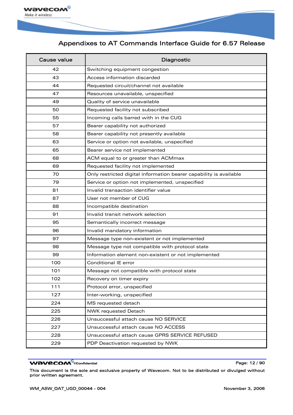

| Cause value | Diagnostic                                                         |
|-------------|--------------------------------------------------------------------|
| 42          | Switching equipment congestion                                     |
| 43          | Access information discarded                                       |
| 44          | Requested circuit/channel not available                            |
| 47          | Resources unavailable, unspecified                                 |
| 49          | Quality of service unavailable                                     |
| 50          | Requested facility not subscribed                                  |
| 55          | Incoming calls barred with in the CUG                              |
| 57          | Bearer capability not authorized                                   |
| 58          | Bearer capability not presently available                          |
| 63          | Service or option not available, unspecified                       |
| 65          | Bearer service not implemented                                     |
| 68          | ACM equal to or greater than ACMmax                                |
| 69          | Requested facility not implemented                                 |
| 70          | Only restricted digital information bearer capability is available |
| 79          | Service or option not implemented, unspecified                     |
| 81          | Invalid transaction identifier value                               |
| 87          | User not member of CUG                                             |
| 88          | Incompatible destination                                           |
| 91          | Invalid transit network selection                                  |
| 95          | Semantically incorrect message                                     |
| 96          | Invalid mandatory information                                      |
| 97          | Message type non-existent or not implemented                       |
| 98          | Message type not compatible with protocol state                    |
| 99          | Information element non-existent or not implemented                |
| 100         | <b>Conditional IE error</b>                                        |
| 101         | Message not compatible with protocol state                         |
| 102         | Recovery on timer expiry                                           |
| 111         | Protocol error, unspecified                                        |
| 127         | Inter-working, unspecified                                         |
| 224         | MS requested detach                                                |
| 225         | NWK requested Detach                                               |
| 226         | Unsuccessful attach cause NO SERVICE                               |
| 227         | Unsuccessful attach cause NO ACCESS                                |
| 228         | Unsuccessful attach cause GPRS SERVICE REFUSED                     |
| 229         | PDP Deactivation requested by NWK                                  |

#### WƏVECOM<sup>®</sup>cconfidential example of the example of the Page: 12 / 90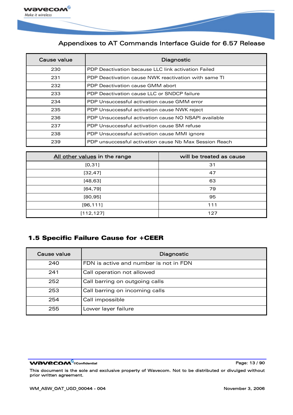<span id="page-13-0"></span>

| Cause value | Diagnostic                                             |
|-------------|--------------------------------------------------------|
| 230         | PDP Deactivation because LLC link activation Failed    |
| 231         | PDP Deactivation cause NWK reactivation with same TI   |
| 232         | PDP Deactivation cause GMM abort                       |
| 233         | PDP Deactivation cause LLC or SNDCP failure            |
| 234         | PDP Unsuccessful activation cause GMM error            |
| 235         | PDP Unsuccessful activation cause NWK reject           |
| 236         | PDP Unsuccessful activation cause NO NSAPI available   |
| 237         | PDP Unsuccessful activation cause SM refuse            |
| 238         | PDP Unsuccessful activation cause MMI ignore           |
| 239         | PDP unsuccessful activation cause Nb Max Session Reach |

| All other values in the range | will be treated as cause |
|-------------------------------|--------------------------|
| [0, 31]                       | 31                       |
| [32, 47]                      | 47                       |
| [48, 63]                      | 63                       |
| [64, 79]                      | 79                       |
| [80, 95]                      | 95                       |
| [96, 111]                     | 111                      |
| [112, 127]                    | 127                      |

### 1.5 Specific Failure Cause for +CEER

| Cause value | Diagnostic                             |
|-------------|----------------------------------------|
| 240         | FDN is active and number is not in FDN |
| 241         | Call operation not allowed             |
| 252         | Call barring on outgoing calls         |
| 253         | Call barring on incoming calls         |
| 254         | Call impossible                        |
| 255         | Lower layer failure                    |

WƏVECOM<sup>®</sup>cconfidential example of the example of the Page: 13 / 90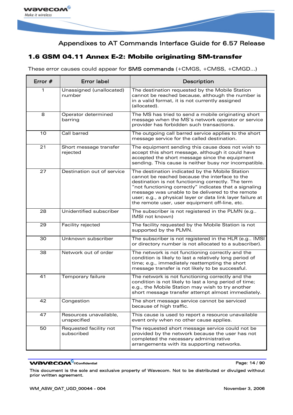<span id="page-14-0"></span>

### 1.6 GSM 04.11 Annex E-2: Mobile originating SM-transfer

These error causes could appear for SMS commands (+CMGS, +CMSS, +CMGD…)

| Error # | <b>Error label</b>                    | Description                                                                                                                                                                                                                                                                                                                                                                           |
|---------|---------------------------------------|---------------------------------------------------------------------------------------------------------------------------------------------------------------------------------------------------------------------------------------------------------------------------------------------------------------------------------------------------------------------------------------|
| 1       | Unassigned (unallocated)<br>number    | The destination requested by the Mobile Station<br>cannot be reached because, although the number is<br>in a valid format, it is not currently assigned<br>(allocated).                                                                                                                                                                                                               |
| 8       | Operator determined<br>barring        | The MS has tried to send a mobile originating short<br>message when the MS's network operator or service<br>provider has forbidden such transactions.                                                                                                                                                                                                                                 |
| 10      | Call barred                           | The outgoing call barred service applies to the short<br>message service for the called destination.                                                                                                                                                                                                                                                                                  |
| 21      | Short message transfer<br>rejected    | The equipment sending this cause does not wish to<br>accept this short message, although it could have<br>accepted the short message since the equipment<br>sending. This cause is neither busy nor incompatible.                                                                                                                                                                     |
| 27      | Destination out of service            | The destination indicated by the Mobile Station<br>cannot be reached because the interface to the<br>destination is not functioning correctly. The term<br>"not functioning correctly" indicates that a signaling<br>message was unable to be delivered to the remote<br>user; e.g., a physical layer or data link layer failure at<br>the remote user, user equipment off-line, etc. |
| 28      | Unidentified subscriber               | The subscriber is not registered in the PLMN (e.g<br>IMSI not known)                                                                                                                                                                                                                                                                                                                  |
| 29      | Facility rejected                     | The facility requested by the Mobile Station is not<br>supported by the PLMN.                                                                                                                                                                                                                                                                                                         |
| 30      | Unknown subscriber                    | The subscriber is not registered in the HLR (e.g IMSI<br>or directory number is not allocated to a subscriber).                                                                                                                                                                                                                                                                       |
| 38      | Network out of order                  | The network is not functioning correctly and the<br>condition is likely to last a relatively long period of<br>time; e.g., immediately reattempting the short<br>message transfer is not likely to be successful.                                                                                                                                                                     |
| 41      | Temporary failure                     | The network is not functioning correctly and the<br>condition is not likely to last a long period of time;<br>e.g., the Mobile Station may wish to try another<br>short message transfer attempt almost immediately.                                                                                                                                                                  |
| 42      | Congestion                            | The short message service cannot be serviced<br>because of high traffic.                                                                                                                                                                                                                                                                                                              |
| 47      | Resources unavailable.<br>unspecified | This cause is used to report a resource unavailable<br>event only when no other cause applies.                                                                                                                                                                                                                                                                                        |
| 50      | Requested facility not<br>subscribed  | The requested short message service could not be<br>provided by the network because the user has not<br>completed the necessary administrative<br>arrangements with its supporting networks.                                                                                                                                                                                          |

#### **WAVECOM**<sup>®</sup>confidential **Page:** 14 / 90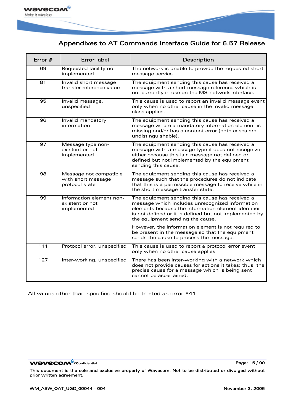

| Error #          | <b>Error label</b>                                             | Description                                                                                                                                                                                                                                             |
|------------------|----------------------------------------------------------------|---------------------------------------------------------------------------------------------------------------------------------------------------------------------------------------------------------------------------------------------------------|
| 69               | Requested facility not<br>implemented                          | The network is unable to provide the requested short<br>message service.                                                                                                                                                                                |
| 81               | Invalid short message<br>transfer reference value              | The equipment sending this cause has received a<br>message with a short message reference which is<br>not currently in use on the MS-network interface.                                                                                                 |
| 95               | Invalid message,<br>unspecified                                | This cause is used to report an invalid message event<br>only when no other cause in the invalid message<br>class applies.                                                                                                                              |
| 96               | Invalid mandatory<br>information                               | The equipment sending this cause has received a<br>message where a mandatory information element is<br>missing and/or has a content error (both cases are<br>undistinguishable).                                                                        |
| 97               | Message type non-<br>existent or not<br>implemented            | The equipment sending this cause has received a<br>message with a message type it does not recognize<br>either because this is a message not defined or<br>defined but not implemented by the equipment<br>sending this cause.                          |
| 98               | Message not compatible<br>with short message<br>protocol state | The equipment sending this cause has received a<br>message such that the procedures do not indicate<br>that this is a permissible message to receive while in<br>the short message transfer state.                                                      |
| 99               | Information element non-<br>existent or not<br>implemented     | The equipment sending this cause has received a<br>message which includes unrecognized information<br>elements because the information element identifier<br>is not defined or it is defined but not implemented by<br>the equipment sending the cause. |
|                  |                                                                | However, the information element is not required to<br>be present in the message so that the equipment<br>sends the cause to process the message.                                                                                                       |
| $\overline{111}$ | Protocol error, unspecified                                    | This cause is used to report a protocol error event<br>only when no other cause applies.                                                                                                                                                                |
| 127              | Inter-working, unspecified                                     | There has been inter-working with a network which<br>does not provide causes for actions it takes; thus, the<br>precise cause for a message which is being sent<br>cannot be ascertained.                                                               |

All values other than specified should be treated as error #41.

WƏVECOM<sup>®</sup>cconfidential example of the example of the Page: 15 / 90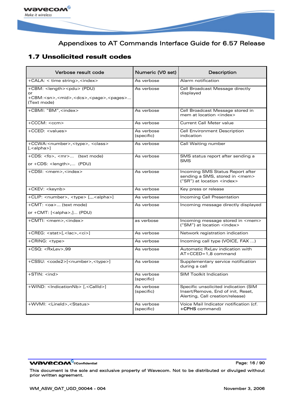<span id="page-16-0"></span>

### 1.7 Unsolicited result codes

| Verbose result code                                                                                                               | Numeric (V0 set)         | Description                                                                                                     |
|-----------------------------------------------------------------------------------------------------------------------------------|--------------------------|-----------------------------------------------------------------------------------------------------------------|
| +CALA: < time string>, <index></index>                                                                                            | As verbose               | Alarm notification                                                                                              |
| +CBM: <length><pdu> (PDU)<br/>+CBM:<sn>,<mid>,<dcs>,<page>,<pages><br/>(Text mode)</pages></page></dcs></mid></sn></pdu></length> | As verbose               | Cell Broadcast Message directly<br>displayed                                                                    |
| +CBMI: "BM", <index></index>                                                                                                      | As verbose               | Cell Broadcast Message stored in<br>mem at location <index></index>                                             |
| +CCCM: <ccm></ccm>                                                                                                                | As verbose               | <b>Current Call Meter value</b>                                                                                 |
| +CCED: <values></values>                                                                                                          | As verbose<br>(specific) | <b>Cell Environment Description</b><br>indication                                                               |
| +CCWA: <number>,<type>, <class><br/><math>[</math>, <math>\langle</math>alpha<math>\rangle]</math></class></type></number>        | As verbose               | Call Waiting number                                                                                             |
| +CDS: <fo>, <mr> (text mode)<br/>or +CDS: <length>, (PDU)</length></mr></fo>                                                      | As verbose               | SMS status report after sending a<br><b>SMS</b>                                                                 |
| +CDSI: <mem>,<index></index></mem>                                                                                                | As verbose               | Incoming SMS Status Report after<br>sending a SMS, stored in <mem><br/>("SR") at location <index></index></mem> |
| +CKEV: <keynb></keynb>                                                                                                            | As verbose               | Key press or release                                                                                            |
| +CLIP: <number>, <type> [,,,<alpha>]</alpha></type></number>                                                                      | As verbose               | Incoming Call Presentation                                                                                      |
| +CMT: <oa> (text mode)</oa>                                                                                                       | As verbose               | Incoming message directly displayed                                                                             |
| or +CMT: [ <alpha>,] (PDU)</alpha>                                                                                                |                          |                                                                                                                 |
| +CMTI: <mem>,<index></index></mem>                                                                                                | as verbose               | Incoming message stored in <mem><br/>("SM") at location <index></index></mem>                                   |
| +CREG: <stat>[,<lac>,<ci>]</ci></lac></stat>                                                                                      | As verbose               | Network registration indication                                                                                 |
| +CRING: <type></type>                                                                                                             | As verbose               | Incoming call type (VOICE, FAX )                                                                                |
| $+CSQ: > .99$                                                                                                                     | As verbose               | Automatic RxLev indication with<br>AT+CCED=1.8 command                                                          |
| +CSSU: <code2>[<number>,<type>]</type></number></code2>                                                                           | As verbose               | Supplementary service notification<br>during a call                                                             |
| $+STIN: ind$                                                                                                                      | As verbose<br>(specific) | <b>SIM Toolkit Indication</b>                                                                                   |
| +WIND: <indicationnb> [,<callid>]</callid></indicationnb>                                                                         | As verbose<br>(specific) | Specific unsolicited indication (SIM<br>Insert/Remove, End of init, Reset,<br>Alerting, Call creation/release)  |
| +WVMI: <lineid>,<status></status></lineid>                                                                                        | As verbose<br>(specific) | Voice Mail Indicator notification (cf.<br>+CPHS command)                                                        |

WƏVECOM<sup>®</sup>cconfidential example of the example of the Page: 16/90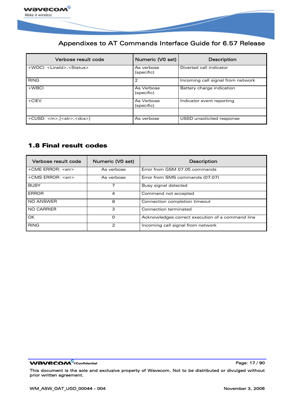<span id="page-17-0"></span>

| Verbose result code                        | Numeric (V0 set)         | Description                       |
|--------------------------------------------|--------------------------|-----------------------------------|
| +WDCI: <lineid>,<status></status></lineid> | As verbose<br>(specific) | Diverted call indicator           |
| <b>RING</b>                                | 2                        | Incoming call signal from network |
| $+$ WBCI                                   | As Verbose<br>(specific) | Battery charge indication         |
| $+CIEV$                                    | As Verbose<br>(specific) | Indicator event reporting         |
| $+CUSD: m~[< str~< dcs]1$                  | As verbose               | USSD unsolicited response         |

### 1.8 Final result codes

| Verbose result code     | Numeric (V0 set) | <b>Description</b>                               |
|-------------------------|------------------|--------------------------------------------------|
| +CME ERROR: <err></err> | As verbose       | Error from GSM 07.05 commands                    |
| +CMS ERROR: <err></err> | As verbose       | Error from SMS commands (07.07)                  |
| <b>BUSY</b>             |                  | Busy signal detected                             |
| <b>ERROR</b>            | 4                | Command not accepted                             |
| <b>NO ANSWER</b>        | 8                | Connection completion timeout                    |
| <b>NO CARRIER</b>       | 3                | Connection terminated                            |
| OK                      | O                | Acknowledges correct execution of a command line |
| <b>RING</b>             | 2                | Incoming call signal from network                |

WƏVECOM<sup>®</sup>cconfidential example of the example of the Page: 17 / 90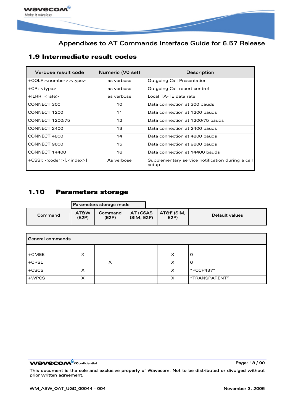<span id="page-18-0"></span>

### 1.9 Intermediate result codes

| Verbose result code                    | Numeric (V0 set) | <b>Description</b>                                        |  |
|----------------------------------------|------------------|-----------------------------------------------------------|--|
| +COLP: <number>,<type></type></number> | as verbose       | <b>Outgoing Call Presentation</b>                         |  |
| $+CR$ : $ltype$                        | as verbose       | Outgoing Call report control                              |  |
| $+$ ILRR: $<$ rate $>$                 | as verbose       | Local TA-TE data rate                                     |  |
| CONNECT 300                            | 10               | Data connection at 300 bauds                              |  |
| CONNECT 1200                           | 11               | Data connection at 1200 bauds                             |  |
| <b>CONNECT 1200/75</b>                 | 12               | Data connection at 1200/75 bauds                          |  |
| CONNECT 2400                           | 13               | Data connection at 2400 bauds                             |  |
| CONNECT 4800                           | 14               | Data connection at 4800 bauds                             |  |
| CONNECT 9600                           | 15               | Data connection at 9600 bauds                             |  |
| CONNECT 14400                          | 16               | Data connection at 14400 bauds                            |  |
| $+CSSI: code1>[, ]$                    | As verbose       | Supplementary service notification during a call<br>setup |  |

### 1.10 Parameters storage

|         |                          | Parameters storage mode |                       |                    |                |
|---------|--------------------------|-------------------------|-----------------------|--------------------|----------------|
| Command | <b>AT&amp;W</b><br>(E2P) | Command<br>(E2P)        | AT+CSAS<br>(SIM, E2P) | AT&F (SIM,<br>E2P) | Default values |

| General commands |  |   |  |   |               |
|------------------|--|---|--|---|---------------|
|                  |  |   |  |   |               |
| $+$ CMEE         |  |   |  | x |               |
| $+CRSL$          |  | x |  | x | 6             |
| $+CC$            |  |   |  | x | "PCCP437"     |
| $+WPCS$          |  |   |  | x | "TRANSPARENT" |

WƏVECOM<sup>®</sup>cconfidential example of the example of the Page: 18 / 90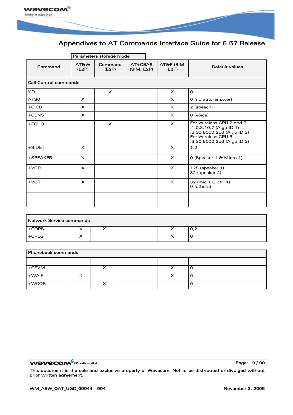

|                              | Parameters storage mode  |                  |                       |                   |                                                                                                                                        |
|------------------------------|--------------------------|------------------|-----------------------|-------------------|----------------------------------------------------------------------------------------------------------------------------------------|
| Command                      | <b>AT&amp;W</b><br>(E2P) | Command<br>(E2P) | AT+CSAS<br>(SIM, E2P) | AT&F (SIM,<br>E2P | Default values                                                                                                                         |
| <b>Call Control commands</b> |                          |                  |                       |                   |                                                                                                                                        |
| %D                           |                          | $\times$         |                       | $\times$          | $\Omega$                                                                                                                               |
| ATS0                         | $\times$                 |                  |                       | $\times$          | 0 (no auto-answer)                                                                                                                     |
| $+CICB$                      | $\times$                 |                  |                       | $\times$          | 2 (speech)                                                                                                                             |
| $+$ CSNS                     | $\times$                 |                  |                       | $\times$          | 0 (voice)                                                                                                                              |
| $+ECHO$                      |                          | $\times$         |                       | $\times$          | For Wireless CPU 2 and 3<br>,1,0,3,10,7 (Algo ID 1)<br>,3,30,8000,256 (Algo ID 3)<br>For Wireless CPU 5:<br>,3,30,8000,256 (Algo ID 3) |
| $+$ SIDET                    | $\times$                 |                  |                       | $\times$          | 1,2                                                                                                                                    |
| $+$ SPEAKER                  | $\times$                 |                  |                       | $\times$          | 0 (Speaker 1 & Micro 1)                                                                                                                |
| $+VGR$                       | $\times$                 |                  |                       | $\times$          | 128 (speaker 1)<br>32 (speaker 2)                                                                                                      |
| $+VGT$                       | $\times$                 |                  |                       | $\times$          | 32 (mic 1 & ctrl 1)<br>0 (others)                                                                                                      |
|                              |                          |                  |                       |                   |                                                                                                                                        |

| Network Service commands     |  |   |  |  |     |  |
|------------------------------|--|---|--|--|-----|--|
| $+COPS$                      |  | ⌒ |  |  | 0,2 |  |
| $\mathsf{I} + \mathsf{CREG}$ |  |   |  |  | ╰   |  |

| <b>Phonebook commands</b> |  |  |  |  |  |
|---------------------------|--|--|--|--|--|
|                           |  |  |  |  |  |
| $+C$ SVM                  |  |  |  |  |  |
| $+WAIP$                   |  |  |  |  |  |
| $+$ WCOS                  |  |  |  |  |  |

**WAVECOM**<sup>®</sup>confidential **Page: 19/90**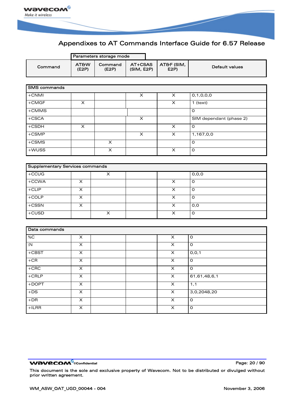

|                                        |                           | Parameters storage mode |                       |                           |                         |
|----------------------------------------|---------------------------|-------------------------|-----------------------|---------------------------|-------------------------|
| Command                                | <b>AT&amp;W</b><br>(E2P)  | Command<br>(E2P)        | AT+CSAS<br>(SIM, E2P) | AT&F (SIM,<br>E2P         | Default values          |
|                                        |                           |                         |                       |                           |                         |
| <b>SMS</b> commands                    |                           |                         |                       |                           |                         |
| +CNMI                                  |                           |                         | X                     | $\times$                  | 0, 1, 0, 0, 0           |
| $+$ CMGF                               | $\overline{\mathsf{x}}$   |                         |                       | $\overline{\mathsf{x}}$   | $1$ (text)              |
| +CMMS                                  |                           |                         |                       |                           | $\mathsf O$             |
| $+CSCA$                                |                           |                         | X                     |                           | SIM dependant (phase 2) |
| $+CSDH$                                | X                         |                         |                       | $\boldsymbol{\mathsf{X}}$ | $\mathsf{o}$            |
| +CSMP                                  |                           |                         | X                     | $\boldsymbol{\mathsf{X}}$ | 1,167,0,0               |
| $+$ CSMS                               |                           | X                       |                       |                           | $\mathsf{o}$            |
| $+$ WUSS                               |                           | $\overline{\mathsf{x}}$ |                       | $\boldsymbol{\mathsf{X}}$ | $\mathsf{o}$            |
|                                        |                           |                         |                       |                           |                         |
| <b>Supplementary Services commands</b> |                           |                         |                       |                           |                         |
| $+CCUG$                                |                           | $\overline{\mathsf{x}}$ |                       |                           | 0, 0, 0                 |
| +CCWA                                  | X                         |                         |                       | X                         | $\mathsf O$             |
| $+CLIP$                                | $\overline{\mathsf{x}}$   |                         |                       | $\overline{\mathsf{x}}$   | $\mathsf{o}$            |
| $+COLP$                                | X                         |                         |                       | $\overline{\mathsf{x}}$   | $\mathsf{o}$            |
| $+CSSN$                                | X                         |                         |                       | X                         | 0,0                     |
| $+CUSD$                                |                           | $\pmb{\times}$          |                       | $\pmb{\times}$            | $\mathsf O$             |
|                                        |                           |                         |                       |                           |                         |
| Data commands                          |                           |                         |                       |                           |                         |
| %C                                     | X                         |                         |                       | X                         | O                       |
| $\overline{M}$                         | $\overline{\mathsf{x}}$   |                         |                       | $\overline{\mathsf{x}}$   | $\mathsf{o}$            |
| $+C$ BST                               | X                         |                         |                       | $\pmb{\times}$            | 0, 0, 1                 |
| $+CR$                                  | $\boldsymbol{\mathsf{X}}$ |                         |                       | $\overline{\mathsf{x}}$   | O                       |
| $+CBC$                                 | $\pmb{\times}$            |                         |                       | $\overline{\mathsf{x}}$   | $\mathsf O$             |
| $+$ CRLP                               | X                         |                         |                       | X                         | 61,61,48,6,1            |
| +DOPT                                  | $\overline{\mathsf{x}}$   |                         |                       | $\overline{\mathsf{x}}$   | 1,1                     |
| $+DS$                                  | $\overline{\mathsf{x}}$   |                         |                       | $\overline{\mathsf{x}}$   | 3,0,2048,20             |
| $+DR$                                  | $\overline{\mathsf{x}}$   |                         |                       | $\overline{\mathsf{x}}$   | 0                       |
| $+ILRR$                                | $\overline{X}$            |                         |                       | $\overline{\mathsf{x}}$   | $\overline{0}$          |

WƏVECOM<sup>®</sup>cconfidential example of the example of the Page: 20 / 90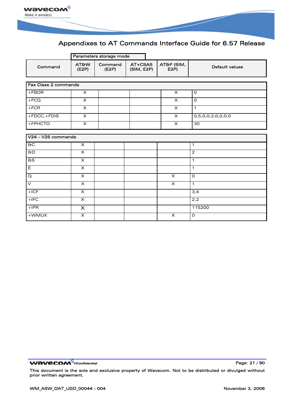

|                             |                          | Parameters storage mode |                       |                         |                   |
|-----------------------------|--------------------------|-------------------------|-----------------------|-------------------------|-------------------|
| Command                     | <b>AT&amp;W</b><br>(E2P) | Command<br>(E2P)        | AT+CSAS<br>(SIM, E2P) | AT&F (SIM,<br>E2P       | Default values    |
|                             |                          |                         |                       |                         |                   |
| <b>Fax Class 2 commands</b> |                          |                         |                       |                         |                   |
| $+FBOR$                     | X                        |                         |                       | X                       | $\mathsf{o}$      |
| $+FCQ$                      | X                        |                         |                       | X                       | $\circ$           |
| $+FCR$                      | $\times$                 |                         |                       | $\times$                | $\mathbf{1}$      |
| +FDCC,+FDIS                 | X                        |                         |                       | $\times$                | 0,5,0,0,2,0,0,0,0 |
| +FPHCTO                     | $\times$                 |                         |                       | $\times$                | 30                |
|                             |                          |                         |                       |                         |                   |
| V24 - V25 commands          |                          |                         |                       |                         |                   |
| $rac{1}{2}$                 | $\times$                 |                         |                       |                         | $\mathbf{1}$      |
| 6D                          | $\overline{\mathsf{x}}$  |                         |                       |                         | $\overline{2}$    |
| $\overline{a}$              | $\times$                 |                         |                       |                         | $\mathbf{1}$      |
| $\overline{E}$              | $\times$                 |                         |                       |                         | $\mathbf{1}$      |
| Q                           | $\times$                 |                         |                       | $\times$                | $\Omega$          |
| $\vee$                      | $\times$                 |                         |                       | X                       | $\mathbf{1}$      |
| $+ICF$                      | $\times$                 |                         |                       |                         | 3,4               |
| $+$ IFC                     | $\overline{\mathsf{x}}$  |                         |                       |                         | 2,2               |
| $+$ IPR                     | X                        |                         |                       |                         | 115200            |
| +WMUX                       | $\overline{\mathsf{x}}$  |                         |                       | $\overline{\mathsf{x}}$ | $\mathsf{o}$      |

**WAVECOM**<sup><sup>®</sup><sub>Confidential **Page: 21 / 90**</sup></sub>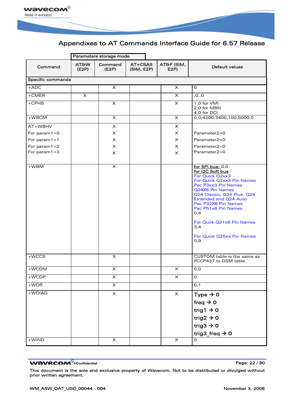

|                    |                          | Parameters storage mode |                       |                           |                                                                                                                                                                                                                                                                                                                                                           |  |  |  |
|--------------------|--------------------------|-------------------------|-----------------------|---------------------------|-----------------------------------------------------------------------------------------------------------------------------------------------------------------------------------------------------------------------------------------------------------------------------------------------------------------------------------------------------------|--|--|--|
| Command            | <b>AT&amp;W</b><br>(E2P) | Command<br>(E2P)        | AT+CSAS<br>(SIM, E2P) | AT&F (SIM,<br>E2P         | Default values                                                                                                                                                                                                                                                                                                                                            |  |  |  |
|                    | Specific commands        |                         |                       |                           |                                                                                                                                                                                                                                                                                                                                                           |  |  |  |
| $+ADC$             |                          | $\times$                |                       | $\times$                  | $\Omega$                                                                                                                                                                                                                                                                                                                                                  |  |  |  |
| $+$ CMER           | $\times$                 |                         |                       | X                         | , 0, 0                                                                                                                                                                                                                                                                                                                                                    |  |  |  |
| $+CPHS$            |                          | X                       |                       | X                         | 1,0 for VMI<br>2.0 for MBN<br>4,0 for DCI                                                                                                                                                                                                                                                                                                                 |  |  |  |
| +WBCM              |                          | $\pmb{\times}$          |                       | $\times$                  | 0,0,4200,3400,100,5000,0                                                                                                                                                                                                                                                                                                                                  |  |  |  |
| AT+WBHV            |                          | $\times$                |                       | X                         |                                                                                                                                                                                                                                                                                                                                                           |  |  |  |
| For param $1=0$    |                          | $\times$                |                       | X                         | $Parameter2 = 0$                                                                                                                                                                                                                                                                                                                                          |  |  |  |
| For param $1 = 1$  |                          | $\times$                |                       | x                         | $Parameter2 = 0$                                                                                                                                                                                                                                                                                                                                          |  |  |  |
| For param $1=2$    |                          | x                       |                       | x                         | Parameter2=0                                                                                                                                                                                                                                                                                                                                              |  |  |  |
| For param $1=3$    |                          | $\times$                |                       | X                         | Parameter2=0                                                                                                                                                                                                                                                                                                                                              |  |  |  |
|                    |                          |                         |                       |                           |                                                                                                                                                                                                                                                                                                                                                           |  |  |  |
| $+WBM$<br>$+$ WCCS |                          | $\times$<br>X           |                       |                           | for SPI bus: 0,0<br>for I2C Soft bus:<br>For Quick Q2xx3<br>For Quick Q2xx3 Pin Names<br>Pac P3xx3 Pin Names<br>Q24X6 Pin Names<br>Q24 Classic, Q24 Plus, Q24<br><b>Extended and Q24 Auto</b><br>Pac P32X6 Pin Names<br>Pac P51x6 Pin Names<br>0,4<br>For Quirk Q31x6 Pin Names<br>3,4<br>For Quick Q25xx Pin Names<br>5,9<br>CUSTOM table is the same as |  |  |  |
|                    |                          |                         |                       |                           | PCCP437 to GSM table.                                                                                                                                                                                                                                                                                                                                     |  |  |  |
| +WCDM              |                          | $\times$                |                       | X                         | 0,0                                                                                                                                                                                                                                                                                                                                                       |  |  |  |
| +WCDP              |                          | X                       |                       | X                         | O                                                                                                                                                                                                                                                                                                                                                         |  |  |  |
| $+WDR$             |                          | $\overline{\mathsf{x}}$ |                       |                           | 0,1                                                                                                                                                                                                                                                                                                                                                       |  |  |  |
| +WDIAG             |                          | $\pmb{\times}$          |                       | $\boldsymbol{\mathsf{X}}$ | Type $\rightarrow$ 0                                                                                                                                                                                                                                                                                                                                      |  |  |  |
|                    |                          |                         |                       |                           | freq $\rightarrow$ 0                                                                                                                                                                                                                                                                                                                                      |  |  |  |
|                    |                          |                         |                       |                           | trig1 $\rightarrow$ 0                                                                                                                                                                                                                                                                                                                                     |  |  |  |
|                    |                          |                         |                       |                           |                                                                                                                                                                                                                                                                                                                                                           |  |  |  |
|                    |                          |                         |                       |                           | trig2 $\rightarrow$ 0                                                                                                                                                                                                                                                                                                                                     |  |  |  |
|                    |                          |                         |                       |                           | trig3 $\rightarrow$ 0                                                                                                                                                                                                                                                                                                                                     |  |  |  |
|                    |                          |                         |                       |                           | trig3_freq $\rightarrow$ 0                                                                                                                                                                                                                                                                                                                                |  |  |  |
| $+$ WIND           |                          | X                       |                       | $\pmb{\times}$            | O                                                                                                                                                                                                                                                                                                                                                         |  |  |  |

WƏVECOM<sup>®</sup>cconfidential extension of the extension of Page: 22 / 90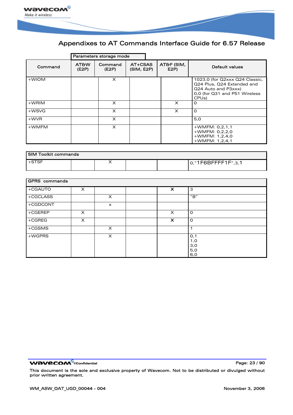

|         | Parameters storage mode  |                  |                       |                    |                                                                                                                                            |
|---------|--------------------------|------------------|-----------------------|--------------------|--------------------------------------------------------------------------------------------------------------------------------------------|
| Command | <b>AT&amp;W</b><br>(E2P) | Command<br>(E2P) | AT+CSAS<br>(SIM, E2P) | AT&F (SIM,<br>E2P) | Default values                                                                                                                             |
| +WIOM   |                          | $\times$         |                       |                    | 1023,0 (for Q2xxx Q24 Classic,<br>Q24 Plus, Q24 Extended and<br>Q24 Auto and P3xxx)<br>0,0 (for Q31 and P51 Wireless<br>CPU <sub>s</sub> ) |
| $+WRIM$ |                          | X                |                       | $\times$           | O                                                                                                                                          |
| +WSVG   |                          | X                |                       | $\times$           | $\Omega$                                                                                                                                   |
| $+$ WVR |                          | $\times$         |                       |                    | 5,0                                                                                                                                        |
| +WMFM   |                          | X                |                       |                    | $+$ WMFM: 0,2,1,1<br>$+$ WMFM: 0,2,2,0<br>$+$ WMFM: 1,2,4,0<br>$+$ WMFM: 1,2,4,1                                                           |

| I SIM Toolkit commands |  |  |  |  |                    |
|------------------------|--|--|--|--|--------------------|
| $+$ STSF               |  |  |  |  | o,"1F6BFFFF1F",3,1 |

| GPRS commands |          |          |  |                           |                                 |
|---------------|----------|----------|--|---------------------------|---------------------------------|
| +CGAUTO       | $\times$ |          |  | $\boldsymbol{\mathsf{x}}$ | 3                               |
| +CGCLASS      |          | X        |  |                           | "B"                             |
| +CGDCONT      |          | $\times$ |  |                           |                                 |
| $+CGEREP$     | $\times$ |          |  | $\times$                  | $\Omega$                        |
| $+CGREG$      | X        |          |  | $\boldsymbol{\mathsf{x}}$ | $\Omega$                        |
| $+CGSMS$      |          | $\times$ |  |                           |                                 |
| +WGPRS        |          | $\times$ |  |                           | 0,1<br>1,0<br>3,0<br>5,0<br>6,0 |

**WAVECOM**<sup>®</sup>confidential **Page: 23 / 90**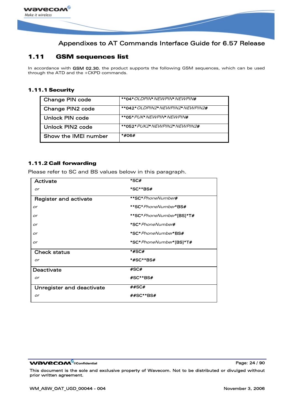<span id="page-24-0"></span>

### 1.11 GSM sequences list

In accordance with GSM 02.30, the product supports the following GSM sequences, which can be used through the ATD and the +CKPD commands.

#### 1.11.1 Security

| Change PIN code      | <i><b>**04* OLDPIN* NEWPIN* NEWPIN#</b></i> |
|----------------------|---------------------------------------------|
| Change PIN2 code     | **042* <i>OLDPIN2* NEWPIN2* NEWPIN2</i> #   |
| Unlock PIN code      | **05* <i>PUK* NEWPIN* NEWPIN</i> #          |
| Unlock PIN2 code     | **052* <i>PUK2* NEWPIN2* NEWPIN2</i> #      |
| Show the IMEI number | *#06#                                       |

#### 1.11.2 Call forwarding

Please refer to SC and BS values below in this paragraph.

| Activate                  | $*SC#$                            |
|---------------------------|-----------------------------------|
| or                        | *SC**BS#                          |
| Register and activate     | **SC* PhoneNumber#                |
| or                        | **SC* <i>PhoneNumber</i> *BS#     |
| or                        | **SC* <i>PhoneNumber</i> *[BS]*T# |
| or                        | <i>*SC* PhoneNumber</i> #         |
| or                        | *SC* PhoneNumber*BS#              |
| or                        | *SC* PhoneNumber*[BS]*T#          |
| <b>Check status</b>       | *#SC#                             |
| or                        | *#SC**BS#                         |
| Deactivate                | #SC#                              |
| or                        | #SC**BS#                          |
| Unregister and deactivate | ##SC#                             |
| or                        | ##SC**BS#                         |

WƏVECOM<sup>®</sup>cconfidential **Page: 24 / 90**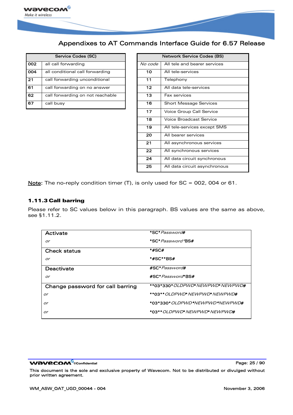

|     | Service Codes (SC)               |         | <b>Network Service Codes (BS)</b> |
|-----|----------------------------------|---------|-----------------------------------|
| 002 | all call forwarding              | No code | All tele and bearer services      |
| 004 | all conditional call forwarding  | 10      | All tele-services                 |
| 21  | call forwarding unconditional    | 11      | Telephony                         |
| 61  | call forwarding on no answer     | 12      | All data tele-services            |
| 62  | call forwarding on not reachable | 13      | Fax services                      |
| 67  | call busy                        | 16      | <b>Short Message Services</b>     |

|     | Service Codes (SC)               |                 | <b>Network Service Codes (BS)</b> |
|-----|----------------------------------|-----------------|-----------------------------------|
| 002 | all call forwarding              | No code         | All tele and bearer services      |
| 004 | all conditional call forwarding  | 10              | All tele-services                 |
| 21  | call forwarding unconditional    | 11              | Telephony                         |
| 61  | call forwarding on no answer     | 12 <sub>2</sub> | All data tele-services            |
| 62  | call forwarding on not reachable | 13              | Fax services                      |
| 67  | call busy                        | 16              | <b>Short Message Services</b>     |
|     |                                  | 17              | Voice Group Call Service          |
|     |                                  | 18              | Voice Broadcast Service           |
|     |                                  | 19              | All tele-services except SMS      |
|     |                                  | 20              | All bearer services               |
|     |                                  | 21              | All asynchronous services         |
|     |                                  | 22              | All synchronous services          |
|     |                                  | 24              | All data circuit synchronous      |
|     |                                  | 25              | All data circuit asynchronous     |

Note: The no-reply condition timer (T), is only used for SC = 002, 004 or 61.

#### 1.11.3 Call barring

Please refer to SC values below in this paragraph. BS values are the same as above, see [§1.11.2](#page-24-0).

| Activate                         | <i>*SC*Password</i> #                   |
|----------------------------------|-----------------------------------------|
| or                               | *SC* <i>Password*</i> BS#               |
| <b>Check status</b>              | *#SC#                                   |
| or                               | *#SC**BS#                               |
| Deactivate                       | #SC* <i>Password</i> #                  |
| or                               | #SC* Password* BS#                      |
| Change password for call barring | **03*330* <i>OLDPWD*NEWPWD*NEWPWD#</i>  |
| or                               | **03** <i>OI DPWD*NFWPWD*NFWPWD</i> #   |
| or                               | *03*330 <i>* OLDPWD*NEWPWD*NEWPWD</i> # |
| or                               | *03** <i>OLDPWD*NFWPWD*NFWPWD</i> #     |

**WAVECOM**<sup>®</sup>confidential **Page: 25 / 90** and 25 / 90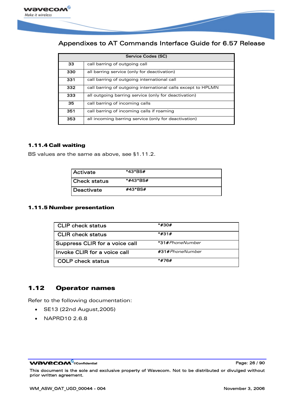<span id="page-26-0"></span>

| Service Codes (SC) |                                                              |  |
|--------------------|--------------------------------------------------------------|--|
| 33                 | call barring of outgoing call                                |  |
| 330                | all barring service (only for deactivation)                  |  |
| 331                | call barring of outgoing international call                  |  |
| 332                | call barring of outgoing international calls except to HPLMN |  |
| 333                | all outgoing barring service (only for deactivation)         |  |
| 35                 | call barring of incoming calls                               |  |
| 351                | call barring of incoming calls if roaming                    |  |
| 353                | all incoming barring service (only for deactivation)         |  |

#### 1.11.4 Call waiting

BS values are the same as above, see §[1.11.2.](#page-24-0)

| Activate            | *43*BS#  |
|---------------------|----------|
| <b>Check status</b> | *#43*BS# |
| Deactivate          | #43*BS#  |

#### 1.11.5 Number presentation

| <b>CLIP check status</b>       | *#30#           |
|--------------------------------|-----------------|
| <b>CLIR</b> check status       | *#31#           |
| Suppress CLIR for a voice call | *31#PhoneNumber |
| Invoke CLIR for a voice call   | #31#PhoneNumber |
| <b>COLP</b> check status       | *#76#           |

### 1.12 Operator names

Refer to the following documentation:

- SE13 (22nd August,2005)
- NAPRD10 2.6.8

WƏVECOM<sup>®</sup>cconfidential example of the example of the Page: 26 / 90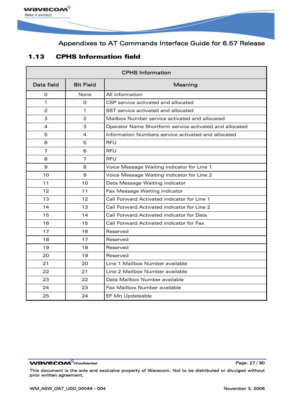<span id="page-27-0"></span>

### 1.13 CPHS Information field

| <b>CPHS Information</b> |                  |                                                         |
|-------------------------|------------------|---------------------------------------------------------|
| Data field              | <b>Bit Field</b> | Meaning                                                 |
| O                       | None             | All information                                         |
| 1                       | O                | CSP service activated and allocated                     |
| $\overline{2}$          | 1                | SST service activated and allocated                     |
| 3                       | $\overline{2}$   | Mailbox Number service activated and allocated          |
| 4                       | 3                | Operator Name Shortform service activated and allocated |
| 5                       | 4                | Information Numbers service activated and allocated     |
| 6                       | 5                | RFU                                                     |
| 7                       | 6                | <b>RFU</b>                                              |
| 8                       | $\overline{7}$   | <b>RFU</b>                                              |
| 9                       | 8                | Voice Message Waiting indicator for Line 1              |
| 10                      | $\mathbf{9}$     | Voice Message Waiting indicator for Line 2              |
| 11                      | 10               | Data Message Waiting indicator                          |
| 12                      | 11               | Fax Message Waiting indicator                           |
| 13                      | 12               | Call Forward Activated indicator for Line 1             |
| 14                      | 13               | Call Forward Activated indicator for Line 2             |
| 15                      | 14               | Call Forward Activated indicator for Data               |
| 16                      | 15               | Call Forward Activated indicator for Fax                |
| 17                      | 16               | Reserved                                                |
| 18                      | 17               | Reserved                                                |
| 19                      | 18               | Reserved                                                |
| 20                      | 19               | Reserved                                                |
| 21                      | 20               | Line 1 Mailbox Number available                         |
| 22                      | 21               | Line 2 Mailbox Number available                         |
| 23                      | 22               | Data Mailbox Number available                           |
| 24                      | 23               | Fax Mailbox Number available                            |
| 25                      | 24               | EF Mn Updateable                                        |

WƏVECOM<sup>®</sup>cconfidential example of the example of the Page: 27 / 90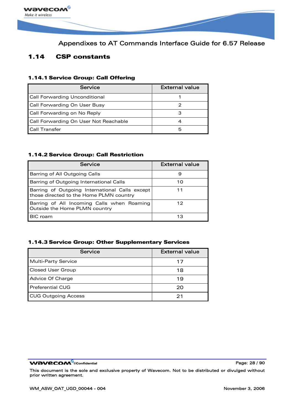<span id="page-28-0"></span>

### 1.14 CSP constants

#### 1.14.1 Service Group: Call Offering

| Service                               | <b>External value</b> |
|---------------------------------------|-----------------------|
| <b>Call Forwarding Unconditional</b>  |                       |
| Call Forwarding On User Busy          |                       |
| Call Forwarding on No Reply           |                       |
| Call Forwarding On User Not Reachable |                       |
| <b>Call Transfer</b>                  |                       |

#### 1.14.2 Service Group: Call Restriction

| Service                                                                                   | <b>External value</b> |
|-------------------------------------------------------------------------------------------|-----------------------|
| Barring of All Outgoing Calls                                                             | 9                     |
| Barring of Outgoing International Calls                                                   | 10                    |
| Barring of Outgoing International Calls except<br>those directed to the Home PLMN country |                       |
| Barring of All Incoming Calls when Roaming<br>Outside the Home PLMN country               | 12                    |
| <b>BIC</b> roam                                                                           |                       |

#### 1.14.3 Service Group: Other Supplementary Services

| Service                    | <b>External value</b> |
|----------------------------|-----------------------|
| <b>Multi-Party Service</b> | 17                    |
| <b>Closed User Group</b>   | 18                    |
| Advice Of Charge           | 19                    |
| <b>Preferential CUG</b>    | 20                    |
| <b>CUG Outgoing Access</b> | っ                     |

**WAVECOM**<sup>®</sup>cconfidential **Page: 28 / 90**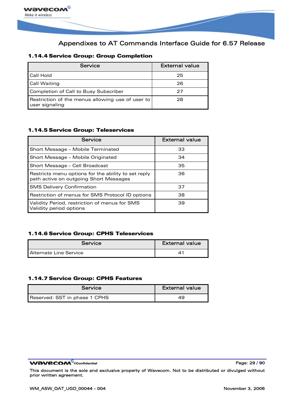

#### 1.14.4 Service Group: Group Completion

| Service                                                            | <b>External value</b> |
|--------------------------------------------------------------------|-----------------------|
| Call Hold                                                          | 25                    |
| <b>Call Waiting</b>                                                | 26                    |
| Completion of Call to Busy Subscriber                              | 27                    |
| Restriction of the menus allowing use of user to<br>user signaling | 28                    |

#### 1.14.5 Service Group: Teleservices

| Service                                                                                       | <b>External value</b> |
|-----------------------------------------------------------------------------------------------|-----------------------|
| Short Message - Mobile Terminated                                                             | 33                    |
| Short Message - Mobile Originated                                                             | 34                    |
| Short Message - Cell Broadcast                                                                | 35                    |
| Restricts menu options for the ability to set reply<br>path active on outgoing Short Messages | 36.                   |
| <b>SMS Delivery Confirmation</b>                                                              | 37                    |
| Restriction of menus for SMS Protocol ID options                                              | 38                    |
| Validity Period, restriction of menus for SMS<br>Validity period options                      | 39                    |

#### 1.14.6 Service Group: CPHS Teleservices

| Service                       | External value |
|-------------------------------|----------------|
| <b>Alternate Line Service</b> |                |

#### 1.14.7 Service Group: CPHS Features

| Service                       | <b>External value</b> |
|-------------------------------|-----------------------|
| Reserved: SST in phase 1 CPHS | 49                    |

WƏVECOM<sup>®</sup>cconfidential **Page: 29 / 90**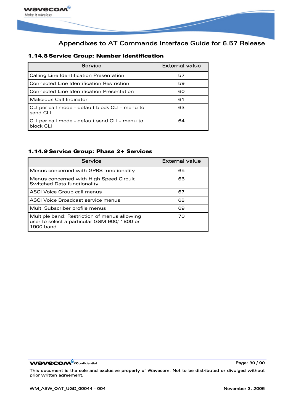

#### 1.14.8 Service Group: Number Identification

| Service                                                     | <b>External value</b> |
|-------------------------------------------------------------|-----------------------|
| Calling Line Identification Presentation                    | 57                    |
| Connected Line Identification Restriction                   | 59                    |
| Connected Line Identification Presentation                  | 60                    |
| Malicious Call Indicator                                    | 61                    |
| CLI per call mode - default block CLI - menu to<br>send CLI | 63                    |
| CLI per call mode - default send CLI - menu to<br>block CLI | 64                    |

#### 1.14.9 Service Group: Phase 2+ Services

| Service                                                                                                  | <b>External value</b> |
|----------------------------------------------------------------------------------------------------------|-----------------------|
| Menus concerned with GPRS functionality                                                                  | 65                    |
| Menus concerned with High Speed Circuit<br>Switched Data functionality                                   | 66                    |
| ASCI Voice Group call menus                                                                              | 67                    |
| ASCI Voice Broadcast service menus                                                                       | 68                    |
| Multi Subscriber profile menus                                                                           | 69                    |
| Multiple band: Restriction of menus allowing<br>user to select a particular GSM 900/1800 or<br>1900 band | 70                    |

WƏVECOM<sup>®</sup>cconfidential example of the example of the Page: 30 / 90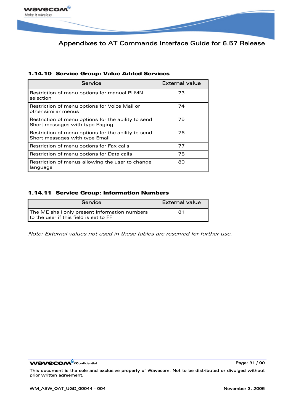

|  |  |  |  |  |  |  | 1.14.10 Service Group: Value Added Services |
|--|--|--|--|--|--|--|---------------------------------------------|
|--|--|--|--|--|--|--|---------------------------------------------|

| Service                                                                                | <b>External value</b> |
|----------------------------------------------------------------------------------------|-----------------------|
| Restriction of menu options for manual PLMN<br>selection                               | 73                    |
| Restriction of menu options for Voice Mail or<br>other similar menus                   | 74                    |
| Restriction of menu options for the ability to send<br>Short messages with type Paging | 75                    |
| Restriction of menu options for the ability to send<br>Short messages with type Email  | 76                    |
| Restriction of menu options for Fax calls                                              | 77                    |
| Restriction of menu options for Data calls                                             | 78                    |
| Restriction of menus allowing the user to change<br>language                           | 80                    |

#### 1.14.11 Service Group: Information Numbers

| Service                                                                                 | <b>External value</b> |
|-----------------------------------------------------------------------------------------|-----------------------|
| The ME shall only present Information numbers<br>to the user if this field is set to FF | 81                    |

Note: External values not used in these tables are reserved for further use.

WƏVECOM<sup>®</sup>cconfidential example of the example of the Page: 31 / 90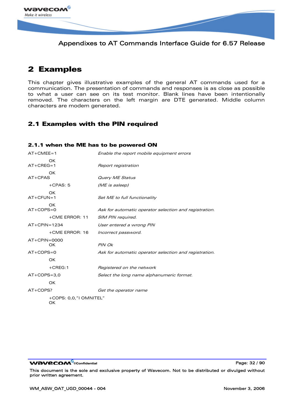<span id="page-32-0"></span>

## 2 Examples

This chapter gives illustrative examples of the general AT commands used for a communication. The presentation of commands and responses is as close as possible to what a user can see on its test monitor. Blank lines have been intentionally removed. The characters on the left margin are DTE generated. Middle column characters are modem generated.

### 2.1 Examples with the PIN required

#### 2.1.1 when the ME has to be powered ON

| $AT+CMEE=1$    |                              | Enable the report mobile equipment errors              |
|----------------|------------------------------|--------------------------------------------------------|
| $AT+CREG=1$    | OK                           | Report registration                                    |
|                | OK                           |                                                        |
| $AT+CPAS$      |                              | <b>Query ME Status</b>                                 |
|                | $+CPAS: 5$                   | (ME is asleep)                                         |
| $AT+CFUN=1$    | OK                           | Set ME to full functionality                           |
| $AT+COPS=0$    | OK                           | Ask for automatic operator selection and registration. |
|                | +CME ERROR: 11               | SIM PIN required.                                      |
| $AT+CPIN=1234$ |                              | User entered a wrong PIN                               |
|                | $+$ CME ERROR: 16            | Incorrect password.                                    |
| $AT+CPIN=0000$ | OK                           | PIN Ok                                                 |
| $AT+COPS=0$    |                              | Ask for automatic operator selection and registration. |
|                | OK                           |                                                        |
|                | $+$ CREG:1                   | Registered on the network                              |
| $AT+COPS=3.0$  |                              | Select the long name alphanumeric format.              |
|                | OK                           |                                                        |
| $AT+COPS?$     |                              | Get the operator name                                  |
|                | +COPS: 0,0,"I OMNITEL"<br>OK |                                                        |

WƏVECOM<sup>S</sup>confidential **Page: 32** / 90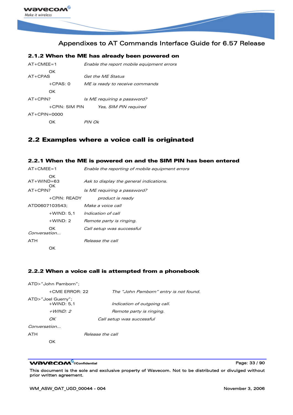<span id="page-33-0"></span>

| 2.1.2 When the ME has already been powered on |                                           |  |  |  |
|-----------------------------------------------|-------------------------------------------|--|--|--|
| $AT+CMFF=1$                                   | Enable the report mobile equipment errors |  |  |  |
| OK<br>$AT+CPAS$                               | Get the MF Status                         |  |  |  |
| $+CPAS: 0$                                    | ME is ready to receive commands           |  |  |  |
| OK                                            |                                           |  |  |  |
| $AT+CPIN?$                                    | Is ME requiring a password?               |  |  |  |
| +CPIN: SIM PIN                                | Yes, SIM PIN required                     |  |  |  |
| $AT+CPIN=0000$                                |                                           |  |  |  |
| ΩK                                            | PIN Ok                                    |  |  |  |

### 2.2 Examples where a voice call is originated

#### 2.2.1 When the ME is powered on and the SIM PIN has been entered

| $AT+CMEE=1$                              | Enable the reporting of mobile equipment errors                        |  |
|------------------------------------------|------------------------------------------------------------------------|--|
| OK.<br>$AT+WIND=63$<br>OK.<br>$AT+CPIN?$ | Ask to display the general indications.<br>Is ME requiring a password? |  |
|                                          |                                                                        |  |
| +CPIN: READY                             | product is ready                                                       |  |
| ATD0607103543;                           | Make a voice call                                                      |  |
| $+$ WIND: 5.1                            | Indication of call                                                     |  |
| $+$ WIND: 2                              | Remote party is ringing.                                               |  |
| OK.<br>Conversation                      | Call setup was successful                                              |  |
| <b>ATH</b>                               | Release the call                                                       |  |
| OК                                       |                                                                        |  |

#### 2.2.2 When a voice call is attempted from a phonebook

|              | ATD>"John Pamborn";                 |                                        |
|--------------|-------------------------------------|----------------------------------------|
|              | $+$ CME ERROR: 22                   | The "John Pamborn" entry is not found. |
|              | ATD>"Joel Guerry";<br>$+$ WIND: 5.1 | Indication of outgoing call.           |
|              | $+$ <i>WIND:</i> 2                  | Remote party is ringing.               |
|              | OK                                  | Call setup was successful              |
| Conversation |                                     |                                        |
| ATH          |                                     | Release the call                       |

OK

#### **WAVECOM**<sup>®</sup>confidential **Page: 33 / 90** and 20 and 20 and 20 and 20 and 20 and 20 and 20 and 20 and 20 and 20 and 20 and 20 and 20 and 20 and 20 and 20 and 20 and 20 and 20 and 20 and 20 and 20 and 20 and 20 and 20 and 20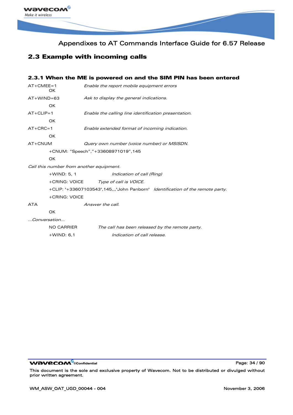<span id="page-34-0"></span>

### 2.3 Example with incoming calls

#### 2.3.1 When the ME is powered on and the SIM PIN has been entered

| $AT+CMEE=1$<br>OK. |                | Enable the report mobile equipment errors                                      |  |  |
|--------------------|----------------|--------------------------------------------------------------------------------|--|--|
| AT+WIND=63         |                | Ask to display the general indications.                                        |  |  |
|                    | <b>OK</b>      |                                                                                |  |  |
| $AT+CLIP=1$        |                | Enable the calling line identification presentation.                           |  |  |
|                    | OK.            |                                                                                |  |  |
| $AT+CRC=1$         |                | Enable extended format of incoming indication.                                 |  |  |
|                    | <b>OK</b>      |                                                                                |  |  |
| AT+CNUM            |                | Query own number (voice number) or MSISDN.                                     |  |  |
|                    |                | +CNUM: "Speech","+33608971019",145                                             |  |  |
|                    | OK             |                                                                                |  |  |
|                    |                | Call this number from another equipment.                                       |  |  |
|                    | $+$ WIND: 5, 1 | Indication of call (Ring)                                                      |  |  |
|                    |                | +CRING: VOICE Type of call is VOICE.                                           |  |  |
|                    |                | +CLIP: "+33607103543",145,,,"John Panborn" Identification of the remote party. |  |  |
|                    | +CRING: VOICE  |                                                                                |  |  |
| ATA                |                | Answer the call.                                                               |  |  |
|                    | <b>OK</b>      |                                                                                |  |  |
| Conversation       |                |                                                                                |  |  |
|                    | NO CARRIER     | The call has been released by the remote party.                                |  |  |
|                    | $+$ WIND: 6,1  | Indication of call release.                                                    |  |  |
|                    |                |                                                                                |  |  |

WƏVECOM<sup>®</sup>cconfidential example of the example of the Page: 34 / 90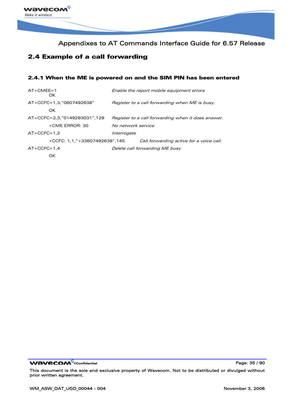<span id="page-35-0"></span>

### 2.4 Example of a call forwarding

#### 2.4.1 When the ME is powered on and the SIM PIN has been entered

| $AT+CMFF=1$<br>OK.            |                    | Enable the report mobile equipment errors          |
|-------------------------------|--------------------|----------------------------------------------------|
| AT+CCFC=1.3."0607492638"      |                    | Register to a call forwarding when ME is busy.     |
| OK                            |                    |                                                    |
| AT+CCFC=2,3,"0149293031",129  |                    | Register to a call forwarding when it does answer. |
| +CME ERROR: 30                | No network service |                                                    |
| $AT+CCFC=1.2$                 | Interrogate        |                                                    |
| +CCFC: 1.1."+33607492638".145 |                    | Call forwarding active for a voice call.           |
| $AT+CCFC=1.4$                 |                    | Delete call forwarding ME busy                     |
|                               |                    |                                                    |

WƏVECOM<sup>®</sup>cconfidential example of the example of the Page: 35 / 90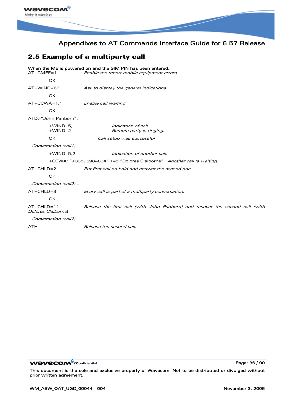

# 2.5 Example of a multiparty call

|                                                                        | When the ME is powered on and the SIM PIN has been entered.                  |  |
|------------------------------------------------------------------------|------------------------------------------------------------------------------|--|
| $AT+CMEE=1$                                                            | Enable the report mobile equipment errors                                    |  |
| OK                                                                     |                                                                              |  |
| $AT+WIND=63$                                                           | Ask to display the general indications.                                      |  |
| OK                                                                     |                                                                              |  |
| $AT+CCWA=1.1$                                                          | Enable call waiting.                                                         |  |
| OK                                                                     |                                                                              |  |
| ATD>"John Panborn":                                                    |                                                                              |  |
| $+$ WIND: 5.1<br>$+$ WIND: 2                                           | Indication of call.<br>Remote party is ringing.                              |  |
| OK                                                                     | Call setup was successful                                                    |  |
| Conversation (call1)                                                   |                                                                              |  |
| $+$ WIND: 5,2                                                          | Indication of another call.                                                  |  |
| +CCWA: "+33595984834",145,"Dolores Claiborne" Another call is waiting. |                                                                              |  |
| $AT+CHLD=2$                                                            | Put first call on hold and answer the second one.                            |  |
| <b>OK</b>                                                              |                                                                              |  |
| Conversation (call2)                                                   |                                                                              |  |
| $AT+CHLD=3$                                                            | Every call is part of a multiparty conversation.                             |  |
| OK                                                                     |                                                                              |  |
| $AT+CHLD=11$<br>Dolores Claiborne)                                     | Release the first call (with John Panborn) and recover the second call (with |  |
| Conversation (call2)                                                   |                                                                              |  |
| <b>ATH</b>                                                             | Release the second call.                                                     |  |
|                                                                        |                                                                              |  |

WƏVECOM<sup>®</sup>cconfidential example of the example of the Page: 36 / 90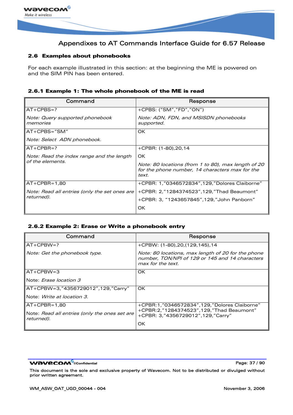

### 2.6 Examples about phonebooks

For each example illustrated in this section: at the beginning the ME is powered on and the SIM PIN has been entered.

## 2.6.1 Example 1: The whole phonebook of the ME is read

| Command                                       | Response                                                                                                        |
|-----------------------------------------------|-----------------------------------------------------------------------------------------------------------------|
| $AT+CPBS=?$                                   | +CPBS: ("SM","FD","ON")                                                                                         |
| Note: Query supported phonebook<br>memories   | Note: ADN, FDN, and MSISDN phonebooks<br>supported.                                                             |
| $AT+CPBS="SM"$                                | OK.                                                                                                             |
| Note: Select ADN phonebook.                   |                                                                                                                 |
| $AT+CPBR=?$                                   | $+$ CPBR: $(1-80)$ , 20, 14                                                                                     |
| Note: Read the index range and the length     | OK.                                                                                                             |
| of the elements.                              | Note: 80 locations (from 1 to 80), max length of 20<br>for the phone number, 14 characters max for the<br>text. |
| $AT+CPBR=1.80$                                | +CPBR: 1, "0346572834", 129, "Dolores Claiborne"                                                                |
| Note: Read all entries (only the set ones are | +CPBR: 2,"1284374523",129,"Thad Beaumont"                                                                       |
| returned).                                    | +CPBR: 3, "1243657845", 129, "John Panborn"                                                                     |
|                                               | OK.                                                                                                             |

### 2.6.2 Example 2: Erase or Write a phonebook entry

| Command                                                     | Response                                                                                                                   |  |
|-------------------------------------------------------------|----------------------------------------------------------------------------------------------------------------------------|--|
| $AT+CPBW=?$                                                 | +CPBW: (1-80), 20, (129, 145), 14                                                                                          |  |
| Note: Get the phonebook type.                               | Note: 80 locations, max length of 20 for the phone<br>number, TON/NPI of 129 or 145 and 14 characters<br>max for the text. |  |
| $AT+CPBW=3$                                                 | OK                                                                                                                         |  |
| Note: <i>Erase location 3</i>                               |                                                                                                                            |  |
| AT+CPBW=3,"4356729012",129,"Carry"                          | OK                                                                                                                         |  |
| Note: <i>Write at location 3.</i>                           |                                                                                                                            |  |
| IAT+CPBR=1.80                                               | +CPBR:1,"0346572834",129,"Dolores Claiborne"                                                                               |  |
| Note: Read all entries (only the ones set are<br>returned). | +CPBR:2,"1284374523",129,"Thad Beaumont"<br>+CPBR: 3,"4356729012",129,"Carry"                                              |  |
|                                                             | OK                                                                                                                         |  |

**WAVECOM**<sup>®</sup>confidential **Page: 37 / 90 Page: 37 / 90**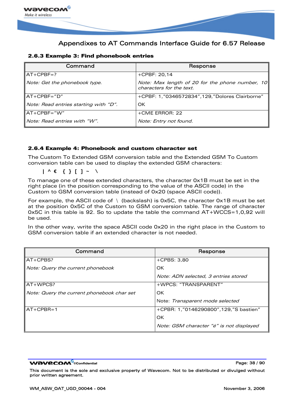

## 2.6.3 Example 3: Find phonebook entries

| Command                               | Response                                                                    |  |  |
|---------------------------------------|-----------------------------------------------------------------------------|--|--|
| AT+CPBF=?                             | $+$ CPBF: 20,14                                                             |  |  |
| Note: Get the phonebook type.         | Note: Max length of 20 for the phone number, 10<br>characters for the text. |  |  |
| "IAT+CPBF="D                          | +CPBF: 1,"0346572834",129,"Dolores Clairborne"                              |  |  |
| Note: Read entries starting with "D". | OK                                                                          |  |  |
| ∥AT+CPBF=″W″                          | +CME ERROR: 22                                                              |  |  |
| Note: Read entries with "W".          | Note: Entry not found.                                                      |  |  |

### 2.6.4 Example 4: Phonebook and custom character set

The Custom To Extended GSM conversion table and the Extended GSM To Custom conversion table can be used to display the extended GSM characters:

**| ^ € { } [ ] ~ \** 

To manage one of these extended characters, the character 0x1B must be set in the right place (in the position corresponding to the value of the ASCII code) in the Custom to GSM conversion table (instead of 0x20 (space ASCII code)).

For example, the ASCII code of  $\setminus$  (backslash) is 0x5C, the character 0x1B must be set at the position 0x5C of the Custom to GSM conversion table. The range of character 0x5C in this table is 92. So to update the table the command AT+WCCS=1,0,92 will be used.

In the other way, write the space ASCII code 0x20 in the right place in the Custom to GSM conversion table if an extended character is not needed.

| Command                                    | Response                                 |
|--------------------------------------------|------------------------------------------|
| $AT+CPBS?$                                 | $+CPBS: 3.80$                            |
| Note: Query the current phonebook          | OK                                       |
|                                            | Note: ADN selected, 3 entries stored     |
| $AT+WPCS?$                                 | +WPCS: "TRANSPARENT"                     |
| Note: Query the current phonebook char set | OK.                                      |
|                                            | Note: Transparent mode selected          |
| $AT + CPBR = 1$                            | +CPBR: 1,"0146290800",129,"S bastien"    |
|                                            | OK                                       |
|                                            | Note: GSM character "é" is not displayed |

**WƏVECOM ©**confidential Page: 38 / 90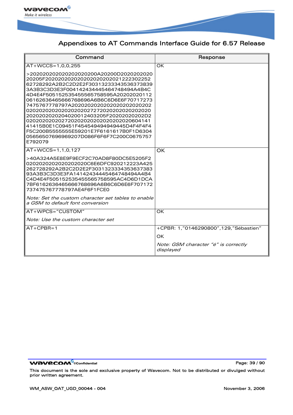

| Command                                                                                                                                                                                                                                                                                                                                                                                                                                                                                                                                      | Response                                          |
|----------------------------------------------------------------------------------------------------------------------------------------------------------------------------------------------------------------------------------------------------------------------------------------------------------------------------------------------------------------------------------------------------------------------------------------------------------------------------------------------------------------------------------------------|---------------------------------------------------|
| $AT+WCCS=1.0.0.255$                                                                                                                                                                                                                                                                                                                                                                                                                                                                                                                          | <b>OK</b>                                         |
| >202020202020202020200A20200D2020202020<br>20205F202020202020202020202021222302252<br>62728292A2B2C2D2E2F30313233343536373839<br>3A3B3C3D3E3F004142434445464748494A4B4C<br>4D4E4F505152535455565758595A20202020112<br>06162636465666768696A6B6C6D6E6F70717273<br>7475767778797A2020202020202020202020202<br>2020202020204020012403205F20202020202D2<br>02020202020272020202020202020202020604141<br>41415B0E1C09451F454549494949445D4F4F4F4<br>F5C200B5555555E59201E7F6161617B0F1D6304<br>05656507696969207D086F6F6F7C200C0675757<br>E792079 |                                                   |
| $AT+WCCS=1,1,0,127$                                                                                                                                                                                                                                                                                                                                                                                                                                                                                                                          | OK                                                |
| >40A324A5E8E9F9ECF2C70AD8F80DC5E5205F2<br>0202020202020202020C6E6DFC920212223A425<br>262728292A2B2C2D2E2F3031323334353637383<br>93A3B3C3D3E3FA14142434445464748494A4B4<br>C4D4E4F505152535455565758595AC4D6D1DCA<br>7BF6162636465666768696A6B6C6D6E6F707172<br>737475767778797AE4F6F1FCE0<br>Note: Set the custom character set tables to enable<br>a GSM to default font conversion                                                                                                                                                         |                                                   |
| AT+WPCS="CUSTOM"                                                                                                                                                                                                                                                                                                                                                                                                                                                                                                                             | <b>OK</b>                                         |
| Note: Use the custom character set                                                                                                                                                                                                                                                                                                                                                                                                                                                                                                           |                                                   |
| $AT+CPBR=1$                                                                                                                                                                                                                                                                                                                                                                                                                                                                                                                                  | +CPBR: 1,"0146290800",129,"Sébastien"             |
|                                                                                                                                                                                                                                                                                                                                                                                                                                                                                                                                              | OK                                                |
|                                                                                                                                                                                                                                                                                                                                                                                                                                                                                                                                              | Note: GSM character "é" is correctly<br>displayed |

WƏVECOM<sup>®</sup>cconfidential example of the example of the Page: 39 / 90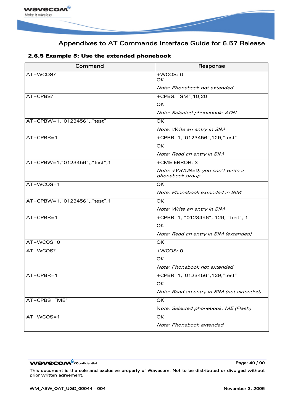

| Command                       | Response                                            |
|-------------------------------|-----------------------------------------------------|
| AT+WCOS?                      | $+WCOS: 0$<br>OK.                                   |
|                               | Note: Phonebook not extended                        |
| AT+CPBS?                      | +CPBS: "SM", 10, 20                                 |
|                               | <b>OK</b>                                           |
|                               | Note: Selected phonebook: ADN                       |
| AT+CPBW=1,"0123456",,"test"   | <b>OK</b>                                           |
|                               | Note: Write an entry in SIM                         |
| $AT+CPBR=1$                   | +CPBR: 1,"0123456",129,"test"                       |
|                               | <b>OK</b>                                           |
|                               | Note: Read an entry in SIM                          |
| AT+CPBW=1,"0123456",,"test",1 | +CME ERROR: 3                                       |
|                               | Note: +WCOS=0; you can't write a<br>phonebook group |
| $AT+WCOS=1$                   | OK                                                  |
|                               | Note: Phonebook extended in SIM                     |
| AT+CPBW=1,"0123456",,"test",1 | OK.                                                 |
|                               | Note: Write an entry in SIM                         |
| $AT+CPBR=1$                   | +CPBR: 1, "0123456", 129, "test", 1                 |
|                               | <b>OK</b>                                           |
|                               | Note: Read an entry in SIM (extended)               |
| $AT+WCOS=0$                   | <b>OK</b>                                           |
| AT+WCOS?                      | $+WCOS: 0$                                          |
|                               | OK.                                                 |
|                               | Note: Phonebook not extended                        |
| $AT+CPBR=1$                   | +CPBR: 1,"0123456",129,"test"                       |
|                               | OК                                                  |
|                               | Note: Read an entry in SIM (not extended)           |
| AT+CPBS="ME"                  | OK                                                  |
|                               | Note: Selected phonebook: ME (Flash)                |
| $AT+WCOS=1$                   | OK                                                  |
|                               | Note: Phonebook extended                            |

## 2.6.5 Example 5: Use the extended phonebook

WƏVECOM<sup>®</sup>cconfidential example of the example of the Page: 40 / 90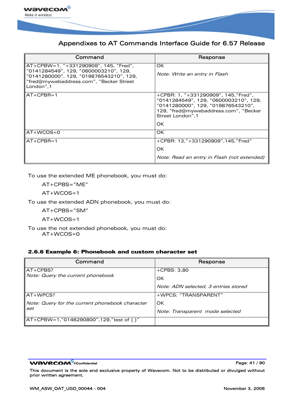

| Command                                                                                                                                                                           | Response                                                                                                                                                                         |
|-----------------------------------------------------------------------------------------------------------------------------------------------------------------------------------|----------------------------------------------------------------------------------------------------------------------------------------------------------------------------------|
| AT+CPBW=1, "+331290909", 145, "Fred",<br>"0141284549", 129, "0600003210", 129,<br>"0141280000", 129, "019876543210", 129,<br>"fred@mywebaddress.com", "Becker Street<br>London".1 | OK.<br>Note: Write an entry in Flash                                                                                                                                             |
| IAT+CPBR=1                                                                                                                                                                        | +CPBR: 1, "+331290909", 145, "Fred",<br>"0141284549", 129, "0600003210", 129,<br>"0141280000", 129, "019876543210",<br>129, "fred@mywebaddress.com", "Becker<br>Street London".1 |
|                                                                                                                                                                                   | OK.                                                                                                                                                                              |
| $AT+WCOS=0$                                                                                                                                                                       | OK.                                                                                                                                                                              |
| $AT+CPBR=1$                                                                                                                                                                       | +CPBR: 13,"+331290909",145,"Fred"<br>OK.<br>Note: Read an entry in Flash (not extended)                                                                                          |

To use the extended ME phonebook, you must do:

AT+CPBS="ME"

AT+WCOS=1

To use the extended ADN phonebook, you must do:

AT+CPBS="SM"

AT+WCOS=1

To use the not extended phonebook, you must do: AT+WCOS=0

### 2.6.6 Example 6: Phonebook and custom character set

| Command                                         | Response                             |
|-------------------------------------------------|--------------------------------------|
| $\textsf{IAT+CPBS?}$                            | $+CPBS: 3,80$                        |
| Note: Query the current phonebook               | OK                                   |
|                                                 | Note: ADN selected, 3 entries stored |
| $AT+WPCS?$                                      | +WPCS: "TRANSPARENT"                 |
| Note: Query for the current phonebook character | OK.                                  |
| set                                             | Note: Transparent mode selected      |
| AT+CPBW=1,"0146290800",129,"test of { }"        |                                      |

**WAVECOM**<sup>®</sup>confidential **Page:** 41 / 90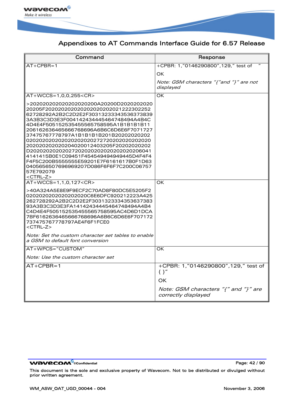

| Command                                                                                                                                                                                                                                                                                                                                                                                                                                                                                                                                                      | Response                                                    |
|--------------------------------------------------------------------------------------------------------------------------------------------------------------------------------------------------------------------------------------------------------------------------------------------------------------------------------------------------------------------------------------------------------------------------------------------------------------------------------------------------------------------------------------------------------------|-------------------------------------------------------------|
| $AT+CPBR=1$                                                                                                                                                                                                                                                                                                                                                                                                                                                                                                                                                  | +CPBR: 1,"0146290800",129," test of                         |
|                                                                                                                                                                                                                                                                                                                                                                                                                                                                                                                                                              | OK                                                          |
|                                                                                                                                                                                                                                                                                                                                                                                                                                                                                                                                                              | Note: GSM characters "{"and "}" are not<br>displayed        |
| AT+WCCS=1,0,0,255 <cr></cr>                                                                                                                                                                                                                                                                                                                                                                                                                                                                                                                                  | OK                                                          |
| >202020202020202020200A20200D2020202020<br>20205F202020202020202020202021222302252<br>62728292A2B2C2D2E2F30313233343536373839<br>3A3B3C3D3E3F004142434445464748494A4B4C<br>4D4E4F505152535455565758595A1B1B1B1B11<br>206162636465666768696A6B6C6D6E6F7071727<br>37475767778797A1B1B1B1B201B20202020202<br>202020202020204020012403205F20202020202<br>D20202020202027202020202020202020206041<br>4141415B0E1C09451F454549494949445D4F4F4<br>F4F5C200B5555555E59201E7F6161617B0F1D63<br>0405656507696969207D086F6F6F7C200C06757<br>57E792079<br>$<$ CTRL-Z $>$ |                                                             |
| AT+WCCS=1,1,0,127 <cr></cr>                                                                                                                                                                                                                                                                                                                                                                                                                                                                                                                                  | OK                                                          |
| >40A324A5E8E9F9ECF2C70AD8F80DC5E5205F2<br>0202020202020202020C6E6DFC920212223A425<br>262728292A2B2C2D2E2F3031323334353637383<br>93A3B3C3D3E3FA14142434445464748494A4B4<br>C4D4E4F505152535455565758595AC4D6D1DCA<br>7BF6162636465666768696A6B6C6D6E6F707172<br>737475767778797AE4F6F1FCE0<br>$<$ CTRL-Z $>$                                                                                                                                                                                                                                                  |                                                             |
| Note: Set the custom character set tables to enable<br>a GSM to default font conversion                                                                                                                                                                                                                                                                                                                                                                                                                                                                      |                                                             |
| AT+WPCS="CUSTOM"                                                                                                                                                                                                                                                                                                                                                                                                                                                                                                                                             | OK                                                          |
| Note: Use the custom character set                                                                                                                                                                                                                                                                                                                                                                                                                                                                                                                           |                                                             |
| $AT+CPBR=1$                                                                                                                                                                                                                                                                                                                                                                                                                                                                                                                                                  | +CPBR: 1,"0146290800",129," test of<br>$\{\ \}''$<br>OK     |
|                                                                                                                                                                                                                                                                                                                                                                                                                                                                                                                                                              | Note: GSM characters "{" and "}" are<br>correctly displayed |

WƏVECOM<sup>®</sup>cconfidential example of the example of the Page: 42 / 90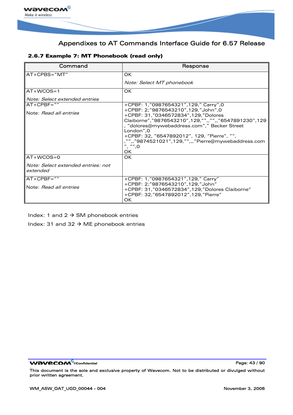

|  |  | 2.6.7 Example 7: MT Phonebook (read only) |  |
|--|--|-------------------------------------------|--|
|  |  |                                           |  |

| Command                                        | Response                                                                                                                                                                                                                                                                                                                                                                  |
|------------------------------------------------|---------------------------------------------------------------------------------------------------------------------------------------------------------------------------------------------------------------------------------------------------------------------------------------------------------------------------------------------------------------------------|
| $AT+CPBS="MT"$                                 | OK                                                                                                                                                                                                                                                                                                                                                                        |
|                                                | Note: Select MT phonebook                                                                                                                                                                                                                                                                                                                                                 |
| $AT+WCOS=1$                                    | OK                                                                                                                                                                                                                                                                                                                                                                        |
| Note: Select extended entries                  |                                                                                                                                                                                                                                                                                                                                                                           |
| $AT+CPBF="$                                    | +CPBF: 1,"0987654321",129," Carry",0                                                                                                                                                                                                                                                                                                                                      |
| Note: Read all entries                         | +CPBF: 2;"9876543210",129,"John",0<br>+CPBF: 31,"0346572834",129,"Dolores<br>Claiborne", "9876543210", 129, "",, "",, "6547891230", 129<br>, "dolores@mywebaddress.com"," Becker Street<br>London".0<br>+CPBF: 32, "6547892012", 129, "Pierre", "",<br>"",,"9874521021",129,"",,,"Pierre@mywebaddress.com<br>$^{\prime\prime}$ , $^{\prime\prime\prime\prime}$ , 0<br>OK. |
| $AT+WCOS=0$                                    | OK.                                                                                                                                                                                                                                                                                                                                                                       |
| Note: Select extended entries: not<br>extended |                                                                                                                                                                                                                                                                                                                                                                           |
| $AT+CPBF="$                                    | +CPBF: 1,"0987654321",129," Carry"                                                                                                                                                                                                                                                                                                                                        |
| Note: Read all entries                         | +CPBF: 2;"9876543210",129,"John"<br>+CPBF: 31,"0346572834",129,"Dolores Claiborne"<br>+CPBF: 32,"6547892012",129,"Pierre"<br>OK                                                                                                                                                                                                                                           |

Index: 1 and 2  $\rightarrow$  SM phonebook entries

Index: 31 and 32  $\rightarrow$  ME phonebook entries

WƏVECOM<sup>®</sup>cconfidential example of the example of the Page: 43 / 90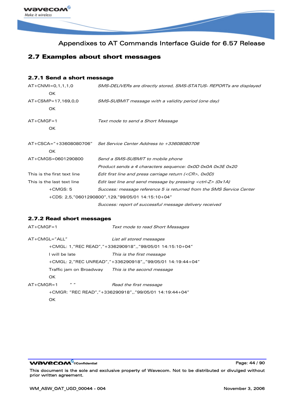

# 2.7 Examples about short messages

### 2.7.1 Send a short message

| $AT+CNMI=0,1,1,1,0$         | SMS-DELIVERs are directly stored, SMS-STATUS- REPORTs are displayed     |
|-----------------------------|-------------------------------------------------------------------------|
| OK.                         |                                                                         |
| AT+CSMP=17,169,0,0          | SMS-SUBMIT message with a validity period (one day)                     |
| OK.                         |                                                                         |
| $AT+CMGF=1$                 | Text mode to send a Short Message                                       |
| OK.                         |                                                                         |
| AT+CSCA="+33608080706"      | Set Service Center Address to +33608080706                              |
| OK.                         |                                                                         |
| AT+CMGS=0601290800          | Send a SMS-SUBMIT to mobile phone                                       |
|                             | Product sends a 4 characters sequence: 0x0D 0x0A 0x3E 0x20              |
| This is the first text line | Edit first line and press carriage return ( <cr>, 0x0D)</cr>            |
| This is the last text line  | Edit last line and send message by pressing $\langle$ ctrl-Z $>$ (0x1A) |
| $+CMGS: 5$                  | Success: message reference 5 is returned from the SMS Service Center    |
|                             | +CDS: 2,5,"0601290800",129,"99/05/01 14:15:10+04"                       |
|                             | Success: report of successful message delivery received                 |

### 2.7.2 Read short messages

```
AT+CMGF=1 Text mode to read Short Messages
AT+CMGL="ALL" List all stored messages
       +CMGL: 1,"REC READ","+336290918",,"99/05/01 14:15:10+04" 
       I will be late This is the first message
       +CMGL: 2,"REC UNREAD","+336290918",,"99/05/01 14:19:44+04" 
       Traffic jam on Broadway This is the second message
       OK
AT+CMGR=1 " " Read the first message
       +CMGR: "REC READ","+336290918",,"99/05/01 14:19:44+04" 
       OK
```
**WƏVECOM**<sup>©</sup>confidential Page: 44 / 90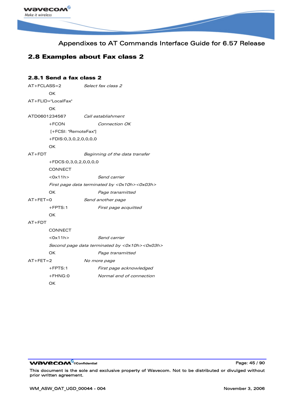

# 2.8 Examples about Fax class 2

## 2.8.1 Send a fax class 2

| $AT + FCLASS = 2$ |                        | Select fax class 2                            |  |  |  |  |  |  |
|-------------------|------------------------|-----------------------------------------------|--|--|--|--|--|--|
|                   | OК                     |                                               |  |  |  |  |  |  |
|                   | AT+FLID="LocalFax"     |                                               |  |  |  |  |  |  |
|                   | OК                     |                                               |  |  |  |  |  |  |
|                   | ATD0601234567          | Call establishment                            |  |  |  |  |  |  |
|                   | $+FCON$                | Connection OK                                 |  |  |  |  |  |  |
|                   | [+FCSI: "RemoteFax"]   |                                               |  |  |  |  |  |  |
|                   | +FDIS:0,3,0,2,0,0,0,0  |                                               |  |  |  |  |  |  |
|                   | OK                     |                                               |  |  |  |  |  |  |
| $AT+FDT$          |                        | Beginning of the data transfer                |  |  |  |  |  |  |
|                   | +FDCS:0,3,0,2,0,0,0,0  |                                               |  |  |  |  |  |  |
|                   | <b>CONNECT</b>         |                                               |  |  |  |  |  |  |
|                   | $<$ O $\times$ 11h $>$ | Send carrier                                  |  |  |  |  |  |  |
|                   |                        | First page data terminated by <0x10h><0x03h>  |  |  |  |  |  |  |
|                   | OК                     | Page transmitted                              |  |  |  |  |  |  |
| $AT + FET = 0$    |                        | Send another page                             |  |  |  |  |  |  |
|                   | $+$ FPTS:1             | First page acquitted                          |  |  |  |  |  |  |
|                   | ОK                     |                                               |  |  |  |  |  |  |
| $AT+FDT$          |                        |                                               |  |  |  |  |  |  |
|                   | <b>CONNECT</b>         |                                               |  |  |  |  |  |  |
|                   | $<$ Ox11h $>$          | Send carrier                                  |  |  |  |  |  |  |
|                   |                        | Second page data terminated by <0x10h><0x03h> |  |  |  |  |  |  |
|                   | ОK                     | Page transmitted                              |  |  |  |  |  |  |
| $AT + FET = 2$    |                        | No more page                                  |  |  |  |  |  |  |
|                   | $+$ FPTS:1             | First page acknowledged                       |  |  |  |  |  |  |
|                   | $+FHNG:0$              | Normal end of connection                      |  |  |  |  |  |  |

OK

WƏVECOM<sup>®</sup>cconfidential **Page: 45 / 90**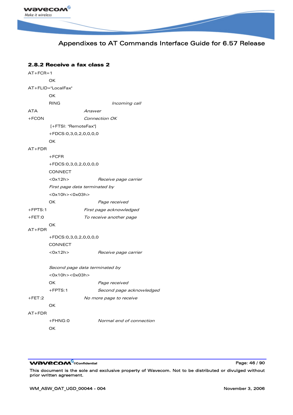

## 2.8.2 Receive a fax class 2

| $AT + FCR = 1$ |                               |                                |  |  |  |  |  |  |  |  |
|----------------|-------------------------------|--------------------------------|--|--|--|--|--|--|--|--|
|                | OK                            |                                |  |  |  |  |  |  |  |  |
|                | AT+FLID="LocalFax"            |                                |  |  |  |  |  |  |  |  |
|                | OK                            |                                |  |  |  |  |  |  |  |  |
|                | <b>RING</b>                   | Incoming call                  |  |  |  |  |  |  |  |  |
| ATA            |                               | Answer                         |  |  |  |  |  |  |  |  |
| $+FCON$        |                               | Connection OK                  |  |  |  |  |  |  |  |  |
|                | [+FTSI: "RemoteFax"]          |                                |  |  |  |  |  |  |  |  |
|                | +FDCS:0,3,0,2,0,0,0,0         |                                |  |  |  |  |  |  |  |  |
|                | OK                            |                                |  |  |  |  |  |  |  |  |
| $AT+FDR$       |                               |                                |  |  |  |  |  |  |  |  |
|                | $+FCFR$                       |                                |  |  |  |  |  |  |  |  |
|                | +FDCS:0,3,0,2,0,0,0,0         |                                |  |  |  |  |  |  |  |  |
|                | <b>CONNECT</b>                |                                |  |  |  |  |  |  |  |  |
|                | $<$ O $\times$ 12h $>$        | Receive page carrier           |  |  |  |  |  |  |  |  |
|                | First page data terminated by |                                |  |  |  |  |  |  |  |  |
|                | $<$ Ox10h> $<$ Ox03h>         |                                |  |  |  |  |  |  |  |  |
|                | OK                            | Page received                  |  |  |  |  |  |  |  |  |
| $+$ FPTS:1     |                               | First page acknowledged        |  |  |  |  |  |  |  |  |
| $+$ FET:0      |                               | To receive another page        |  |  |  |  |  |  |  |  |
| $AT+FDR$       | OK                            |                                |  |  |  |  |  |  |  |  |
|                | +FDCS:0,3,0,2,0,0,0,0         |                                |  |  |  |  |  |  |  |  |
|                | <b>CONNECT</b>                |                                |  |  |  |  |  |  |  |  |
|                | $<$ Ox12h $>$                 | Receive page carrier           |  |  |  |  |  |  |  |  |
|                |                               | Second page data terminated by |  |  |  |  |  |  |  |  |
|                | $<$ Ox10h> $<$ Ox03h>         |                                |  |  |  |  |  |  |  |  |
|                | OK                            | Page received                  |  |  |  |  |  |  |  |  |
|                | $+$ FPTS:1                    | Second page acknowledged       |  |  |  |  |  |  |  |  |
| $+$ FET:2      |                               | No more page to receive        |  |  |  |  |  |  |  |  |
|                | OK                            |                                |  |  |  |  |  |  |  |  |
| $AT+FDR$       |                               |                                |  |  |  |  |  |  |  |  |
|                | $+FHNG:0$                     | Normal end of connection       |  |  |  |  |  |  |  |  |
|                | OK                            |                                |  |  |  |  |  |  |  |  |

WƏVECOM<sup>®</sup>cconfidential example of the example of the Page: 46 / 90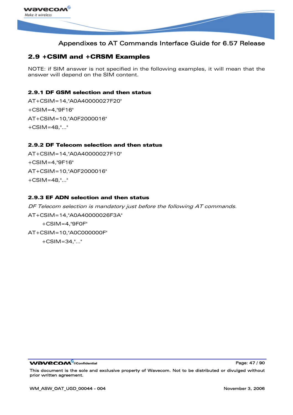

# 2.9 +CSIM and +CRSM Examples

NOTE: if SIM answer is not specified in the following examples, it will mean that the answer will depend on the SIM content.

## 2.9.1 DF GSM selection and then status

AT+CSIM=14,"A0A40000027F20" +CSIM=4,"9F16" AT+CSIM=10,"A0F2000016" +CSIM=48,"…"

### 2.9.2 DF Telecom selection and then status

AT+CSIM=14,"A0A40000027F10" +CSIM=4,"9F16" AT+CSIM=10,"A0F2000016" +CSIM=48,"…"

### 2.9.3 EF ADN selection and then status

DF Telecom selection is mandatory just before the following AT commands. AT+CSIM=14,"A0A40000026F3A" +CSIM=4,"9F0F" AT+CSIM=10,"A0C000000F" +CSIM=34,"…"

**WƏVECOM**<sup>©</sup>confidential Page: 47 / 90

This document is the sole and exclusive property of Wavecom. Not to be distributed or divulged without prior written agreement.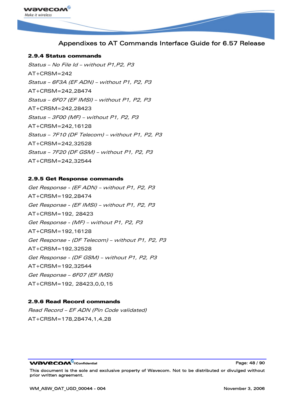

### 2.9.4 Status commands

Status – No File Id – without P1,P2, P3 AT+CRSM=242 Status – 6F3A (EF ADN) – without P1, P2, P3 AT+CRSM=242,28474 Status – 6F07 (EF IMSI) – without P1, P2, P3 AT+CRSM=242,28423 Status – 3F00 (MF) – without P1, P2, P3 AT+CRSM=242,16128 Status – 7F10 (DF Telecom) – without P1, P2, P3 AT+CRSM=242,32528 Status – 7F20 (DF GSM) – without P1, P2, P3 AT+CRSM=242,32544

### 2.9.5 Get Response commands

Get Response - (EF ADN) – without P1, P2, P3 AT+CRSM=192,28474 Get Response - (EF IMSI) – without P1, P2, P3 AT+CRSM=192, 28423 Get Response - (MF) – without P1, P2, P3 AT+CRSM=192,16128 Get Response - (DF Telecom) – without P1, P2, P3 AT+CRSM=192,32528 Get Response - (DF GSM) – without P1, P2, P3 AT+CRSM=192,32544 Get Response – 6F07 (EF IMSI) AT+CRSM=192, 28423,0,0,15

### 2.9.6 Read Record commands

Read Record – EF ADN (Pin Code validated) AT+CRSM=178,28474,1,4,28

**WƏVECOM**<sup>⊗</sup>confidential Page: 48 / 90

This document is the sole and exclusive property of Wavecom. Not to be distributed or divulged without prior written agreement.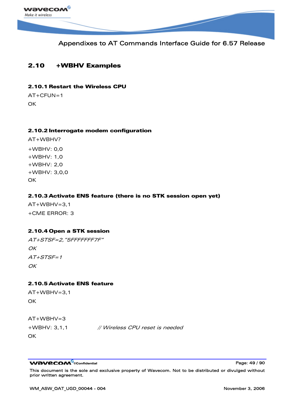

# 2.10 +WBHV Examples

### 2.10.1 Restart the Wireless CPU

AT+CFUN=1 **OK** 

### 2.10.2 Interrogate modem configuration

AT+WBHV? +WBHV: 0,0 +WBHV: 1,0 +WBHV: 2,0 +WBHV: 3,0,0 OK

## 2.10.3 Activate ENS feature (there is no STK session open yet)

 $AT+WBHV=3.1$ +CME ERROR: 3

## 2.10.4 Open a STK session

AT+STSF=2,"5FFFFFFF7F"  $OK$  $AT+STSF=1$ OK

### 2.10.5 Activate ENS feature

 $AT+WBHV=3.1$ **OK** 

 $AT+WBHV=3$ 

+WBHV: 3,1,1 // Wireless CPU reset is needed

OK

**WAVECOM**<sup>©</sup>confidential Page: 49 / 90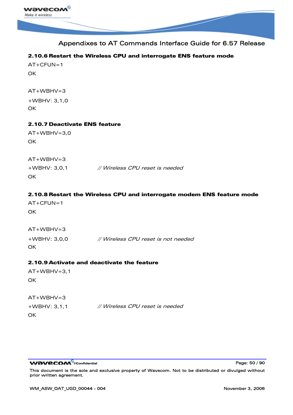

## 2.10.6 Restart the Wireless CPU and interrogate ENS feature mode

 $AT+CFUN=1$ **OK** 

 $AT+WBHV=3$ +WBHV: 3,1,0

**OK** 

## 2.10.7 Deactivate ENS feature

AT+WBHV=3,0 **OK** 

 $AT+WBHV=3$ +WBHV: 3,0,1 // Wireless CPU reset is needed **OK** 

## 2.10.8 Restart the Wireless CPU and interrogate modem ENS feature mode

AT+CFUN=1 **OK** 

AT+WBHV=3

+WBHV: 3,0,0 // Wireless CPU reset is not needed **OK** 

## 2.10.9 Activate and deactivate the feature

 $AT+WBHV=3.1$ **OK** 

| $AT+WBHV=3$     |                                 |
|-----------------|---------------------------------|
| $+$ WBHV: 3,1,1 | // Wireless CPU reset is needed |
| OK              |                                 |

**WAVECOM**<sup>©</sup>confidential Page: 50 / 90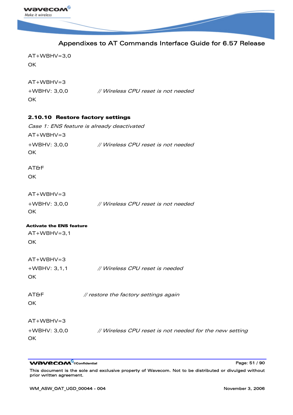

|                                   | Appendixes to AT Commands Interface Guide for 6.57 Release |
|-----------------------------------|------------------------------------------------------------|
| $AT+WBHV=3,0$<br>OK               |                                                            |
| $AT+WBHV=3$<br>+WBHV: 3,0,0<br>OK | // Wireless CPU reset is not needed                        |
| 2.10.10 Restore factory settings  |                                                            |
|                                   | Case 1: ENS feature is already deactivated                 |
| $AT+WBHV=3$                       |                                                            |
| +WBHV: 3,0,0<br>OK                | // Wireless CPU reset is not needed                        |
| <b>AT&amp;F</b>                   |                                                            |
| OK                                |                                                            |
| $AT+WBHV=3$                       |                                                            |
| +WBHV: 3,0,0<br>OK                | // Wireless CPU reset is not needed                        |
| <b>Activate the ENS feature</b>   |                                                            |
| $AT+WBHV=3,1$                     |                                                            |
| OK                                |                                                            |
| $AT+WBHV=3$                       |                                                            |
| $+WBHV: 3,1,1$                    | // Wireless CPU reset is needed                            |
| OK                                |                                                            |
| <b>AT&amp;F</b>                   | // restore the factory settings again                      |
| OK                                |                                                            |
| $AT+WBHV=3$                       |                                                            |
| +WBHV: 3,0,0                      | // Wireless CPU reset is not needed for the new setting    |
| OK.                               |                                                            |

WƏVECOM<sup>®</sup>cconfidential example of the example of the Page: 51 / 90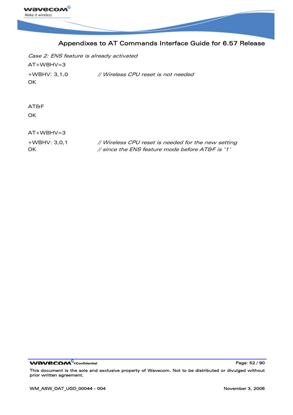

Case 2: ENS feature is already activated  $AT+WBHV=3$ +WBHV: 3,1,0 // Wireless CPU reset is not needed **OK** 

AT&F **OK** 

 $AT+WBHV=3$ 

+WBHV: 3,0,1 // Wireless CPU reset is needed for the new setting OK // since the ENS feature mode before AT&F is '1'

**WAVECOM**<sup>®</sup>confidential **Page: 52 / 90** Note that the end of the end of the end of the end of the end of the end of the end of the end of the end of the end of the end of the end of the end of the end of the end of the en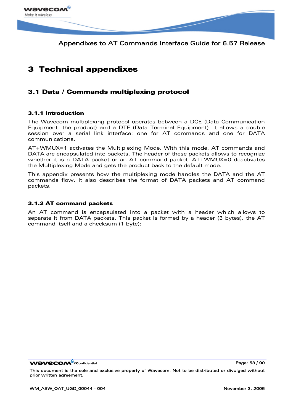

# 3 Technical appendixes

# 3.1 Data / Commands multiplexing protocol

### 3.1.1 Introduction

The Wavecom multiplexing protocol operates between a DCE (Data Communication Equipment: the product) and a DTE (Data Terminal Equipment). It allows a double session over a serial link interface: one for AT commands and one for DATA communications.

AT+WMUX=1 activates the Multiplexing Mode. With this mode, AT commands and DATA are encapsulated into packets. The header of these packets allows to recognize whether it is a DATA packet or an AT command packet. AT+WMUX=0 deactivates the Multiplexing Mode and gets the product back to the default mode.

This appendix presents how the multiplexing mode handles the DATA and the AT commands flow. It also describes the format of DATA packets and AT command packets.

### 3.1.2 AT command packets

An AT command is encapsulated into a packet with a header which allows to separate it from DATA packets. This packet is formed by a header (3 bytes), the AT command itself and a checksum (1 byte):

**WƏVECOM** ©confidential Page: 53 / 90

This document is the sole and exclusive property of Wavecom. Not to be distributed or divulged without prior written agreement.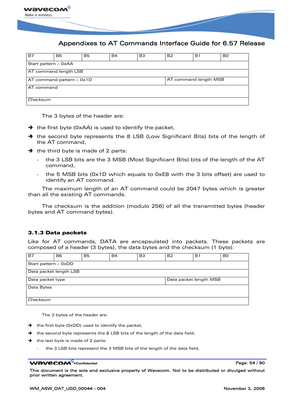

| <b>B7</b>                  | B6                                                       | B5 | <b>B4</b> | B <sub>3</sub> | B <sub>2</sub> | Β1 | B <sub>0</sub> |  |  |
|----------------------------|----------------------------------------------------------|----|-----------|----------------|----------------|----|----------------|--|--|
| Start pattern $\land$ OxAA |                                                          |    |           |                |                |    |                |  |  |
|                            | AT command length LSB                                    |    |           |                |                |    |                |  |  |
|                            | AT command length MSB<br>AT command pattern $\land$ 0x1D |    |           |                |                |    |                |  |  |
| AT command                 |                                                          |    |           |                |                |    |                |  |  |
| Checksum                   |                                                          |    |           |                |                |    |                |  |  |

The 3 bytes of the header are:

- $\rightarrow$  the first byte (0xAA) is used to identify the packet,
- $\rightarrow$  the second byte represents the 8 LSB (Low Significant Bits) bits of the length of the AT command,
- $\rightarrow$  the third byte is made of 2 parts:
	- the 3 LSB bits are the 3 MSB (Most Significant Bits) bits of the length of the AT command,
	- the 5 MSB bits (0x1D which equals to 0xE8 with the 3 bits offset) are used to identify an AT command.

The maximum length of an AT command could be 2047 bytes which is greater than all the existing AT commands.

The checksum is the addition (modulo 256) of all the transmitted bytes (header bytes and AT command bytes).

### 3.1.3 Data packets

Like for AT commands, DATA are encapsulated into packets. These packets are composed of a header (3 bytes), the data bytes and the checksum (1 byte):

| <b>B7</b>                                  | B <sub>6</sub>         | <b>B5</b> | <b>B4</b> | B <sub>3</sub> | <b>B2</b> | <b>B1</b> | B <sub>0</sub> |  |  |
|--------------------------------------------|------------------------|-----------|-----------|----------------|-----------|-----------|----------------|--|--|
| Start pattern $\land$ OxDD                 |                        |           |           |                |           |           |                |  |  |
|                                            | Data packet length LSB |           |           |                |           |           |                |  |  |
| Data packet length MSB<br>Data packet type |                        |           |           |                |           |           |                |  |  |
| Data Bytes                                 |                        |           |           |                |           |           |                |  |  |
| Checksum                                   |                        |           |           |                |           |           |                |  |  |

The 3 bytes of the header are:

- $\rightarrow$  the first byte (0xDD) used to identify the packet,
- $\rightarrow$  the second byte represents the 8 LSB bits of the length of the data field,
- $\rightarrow$  the last byte is made of 2 parts:
	- the 3 LSB bits represent the 3 MSB bits of the length of the data field,

#### **WƏVECOM**<sup>⊗</sup>confidential Page: 54 / 90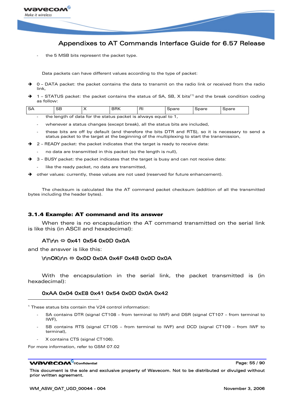

the 5 MSB bits represent the packet type.

Data packets can have different values according to the type of packet:

- $\rightarrow$  0 DATA packet: the packet contains the data to transmit on the radio link or received from the radio link,
- $\rightarrow$  [1](#page-55-0) STATUS packet: the packet contains the status of SA, SB, X bits<sup>(1)</sup> and the break condition coding as follow:

| SA | r n<br>55 |  | $\overline{\phantom{a}}$<br>. | ∽.<br>. .<br>וח<br>$\sim$ $\sim$ $\sim$ $\sim$ | $\mathbf{r} \cdot \mathbf{r} \cdot \mathbf{r}$<br>ਾ∪ਰਾਹ | $\sim$<br>airc. | ipare |
|----|-----------|--|-------------------------------|------------------------------------------------|---------------------------------------------------------|-----------------|-------|
|    |           |  |                               |                                                |                                                         |                 |       |

- the length of data for the status packet is always equal to 1,
- whenever a status changes (except break), all the status bits are included,
- these bits are off by default (and therefore the bits DTR and RTS), so it is necessary to send a status packet to the target at the beginning of the multiplexing to start the transmission,
- $\rightarrow$  2 READY packet: the packet indicates that the target is ready to receive data:
	- no data are transmitted in this packet (so the length is null),
- $\rightarrow$  3 BUSY packet: the packet indicates that the target is busy and can not receive data:
	- like the ready packet, no data are transmitted,
- $\rightarrow$  other values: currently, these values are not used (reserved for future enhancement).

The checksum is calculated like the AT command packet checksum (addition of all the transmitted bytes including the header bytes).

#### 3.1.4 Example: AT command and its answer

When there is no encapsulation the AT command transmitted on the serial link is like this (in ASCII and hexadecimal):

#### $AT\$ hbox{nn} \Leftrightarrow 0x41 0x54 0x0D 0x0A

and the answer is like this:

ł

#### \r\nOK\r\n Ù 0x0D 0x0A 0x4F 0x4B 0x0D 0x0A

With the encapsulation in the serial link, the packet transmitted is (in hexadecimal):

## 0xAA 0x04 0xE8 0x41 0x54 0x0D 0x0A 0x42

<span id="page-55-0"></span><sup>1</sup> These status bits contain the V24 control information:

- SA contains DTR (signal CT108 from terminal to IWF) and DSR (signal CT107 from terminal to IWF),
- SB contains RTS (signal CT105 from terminal to IWF) and DCD (signal CT109 from IWF to terminal),
- X contains CTS (signal CT106).

For more information, refer to GSM 07.02

#### **WƏVECOM**<sup>⊗</sup>confidential Page: 55 / 90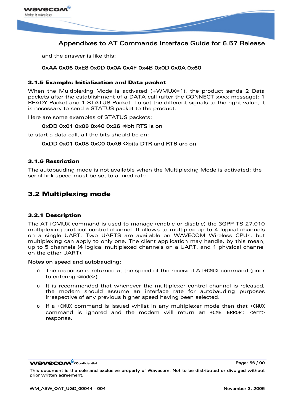

and the answer is like this:

### 0xAA 0x06 0xE8 0x0D 0x0A 0x4F 0x4B 0x0D 0x0A 0x60

### 3.1.5 Example: Initialization and Data packet

When the Multiplexing Mode is activated (+WMUX=1), the product sends 2 Data packets after the establishment of a DATA call (after the CONNECT xxxx message): 1 READY Packet and 1 STATUS Packet. To set the different signals to the right value, it is necessary to send a STATUS packet to the product.

Here are some examples of STATUS packets:

### $0xDD$  0x01 0x08 0x40 0x26  $\Leftrightarrow$  bit RTS is on

to start a data call, all the bits should be on:

### $0xDD$  0x01 0x08 0xC0 0xA6  $\Leftrightarrow$  bits DTR and RTS are on

### 3.1.6 Restriction

The autobauding mode is not available when the Multiplexing Mode is activated: the serial link speed must be set to a fixed rate.

## 3.2 Multiplexing mode

### 3.2.1 Description

The AT+CMUX command is used to manage (enable or disable) the 3GPP TS 27.010 multiplexing protocol control channel. It allows to multiplex up to 4 logical channels on a single UART. Two UARTS are available on WAVECOM Wireless CPUs, but multiplexing can apply to only one. The client application may handle, by this mean, up to 5 channels (4 logical multiplexed channels on a UART, and 1 physical channel on the other UART).

### Notes on speed and autobauding:

- o The response is returned at the speed of the received AT+CMUX command (prior to entering <mode>).
- o It is recommended that whenever the multiplexer control channel is released, the modem should assume an interface rate for autobauding purposes irrespective of any previous higher speed having been selected.
- o If a +CMUX command is issued whilst in any multiplexer mode then that  $+CMUX$ command is ignored and the modem will return an  $+CME$  ERROR:  $\leq$   $\leq$   $\leq$   $\leq$ response.

WƏVECOM ©confidential Page: 56 / 90

This document is the sole and exclusive property of Wavecom. Not to be distributed or divulged without prior written agreement.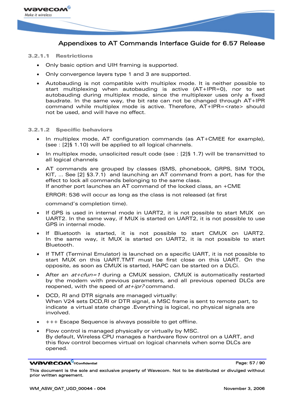

#### 3.2.1.1 Restrictions

- Only basic option and UIH framing is supported.
- Only convergence layers type 1 and 3 are supported.
- Autobauding is not compatible with multiplex mode. It is neither possible to start multiplexing when autobauding is active (AT+IPR=0), nor to set autobauding during multiplex mode, since the multiplexer uses only a fixed baudrate. In the same way, the bit rate can not be changed through AT+IPR command while multiplex mode is active. Therefore, AT+IPR=<rate> should not be used, and will have no effect.

#### 3.2.1.2 Specific behaviors

- In multiplex mode, AT configuration commands (as AT+CMEE for example), (see : [2]§ 1.10) will be applied to all logical channels.
- In multiplex mode, unsolicited result code (see : [2]§ 1.7) will be transmitted to all logical channels
- AT commands are grouped by classes (SMS, phonebook, GRPS, SIM TOOL KIT, … See [2] §3.7.1) and launching an AT command from a port, has for the effect to lock all commands belonging to the same class. If another port launches an AT command of the locked class, an +CME

ERROR: 536 will occur as long as the class is not released (at first

command's completion time).

- If GPS is used in internal mode in UART2, it is not possible to start MUX on UART2. In the same way, if MUX is started on UART2, it is not possible to use GPS in internal mode.
- If Bluetooth is started, it is not possible to start CMUX on UART2. In the same way, it MUX is started on UART2, it is not possible to start Bluetooth.
- If TMT (Terminal Emulator) is launched on a specific UART, it is not possible to start MUX on this UART.TMT must be first close on this UART. On the opposite, as soon as CMUX is started, HAPC can be started on a DLCi.
- After an  $at+ctun=1$  during a CMUX session, CMUX is automatically restarted by the modem with previous parameters, and all previous opened DLCs are reopened, with the speed of  $at+ipr$ ? command.
- DCD, RI and DTR signals are managed virtually: When V24 sets DCD,RI or DTR signal, a MSC frame is sent to remote part, to indicate a virtual state change .Everything is logical, no physical signals are involved.
- +++ Escape Sequence is always possible to get offline.
- Flow control is managed physically or virtually by MSC. By default, Wireless CPU manages a hardware flow control on a UART, and this flow control becomes virtual on logical channels when some DLCs are opened.

**WƏVECOM**<sup>©</sup>confidential Page: 57 / 90

This document is the sole and exclusive property of Wavecom. Not to be distributed or divulged without prior written agreement.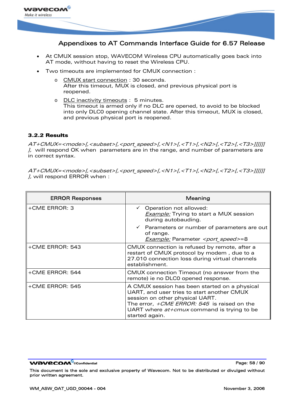

- At CMUX session stop, WAVECOM Wireless CPU automatically goes back into AT mode, without having to reset the Wireless CPU.
- Two timeouts are implemented for CMUX connection :
	- o CMUX start connection : 30 seconds. After this timeout, MUX is closed, and previous physical port is reopened.
	- o DLC inactivity timeouts : 5 minutes. This timeout is armed only if no DLC are opened, to avoid to be blocked into only DLC0 opening channel state. After this timeout, MUX is closed, and previous physical port is reopened.

## 3.2.2 Results

AT+CMUX=<mode>[,<subset>[,<port\_speed>[,<N1>[,<T1>[,<N2>[,<T2>[,<T3>]]]]]]  $\mu$ , will respond OK when parameters are in the range, and number of parameters are in correct syntax.

AT+CMUX=<mode>[,<subset>[,<port\_speed>[,<N1>[,<T1>[,<N2>[,<T2>[,<T3>]]]]]] ], will respond ERROR when :

| <b>ERROR Responses</b> | Meaning                                                                                                                                                                                                                                                     |
|------------------------|-------------------------------------------------------------------------------------------------------------------------------------------------------------------------------------------------------------------------------------------------------------|
| +CME ERROR: 3          | $\checkmark$ Operation not allowed:<br><b>Example:</b> Trying to start a MUX session<br>during autobauding.                                                                                                                                                 |
|                        | $\checkmark$ Parameters or number of parameters are out<br>of range.<br><b>Example:</b> Parameter <port speed="">=8</port>                                                                                                                                  |
| +CME ERROR: 543        | CMUX connection is refused by remote, after a<br>restart of CMUX protocol by modem, due to a<br>27.010 connection loss during virtual channels<br>establishment.                                                                                            |
| +CME ERROR: 544        | CMUX connection Timeout (no answer from the<br>remote) ie no DLC0 opened response.                                                                                                                                                                          |
| +CME ERROR: 545        | A CMUX session has been started on a physical<br>UART, and user tries to start another CMUX<br>session on other physical UART.<br>The error, <i>+CME ERROR: 545</i> is raised on the<br>UART where $at$ + $cm$ ux command is trying to be<br>started again. |

**WƏVECOM**<sup>©</sup>confidential Page: 58 / 90

This document is the sole and exclusive property of Wavecom. Not to be distributed or divulged without prior written agreement.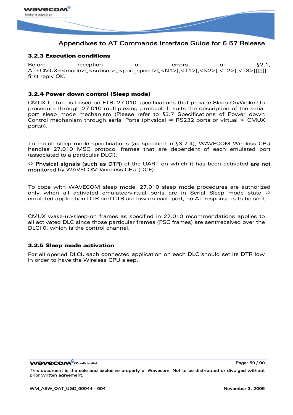

## 3.2.3 Execution conditions

Before reception of errors of §2.1, AT+CMUX=<mode>[,<subset>[,<port\_speed>[,<N1>[,<T1>[,<N2>[,<T2>[,<T3>]]]]]]] first reply OK.

### 3.2.4 Power down control (Sleep mode)

CMUX feature is based on ETSI 27.010 specifications that provide Sleep-On/Wake-Up procedure through 27.010 multiplexing protocol. It suits the description of the serial port sleep mode mechanism (Please refer to §[3.7 Specifications of Power down](#page-73-0)  [Control mechanism through serial Ports \(physical](#page-73-0)  $\Leftrightarrow$  RS232 ports or virtual  $\Leftrightarrow$  CMUX [ports\)](#page-73-0)).

To match sleep mode specifications (as specified in [§3.7.4](#page-75-0)), WAVECOM Wireless CPU handles 27.010 MSC protocol frames that are dependent of each emulated port (associated to a particular DLCI).

 $\Leftrightarrow$  Physical signals (such as DTR) of the UART on which it has been activated are not monitored by WAVECOM Wireless CPU (DCE)

To cope with WAVECOM sleep mode, 27.010 sleep mode procedures are authorized only when all activated emulated/virtual ports are in Serial Sleep mode state  $\Leftrightarrow$ emulated application DTR and CTS are low on each port, no AT response is to be sent.

CMUX wake-up/sleep-on frames as specified in 27.010 recommendations applies to all activated DLC since those particular frames (PSC frames) are sent/received over the DLCI 0, which is the control channel.

### 3.2.5 Sleep mode activation

For all opened DLCI, each connected application on each DLC should set its DTR low in order to have the Wireless CPU sleep.

**WƏVECOM** ©confidential Page: 59 / 90

This document is the sole and exclusive property of Wavecom. Not to be distributed or divulged without prior written agreement.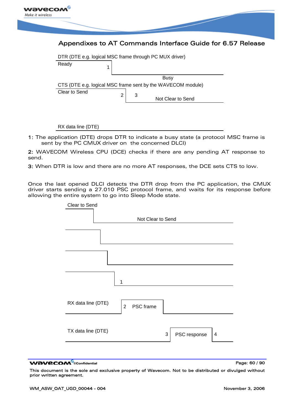

| DTR (DTE e.g. logical MSC frame through PC MUX driver) |  |        |  |                                                             |  |  |  |  |
|--------------------------------------------------------|--|--------|--|-------------------------------------------------------------|--|--|--|--|
| Ready                                                  |  |        |  |                                                             |  |  |  |  |
|                                                        |  |        |  |                                                             |  |  |  |  |
|                                                        |  | Busy   |  |                                                             |  |  |  |  |
|                                                        |  |        |  | CTS (DTE e.g. logical MSC frame sent by the WAVECOM module) |  |  |  |  |
| Clear to Send                                          |  |        |  |                                                             |  |  |  |  |
|                                                        |  | 2<br>3 |  | Not Clear to Send                                           |  |  |  |  |
|                                                        |  |        |  |                                                             |  |  |  |  |

RX data line (DTE)

1: The application (DTE) drops DTR to indicate a busy state (a protocol MSC frame is sent by the PC CMUX driver on the concerned DLCI)

2: WAVECOM Wireless CPU (DCE) checks if there are any pending AT response to send.

3: When DTR is low and there are no more AT responses, the DCE sets CTS to low.

Once the last opened DLCI detects the DTR drop from the PC application, the CMUX driver starts sending a 27.010 PSC protocol frame, and waits for its response before allowing the entire system to go into Sleep Mode state.



WƏVECOM<sup>S</sup> confidential **Page: 60 / 90**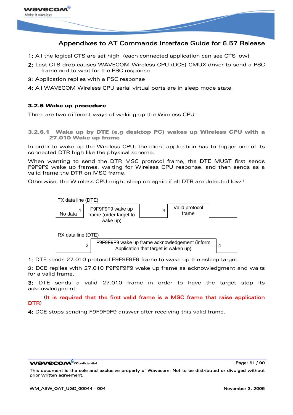

- 1: All the logical CTS are set high (each connected application can see CTS low)
- 2: Last CTS drop causes WAVECOM Wireless CPU (DCE) CMUX driver to send a PSC frame and to wait for the PSC response.
- 3: Application replies with a PSC response
- 4: All WAVECOM Wireless CPU serial virtual ports are in sleep mode state.

### 3.2.6 Wake up procedure

There are two different ways of waking up the Wireless CPU:

3.2.6.1 Wake up by DTE (e.g desktop PC) wakes up Wireless CPU with a 27.010 Wake up frame

In order to wake up the Wireless CPU, the client application has to trigger one of its connected DTR high like the physical scheme.

When wanting to send the DTR MSC protocol frame, the DTE MUST first sends F9F9F9 wake up frames, waiting for Wireless CPU response, and then sends as a valid frame the DTR on MSC frame.

Otherwise, the Wireless CPU might sleep on again if all DTR are detected low !



1: DTE sends 27.010 protocol F9F9F9F9 frame to wake up the asleep target.

2: DCE replies with 27.010 F9F9F9F9 wake up frame as acknowledgment and waits for a valid frame.

3: DTE sends a valid 27.010 frame in order to have the target stop its acknowledgment.

 (It is required that the first valid frame is a MSC frame that raise application DTR)

4: DCE stops sending F9F9F9F9 answer after receiving this valid frame.

#### **WƏVECOM** ©confidential Page: 61 / 90

This document is the sole and exclusive property of Wavecom. Not to be distributed or divulged without prior written agreement.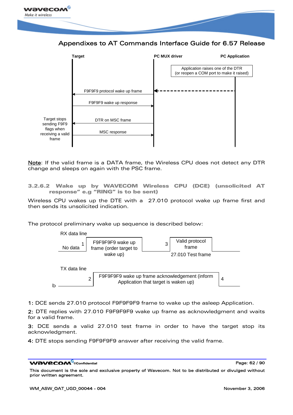

Appendixes to AT Commands Interface Guide for 6.57 Release



Note: If the valid frame is a DATA frame, the Wireless CPU does not detect any DTR change and sleeps on again with the PSC frame.

3.2.6.2 Wake up by WAVECOM Wireless CPU (DCE) (unsolicited AT response" e.g "RING" is to be sent)

Wireless CPU wakes up the DTE with a 27.010 protocol wake up frame first and then sends its unsolicited indication.

The protocol preliminary wake up sequence is described below:



1: DCE sends 27.010 protocol F9F9F9F9 frame to wake up the asleep Application.

2: DTE replies with 27.010 F9F9F9F9 wake up frame as acknowledgment and waits for a valid frame.

3: DCE sends a valid 27.010 test frame in order to have the target stop its acknowledgment.

4: DTE stops sending F9F9F9F9 answer after receiving the valid frame.

#### **WƏVECOM** ©confidential Page: 62 / 90

This document is the sole and exclusive property of Wavecom. Not to be distributed or divulged without prior written agreement.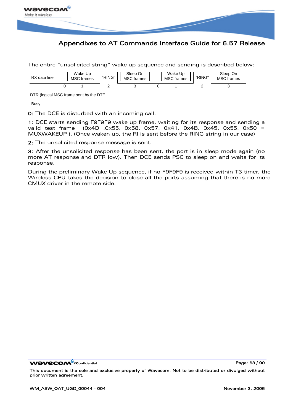

The entire "unsolicited string" wake up sequence and sending is described below: RX data line Wake Up Wake Up<br>MSC frames FRING" MSC frames MSC frames MSC frames WASC frames MSC frames MSC frames MSC frames MSC frames MSC MSC frames Sleep On "RING" | | MSC frames | | MSC frames | | "RING" | | MSC frames Sleep On DTR (logical MSC frame sent by the DTE Busy 0 1 2 3 0 1 2 3

0: The DCE is disturbed with an incoming call.

1: DCE starts sending F9F9F9 wake up frame, waiting for its response and sending a valid test frame (0x4D ,0x55, 0x58, 0x57, 0x41, 0x4B, 0x45, 0x55, 0x50 = MUXWAKEUP ). (Once waken up, the RI is sent before the RING string in our case)

2: The unsolicited response message is sent.

3: After the unsolicited response has been sent, the port is in sleep mode again (no more AT response and DTR low). Then DCE sends PSC to sleep on and waits for its response.

During the preliminary Wake Up sequence, if no F9F9F9 is received within T3 timer, the Wireless CPU takes the decision to close all the ports assuming that there is no more CMUX driver in the remote side.

WƏVECOM<sup>S</sup>confidential **Page: 63 / 90**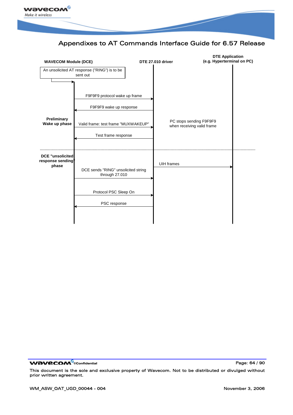



WƏVECOM<sup>S</sup> confidential **Page: 64 / 90**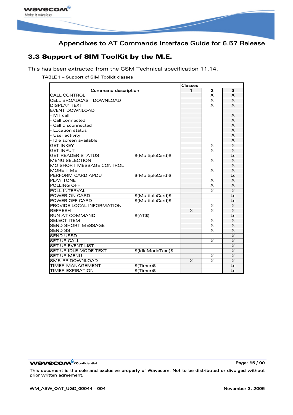

# 3.3 Support of SIM ToolKit by the M.E.

This has been extracted from the GSM Technical specification 11.14.

### TABLE 1 – Support of SIM Toolkit classes

|                            |                    | <b>Classes</b> |                         |                         |  |  |  |
|----------------------------|--------------------|----------------|-------------------------|-------------------------|--|--|--|
| <b>Command description</b> |                    | 1              | $\mathbf{2}$            | з                       |  |  |  |
| <b>CALL CONTROL</b>        |                    |                | $\overline{\mathsf{x}}$ | $\times$                |  |  |  |
| CELL BROADCAST DOWNLOAD    |                    |                | $\times$                | $\mathsf{x}$            |  |  |  |
| <b>DISPLAY TEXT</b>        |                    |                | $\boldsymbol{\times}$   | $\overline{\mathsf{x}}$ |  |  |  |
| <b>EVENT DOWNLOAD</b>      |                    |                |                         |                         |  |  |  |
| - MT call                  |                    |                |                         | X                       |  |  |  |
| - Call connected           |                    |                |                         | $\times$                |  |  |  |
| - Call disconnected        |                    |                |                         | $\times$                |  |  |  |
| - Location status          |                    |                |                         | $\boldsymbol{\times}$   |  |  |  |
| - User activity            |                    |                |                         | $\boldsymbol{\times}$   |  |  |  |
| - Idle screen available    |                    |                |                         | $\boldsymbol{\times}$   |  |  |  |
| <b>GET INKEY</b>           |                    |                | X                       | $\overline{\mathsf{x}}$ |  |  |  |
| <b>GET INPUT</b>           |                    |                | $\times$                | $\overline{\mathsf{x}}$ |  |  |  |
| <b>GET READER STATUS</b>   | \$(MultipleCard)\$ |                |                         | Lc                      |  |  |  |
| <b>MENU SELECTION</b>      |                    |                | $\times$                | $\times$                |  |  |  |
| MO SHORT MESSAGE CONTROL   |                    |                |                         | X                       |  |  |  |
| <b>MORE TIME</b>           |                    |                | X                       | $\times$                |  |  |  |
| PERFORM CARD APDU          | \$(MultipleCard)\$ |                |                         | Lc                      |  |  |  |
| <b>PLAY TONE</b>           |                    |                | X                       | X                       |  |  |  |
| POLLING OFF                |                    |                | $\times$                | $\overline{\mathsf{x}}$ |  |  |  |
| POLL INTERVAL              |                    |                | $\overline{\mathsf{x}}$ | $\overline{\mathsf{x}}$ |  |  |  |
| POWER ON CARD              | \$(MultipleCard)\$ |                |                         | Lc                      |  |  |  |
| POWER OFF CARD             | \$(MultipleCard)\$ |                |                         | Lc                      |  |  |  |
| PROVIDE LOCAL INFORMATION  |                    |                | $\times$                | $\times$                |  |  |  |
| <b>REFRESH</b>             |                    | X              | $\overline{\mathsf{x}}$ | $\times$                |  |  |  |
| <b>RUN AT COMMAND</b>      | $$$ (AT $$$ )      |                |                         | Lc                      |  |  |  |
| <b>SELECT ITEM</b>         |                    |                | X                       | $\times$                |  |  |  |
| <b>SEND SHORT MESSAGE</b>  |                    |                | $\overline{\mathsf{x}}$ | $\mathsf{x}$            |  |  |  |
| <b>SEND SS</b>             |                    |                | $\times$                | $\times$                |  |  |  |
| <b>SEND USSD</b>           |                    |                |                         | $\overline{\mathsf{x}}$ |  |  |  |
| <b>SET UP CALL</b>         |                    |                | $\times$                | $\overline{\mathsf{x}}$ |  |  |  |
| <b>SET UP EVENT LIST</b>   |                    |                |                         | $\overline{\mathsf{x}}$ |  |  |  |
| SET UP IDLE MODE TEXT      | \$(IdleModeText)\$ |                |                         | $\boldsymbol{\times}$   |  |  |  |
| <b>SET UP MENU</b>         |                    |                | X                       | $\overline{\mathsf{x}}$ |  |  |  |
| <b>SMS-PP DOWNLOAD</b>     |                    | $\times$       | $\times$                | $\times$                |  |  |  |
| <b>TIMER MANAGEMENT</b>    | $$$ (Timer) $$$    |                |                         | Lc                      |  |  |  |
| <b>TIMER EXPIRATION</b>    | $$$ (Timer) $$$    |                |                         | Lc                      |  |  |  |

**WAVECOM**<sup>®</sup>cconfidential **Page: 65 / 90**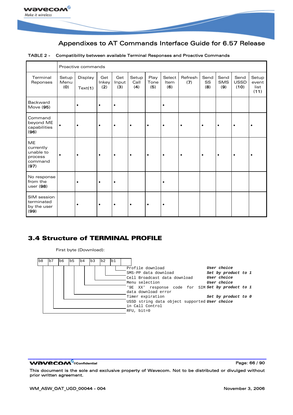

|                                                            |                      | Proactive commands |                     |                     |                      |                     |                       |                |                   |                    |                             |                                |
|------------------------------------------------------------|----------------------|--------------------|---------------------|---------------------|----------------------|---------------------|-----------------------|----------------|-------------------|--------------------|-----------------------------|--------------------------------|
| Terminal<br>Reponses                                       | Setup<br>Menu<br>(O) | Display<br>Text(1) | Get<br>Inkey<br>(2) | Get<br>Input<br>(3) | Setup<br>Call<br>(4) | Play<br>Tone<br>(5) | Select<br>Item<br>(6) | Refresh<br>(7) | Send<br>SS<br>(8) | Send<br>SMS<br>(9) | Send<br><b>USSD</b><br>(10) | Setup<br>event<br>list<br>(11) |
| Backward<br>Move (95)                                      |                      | $\bullet$          | $\bullet$           | $\bullet$           |                      |                     | $\bullet$             |                |                   |                    |                             |                                |
| Command<br>beyond ME<br>capabilities<br>(96)               | ٠                    | ٠                  | $\bullet$           | $\bullet$           | $\bullet$            | $\bullet$           | $\bullet$             |                | $\bullet$         | $\bullet$          | $\bullet$                   |                                |
| ME<br>currently<br>unable to<br>process<br>command<br>(97) | $\bullet$            | $\bullet$          | $\bullet$           | $\bullet$           | $\bullet$            | $\bullet$           | $\bullet$             |                | $\bullet$         | $\bullet$          | $\bullet$                   |                                |
| No response<br>from the<br>user (98)                       |                      | ٠                  | $\bullet$           | $\bullet$           |                      |                     | $\bullet$             |                |                   |                    |                             |                                |
| SIM session<br>terminated<br>by the user<br>(99)           |                      | ٠                  | $\bullet$           | $\bullet$           | ٠                    | $\bullet$           | ٠                     |                |                   |                    |                             |                                |

#### TABLE 2 - Compatibility between available Terminal Responses and Proactive Commands

# 3.4 Structure of TERMINAL PROFILE

First byte (Download):



WƏVECOM<sup>S</sup>confidential **Page: 66 / 90**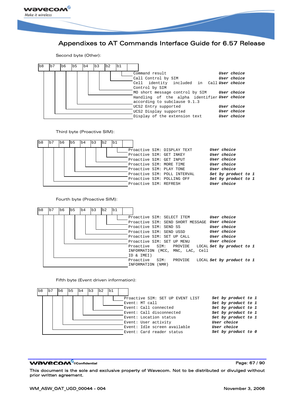

Second byte (Other):



**WƏVECOM**<sup>⊗</sup>confidential Page: 67 / 90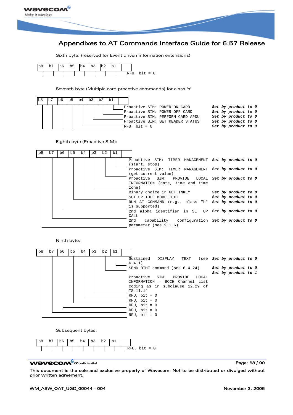

Sixth byte: (reserved for Event driven information extensions)



Seventh byte (Multiple card proactive commands) for class "a"

| b8 | Ib6 | b5 | lb4 | $\mathbf{b}$ 3 | $\mathbf{b}$ | lb1 |                                  |                     |  |
|----|-----|----|-----|----------------|--------------|-----|----------------------------------|---------------------|--|
|    |     |    |     |                |              |     | Proactive SIM: POWER ON CARD     | Set by product to 0 |  |
|    |     |    |     |                |              |     | Proactive SIM: POWER OFF CARD    | Set by product to 0 |  |
|    |     |    |     |                |              |     | Proactive SIM: PERFORM CARD APDU | Set by product to 0 |  |
|    |     |    |     |                |              |     | Proactive SIM: GET READER STATUS | Set by product to 0 |  |
|    |     |    |     |                |              |     | $RFU$ , bit = 0                  | Set by product to 0 |  |

Eighth byte (Proactive SIM):



Ninth byte:



Subsequent bytes:



#### **WƏVECOM**<sup>⊗</sup>confidential Page: 68 / 90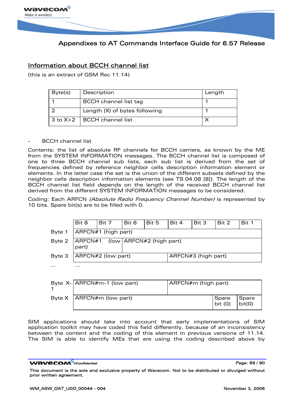

# Information about BCCH channel list

(this is an extract of GSM Rec 11.14)

| Byte(s) | Description                      | Length |
|---------|----------------------------------|--------|
|         | <b>BCCH</b> channel list tag     |        |
|         | Length (X) of bytes following    |        |
|         | $3$ to $X+2$   BCCH channel list |        |

#### BCCH channel list

Contents: the list of absolute RF channels for BCCH carriers, as known by the ME from the SYSTEM INFORMATION messages. The BCCH channel list is composed of one to three BCCH channel sub lists, each sub list is derived from the set of frequencies defined by reference neighbor cells description information element or elements. In the latter case the set is the union of the different subsets defined by the neighbor cells description information elements (see TS 04.08 [8]). The length of the BCCH channel list field depends on the length of the received BCCH channel list derived from the different SYSTEM INFORMATION messages to be considered.

Coding: Each ARFCN (Absolute Radio Frequency Channel Number) is represented by 10 bits. Spare bit(s) are to be filled with 0.

|        | Bit 8                                       | Bit 7                 | Bit 6 | Bit 5 | Bit 4               | Bit 3 | Bit 2 | Bit 1 |  |  |  |  |
|--------|---------------------------------------------|-----------------------|-------|-------|---------------------|-------|-------|-------|--|--|--|--|
| Byte 1 | ARFCN#1 (high part)                         |                       |       |       |                     |       |       |       |  |  |  |  |
| Byte 2 | ARFCN#1 (low   ARFCN#2 (high part)<br>part) |                       |       |       |                     |       |       |       |  |  |  |  |
| Byte 3 |                                             | $ ARFCN#2$ (low part) |       |       | ARFCN#3 (high part) |       |       |       |  |  |  |  |
| .      | .                                           |                       |       |       |                     |       |       |       |  |  |  |  |

| Byte $X$ - $ARFCN#m-1$ (low part) | ARFCN#m (high part) |                    |                 |
|-----------------------------------|---------------------|--------------------|-----------------|
| Byte $X$   ARFCN#m (low part)     |                     | Spare<br>bit $(0)$ | Spare<br>bit(0) |

SIM applications should take into account that early implementations of SIM application toolkit may have coded this field differently, because of an inconsistency between the content and the coding of this element in previous versions of 11.14. The SIM is able to identify MEs that are using the coding described above by

**WƏVECOM**<sup>©</sup>confidential Page: 69 / 90

This document is the sole and exclusive property of Wavecom. Not to be distributed or divulged without prior written agreement.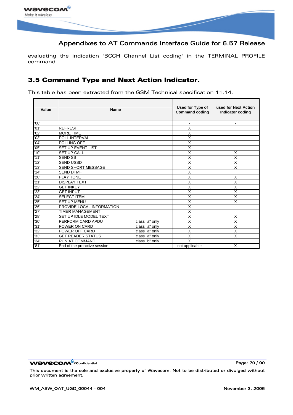

evaluating the indication "BCCH Channel List coding" in the TERMINAL PROFILE command.

# 3.5 Command Type and Next Action Indicator.

This table has been extracted from the GSM Technical specification 11.14.

| Value            | <b>Name</b>                  |                | Used for Type of<br><b>Command coding</b> | used for Next Action<br>Indicator coding |  |
|------------------|------------------------------|----------------|-------------------------------------------|------------------------------------------|--|
| '00'             |                              |                | $\blacksquare$                            | $\blacksquare$                           |  |
| '01'             | <b>REFRESH</b>               |                | X                                         |                                          |  |
| '02'             | <b>MORE TIME</b>             |                | X                                         |                                          |  |
| '03'             | POLL INTERVAL                |                | X                                         |                                          |  |
| 04'              | POLLING OFF                  |                | X                                         |                                          |  |
| '05'             | <b>SET UP EVENT LIST</b>     |                | X                                         |                                          |  |
| '10'             | <b>SET UP CALL</b>           |                | X                                         | X                                        |  |
| '11'             | <b>SEND SS</b>               |                | X                                         | X                                        |  |
| '12'             | <b>SEND USSD</b>             |                | X                                         | X                                        |  |
| '13'             | <b>SEND SHORT MESSAGE</b>    |                | X                                         | X                                        |  |
| '14'             | <b>SEND DTMF</b>             |                | X                                         |                                          |  |
| '20'             | <b>PLAY TONE</b>             |                | Χ                                         | X                                        |  |
| '21'             | <b>DISPLAY TEXT</b>          |                | $\overline{\mathsf{x}}$                   | X                                        |  |
| $\frac{22}{23}$  | <b>GET INKEY</b>             |                | X                                         | X                                        |  |
|                  | <b>GET INPUT</b>             |                | X                                         | X                                        |  |
| $\frac{24}{25}$  | <b>SELECT ITEM</b>           |                | X                                         | $\times$                                 |  |
|                  | <b>SET UP MENU</b>           |                | X                                         | X                                        |  |
| $\frac{26}{27}$  | PROVIDE LOCAL INFORMATION    |                | X                                         |                                          |  |
|                  | <b>TIMER MANAGEMENT</b>      |                | X                                         |                                          |  |
| 28'              | SET UP IDLE MODEL TEXT       |                | X                                         | X                                        |  |
| '30'             | PERFORM CARD APDU            | class "a" only | X                                         | X                                        |  |
| '31'             | POWER ON CARD                | class "a" only | Χ                                         | X                                        |  |
| $\frac{132}{33}$ | POWER OFF CARD               | class "a" only | X                                         | X                                        |  |
|                  | <b>GET READER STATUS</b>     | class "a" only | $\overline{\mathsf{x}}$                   | $\overline{\mathsf{x}}$                  |  |
| '34'             | <b>RUN AT COMMAND</b>        | class "b" only | $\overline{\mathsf{x}}$                   |                                          |  |
| '81'             | End of the proactive session |                | not applicable                            | X                                        |  |

**WAVECOM**<sup>®</sup>confidential **Page: 70 / 90** Page: 70 / 90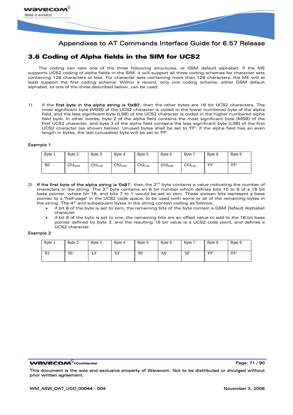

# 3.6 Coding of Alpha fields in the SIM for UCS2

The coding can take one of the three following structures, or GSM default alphabet. If the ME supports UCS2 coding of alpha fields in the SIM, it will support all three coding schemes for character sets containing 128 characters or less. For character sets containing more than 128 characters, the ME will at least support the first coding scheme. Within a record, only one coding scheme, either GSM default alphabet, or one of the three described below, can be used.

1) If the first byte in the alpha string is '0x80', then the other bytes are 16 bit UCS2 characters. The most significant byte (MSB) of the UCS2 character is coded in the lower numbered byte of the alpha field, and the less significant byte (LSB) of the UCS2 character is coded in the higher numbered alpha field byte. In other words, byte 2 of the alpha field contains the most significant byte (MSB) of the first UCS2 character, and byte 3 of the alpha field contains the less significant byte (LSB) of the first UCS2 character (as shown below). Unused bytes shall be set to 'FF': if the alpha field has an even length in bytes, the last (unusable) byte will be set to 'FF'.

#### Example 1

| Byte 1 | Byte 2      | Byte 3      | Byte 4      | Byte 5      | Byte 6      | Byte 7      | Byte 8 | Byte 9 |
|--------|-------------|-------------|-------------|-------------|-------------|-------------|--------|--------|
| '80'   | $Ch1_{MSB}$ | $Ch1_{LSB}$ | $Ch2_{MSB}$ | $Ch2_{LSB}$ | $Ch3_{MSB}$ | $Ch3_{LSB}$ | 'FF'   | 'FF'   |

- 2) If the first byte of the alpha string is '0x81', then the  $2^{nd}$  byte contains a value indicating the number of characters in the string. The  $3^{rd}$  byte contains an 8 bit number which defines bits 15 to 8 of a 16 bit base pointer, where bit 16, and bits 7 to 1 would be set to zero. These sixteen bits represent a base pointer to a "half-page" in the UCS2 code space, to be used with some or all of the remaining bytes in the string. The 4<sup>th</sup> and subsequent bytes in the string contain coding as follows:
	- if bit 8 of the byte is set to zero, the remaining bits of the byte contain a GSM Default Alphabet character
	- if bit 8 of the byte is set to one, the remaining bits are an offset value to add to the 16 bit base pointer defined by byte 3, and the resulting 16 bit value is a UCS2 code point, and defines a UCS2 character.

#### Example 2

| Byte 1 | Byte 2 | Byte 3 | Byte 4 | Byte 5 | Byte 6 | Byte 7 | Byte 8 | Byte 9 |
|--------|--------|--------|--------|--------|--------|--------|--------|--------|
| '81'   | '05'   | '13'   | '53'   | '95'   | 'A6'   | '28'   | 'FF'   | 'FF'   |

#### **WƏVECOM** ©confidential Page: 71 / 90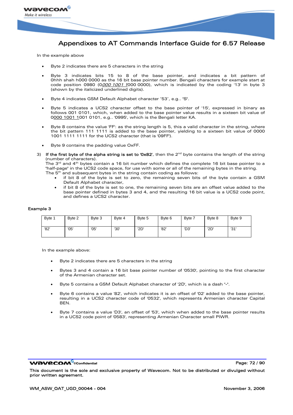

In the example above

- Byte 2 indicates there are 5 characters in the string
- Byte 3 indicates bits 15 to 8 of the base pointer, and indicates a bit pattern of 0hhh shah h000 0000 as the 16 bit base pointer number. Bengali characters for example start at code position 0980 (0000 1001 1000 0000), which is indicated by the coding '13' in byte 3 (shown by the italicized underlined digits).
- Byte 4 indicates GSM Default Alphabet character '53', e.g.. "S".
- Byte 5 indicates a UCS2 character offset to the base pointer of '15', expressed in binary as follows 001 0101, which, when added to the base pointer value results in a sixteen bit value of 0000 1001 1001 0101, e.g.. '0995', which is the Bengali letter KA.
- Byte 8 contains the value 'FF': as the string length is 5, this a valid character in the string, where the bit pattern 111 1111 is added to the base pointer, yielding to a sixteen bit value of 0000 1001 1111 1111 for the UCS2 character (that is '09FF').
- Byte 9 contains the padding value OxFF.
- 3) If the first byte of the alpha string is set to '0x82', then the  $2<sup>nd</sup>$  byte contains the length of the string (number of characters).

The 3<sup>rd</sup> and 4<sup>th</sup> bytes contain a 16 bit number which defines the complete 16 bit base pointer to a "half-page" in the UCS2 code space, for use with some or all of the remaining bytes in the string.

- The  $5<sup>th</sup>$  and subsequent bytes in the string contain coding as follows:
	- if bit 8 of the byte is set to zero, the remaining seven bits of the byte contain a GSM Default Alphabet character,
	- if bit 8 of the byte is set to one, the remaining seven bits are an offset value added to the base pointer defined in bytes 3 and 4, and the resulting 16 bit value is a UCS2 code point, and defines a UCS2 character.

#### Example 3

| Byte 1 | Byte 2 | Byte 3 | Byte 4 | Byte 5 | Byte 6 | Byte 7 | Byte 8 | Byte 9 |
|--------|--------|--------|--------|--------|--------|--------|--------|--------|
| '82'   | '05'   | '05'   | '30'   | '2D'   | '82'   | 'D3'   | '2D    | '31'   |

In the example above:

- Byte 2 indicates there are 5 characters in the string
- Bytes 3 and 4 contain a 16 bit base pointer number of '0530', pointing to the first character of the Armenian character set.
- Byte 5 contains a GSM Default Alphabet character of '2D', which is a dash "-".
- Byte 6 contains a value '82', which indicates it is an offset of '02' added to the base pointer, resulting in a UCS2 character code of '0532', which represents Armenian character Capital BEN.
- Byte 7 contains a value 'D3', an offset of '53', which when added to the base pointer results in a UCS2 code point of '0583', representing Armenian Character small PIWR.

**WƏVECOM** ©confidential Page: 72 / 90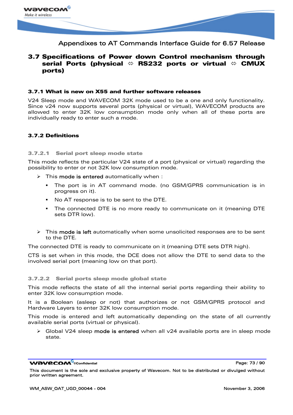

### 3.7 Specifications of Power down Control mechanism through serial Ports (physical  $\Leftrightarrow$  RS232 ports or virtual  $\Leftrightarrow$  CMUX ports)

#### 3.7.1 What is new on X55 and further software releases

V24 Sleep mode and WAVECOM 32K mode used to be a one and only functionality. Since v24 now supports several ports (physical or virtual), WAVECOM products are allowed to enter 32K low consumption mode only when all of these ports are individually ready to enter such a mode.

#### 3.7.2 Definitions

#### 3.7.2.1 Serial port sleep mode state

This mode reflects the particular V24 state of a port (physical or virtual) regarding the possibility to enter or not 32K low consumption mode.

- This **mode is entered** automatically when :
	- The port is in AT command mode. (no GSM/GPRS communication is in progress on it).
	- No AT response is to be sent to the DTE.
	- The connected DTE is no more ready to communicate on it (meaning DTE sets DTR low).
- $\triangleright$  This mode is left automatically when some unsolicited responses are to be sent to the DTE.

The connected DTE is ready to communicate on it (meaning DTE sets DTR high).

CTS is set when in this mode, the DCE does not allow the DTE to send data to the involved serial port (meaning low on that port).

#### 3.7.2.2 Serial ports sleep mode global state

This mode reflects the state of all the internal serial ports regarding their ability to enter 32K low consumption mode.

It is a Boolean (asleep or not) that authorizes or not GSM/GPRS protocol and Hardware Layers to enter 32K low consumption mode.

This mode is entered and left automatically depending on the state of all currently available serial ports (virtual or physical).

Global V24 sleep mode is entered when all v24 available ports are in sleep mode state.

**WAVECOM**<sup>⊗</sup>confidential Page: 73 / 90

This document is the sole and exclusive property of Wavecom. Not to be distributed or divulged without prior written agreement.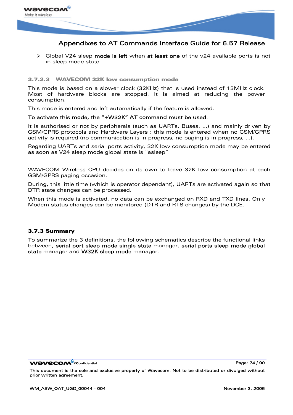

 $\triangleright$  Global V24 sleep mode is left when at least one of the v24 available ports is not in sleep mode state.

#### 3.7.2.3 WAVECOM 32K low consumption mode

This mode is based on a slower clock (32KHz) that is used instead of 13MHz clock. Most of hardware blocks are stopped. It is aimed at reducing the power consumption.

This mode is entered and left automatically if the feature is allowed.

#### To activate this mode, the "+W32K" AT command must be used.

It is authorised or not by peripherals (such as UARTs, Buses, …) and mainly driven by GSM/GPRS protocols and Hardware Layers : this mode is entered when no GSM/GPRS activity is required (no communication is in progress, no paging is in progress, …).

Regarding UARTs and serial ports activity, 32K low consumption mode may be entered as soon as V24 sleep mode global state is "asleep".

WAVECOM Wireless CPU decides on its own to leave 32K low consumption at each GSM/GPRS paging occasion.

During, this little time (which is operator dependant), UARTs are activated again so that DTR state changes can be processed.

When this mode is activated, no data can be exchanged on RXD and TXD lines. Only Modem status changes can be monitored (DTR and RTS changes) by the DCE.

#### 3.7.3 Summary

To summarize the 3 definitions, the following schematics describe the functional links between, serial port sleep mode single state manager, serial ports sleep mode global state manager and W32K sleep mode manager.

**WƏVECOM** ©confidential Page: 74 / 90

This document is the sole and exclusive property of Wavecom. Not to be distributed or divulged without prior written agreement.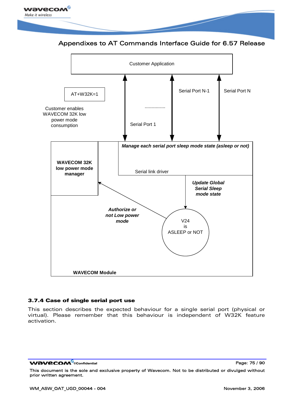<span id="page-75-0"></span>





#### 3.7.4 Case of single serial port use

This section describes the expected behaviour for a single serial port (physical or virtual). Please remember that this behaviour is independent of W32K feature activation.

**WƏVECOM**<sup>©</sup>confidential Page: 75 / 90

This document is the sole and exclusive property of Wavecom. Not to be distributed or divulged without prior written agreement.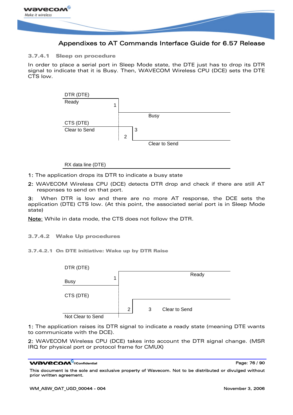

3.7.4.1 Sleep on procedure

In order to place a serial port in Sleep Mode state, the DTE just has to drop its DTR signal to indicate that it is Busy. Then, WAVECOM Wireless CPU (DCE) sets the DTE CTS low.



#### RX data line (DTE)

1: The application drops its DTR to indicate a busy state

2: WAVECOM Wireless CPU (DCE) detects DTR drop and check if there are still AT responses to send on that port.

3: When DTR is low and there are no more AT response, the DCE sets the application (DTE) CTS low. (At this point, the associated serial port is in Sleep Mode state)

Note: While in data mode, the CTS does not follow the DTR.

3.7.4.2 Wake Up procedures

3.7.4.2.1 On DTE initiative: Wake up by DTR Raise



1: The application raises its DTR signal to indicate a ready state (meaning DTE wants to communicate with the DCE).

2: WAVECOM Wireless CPU (DCE) takes into account the DTR signal change. (MSR IRQ for physical port or protocol frame for CMUX)

#### **WƏVECOM**<sup>⊗</sup>confidential Page: 76 / 90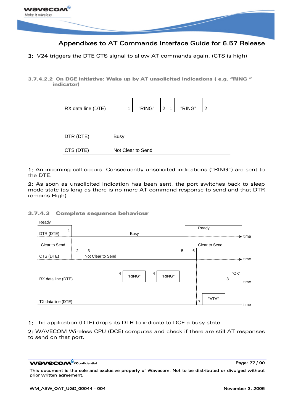

3: V24 triggers the DTE CTS signal to allow AT commands again. (CTS is high)

3.7.4.2.2 On DCE initiative: Wake up by AT unsolicited indications ( e.g. "RING " indicator)

| RX data line (DTE) | "RING"<br>"RING"<br>2 <sub>1</sub><br>2 |
|--------------------|-----------------------------------------|
| DTR (DTE)          | <b>Busy</b>                             |
| CTS (DTE)          | Not Clear to Send                       |

1: An incoming call occurs. Consequently unsolicited indications ("RING") are sent to the DTE.

2: As soon as unsolicited indication has been sent, the port switches back to sleep mode state (as long as there is no more AT command response to send and that DTR remains High)

#### 3.7.4.3 Complete sequence behaviour

| Ready              |                |                   |             |   |        |   |   |                         |      |                    |
|--------------------|----------------|-------------------|-------------|---|--------|---|---|-------------------------|------|--------------------|
| DTR (DTE)          |                |                   | <b>Busy</b> |   |        |   |   | Ready                   |      |                    |
|                    |                |                   |             |   |        |   |   |                         |      | $\rightarrow$ time |
| Clear to Send      |                |                   |             |   |        |   |   | Clear to Send           |      |                    |
|                    | $\overline{2}$ | 3                 |             |   |        | 5 | 6 |                         |      |                    |
| CTS (DTE)          |                | Not Clear to Send |             |   |        |   |   |                         |      | $\rightarrow$ time |
|                    |                |                   |             |   |        |   |   |                         |      |                    |
|                    |                |                   | 4<br>"RING" | 4 | "RING" |   |   |                         | "OK" |                    |
| RX data line (DTE) |                |                   |             |   |        |   |   |                         | 8    | time               |
|                    |                |                   |             |   |        |   |   |                         |      |                    |
|                    |                |                   |             |   |        |   |   |                         |      |                    |
| TX data line (DTE) |                |                   |             |   |        |   |   | "ATA"<br>$\overline{7}$ |      |                    |
|                    |                |                   |             |   |        |   |   |                         |      | time               |

1: The application (DTE) drops its DTR to indicate to DCE a busy state

2: WAVECOM Wireless CPU (DCE) computes and check if there are still AT responses to send on that port.

**WAVECOM**<sup>©</sup>confidential Page: 77 / 90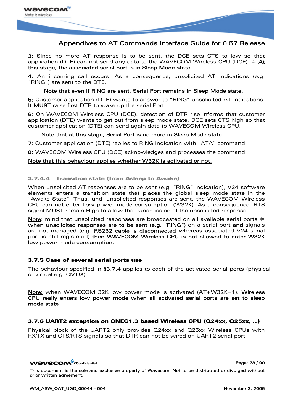

3: Since no more AT response is to be sent, the DCE sets CTS to low so that application (DTE) can not send any data to the WAVECOM Wireless CPU (DCE).  $\Leftrightarrow$  At this stage, the associated serial port is in Sleep Mode state.

4: An incoming call occurs. As a consequence, unsolicited AT indications (e.g. "RING") are sent to the DTE.

#### Note that even if RING are sent, Serial Port remains in Sleep Mode state.

5: Customer application (DTE) wants to answer to "RING" unsolicited AT indications. It MUST raise first DTR to wake up the serial Port.

6: On WAVECOM Wireless CPU (DCE), detection of DTR rise informs that customer application (DTE) wants to get out from sleep mode state. DCE sets CTS high so that customer application (DTE) can send again data to WAVECOM Wireless CPU.

#### Note that at this stage, Serial Port is no more in Sleep Mode state.

7: Customer application (DTE) replies to RING indication with "ATA" command.

8: WAVECOM Wireless CPU (DCE) acknowledges and processes the command.

#### Note that this behaviour applies whether W32K is activated or not.

#### 3.7.4.4 Transition state (from Asleep to Awake)

When unsolicited AT responses are to be sent (e.g. "RING" indication), V24 software elements enters a transition state that places the global sleep mode state in the "Awake State". Thus, until unsolicited responses are sent, the WAVECOM Wireless CPU can not enter Low power mode consumption (W32K). As a consequence, RTS signal MUST remain High to allow the transmission of the unsolicited response.

Note: mind that unsolicited responses are broadcasted on all available serial ports  $\Leftrightarrow$ when unsolicited responses are to be sent (e.g. "RING") on a serial port and signals are not managed (e.g. RS232 cable is disconnected whereas associated V24 serial port is still registered) then WAVECOM Wireless CPU is not allowed to enter W32K low power mode consumption.

#### 3.7.5 Case of several serial ports use

The behaviour specified in [§3.7.4](#page-75-0) applies to each of the activated serial ports (physical or virtual e.g. CMUX).

Note: when WAVECOM 32K low power mode is activated (AT+W32K=1), Wireless CPU really enters low power mode when all activated serial ports are set to sleep mode state.

#### 3.7.6 UART2 exception on ONEC1.3 based Wireless CPU (Q24xx, Q25xx, …)

Physical block of the UART2 only provides Q24xx and Q25xx Wireless CPUs with RX/TX and CTS/RTS signals so that DTR can not be wired on UART2 serial port.

#### **WƏVECOM**<sup>©</sup>confidential Page: 78 / 90

This document is the sole and exclusive property of Wavecom. Not to be distributed or divulged without prior written agreement.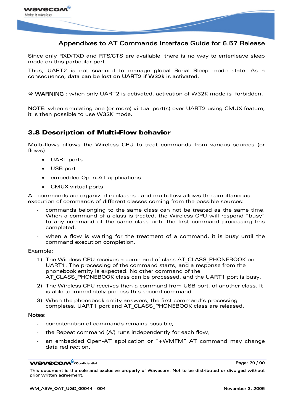

Since only RXD/TXD and RTS/CTS are available, there is no way to enter/leave sleep mode on this particular port.

Thus, UART2 is not scanned to manage global Serial Sleep mode state. As a consequence, data can be lost on UART2 if W32k is activated.

#### ⇔ WARNING : when only UART2 is activated, activation of W32K mode is forbidden.

NOTE: when emulating one (or more) virtual port(s) over UART2 using CMUX feature, it is then possible to use W32K mode.

### 3.8 Description of Multi-Flow behavior

Multi-flows allows the Wireless CPU to treat commands from various sources (or flows):

- UART ports
- USB port
- embedded Open-AT applications.
- CMUX virtual ports

AT commands are organized in classes , and multi-flow allows the simultaneous execution of commands of different classes coming from the possible sources:

- commands belonging to the same class can not be treated as the same time. When a command of a class is treated, the Wireless CPU will respond "busy" to any command of the same class until the first command processing has completed.
- when a flow is waiting for the treatment of a command, it is busy until the command execution completion.

Example:

- 1) The Wireless CPU receives a command of class AT CLASS PHONEBOOK on UART1. The processing of the command starts, and a response from the phonebook entity is expected. No other command of the AT CLASS PHONEBOOK class can be processed, and the UART1 port is busy.
- 2) The Wireless CPU receives then a command from USB port, of another class. It is able to immediately process this second command.
- 3) When the phonebook entity answers, the first command's processing completes. UART1 port and AT\_CLASS\_PHONEBOOK class are released.

#### Notes:

- concatenation of commands remains possible,
- the Repeat command (A) runs independently for each flow,
- an embedded Open-AT application or "+WMFM" AT command may change data redirection.

WƏVECOM<sup>S</sup>©confidential Page: 79 / 90

This document is the sole and exclusive property of Wavecom. Not to be distributed or divulged without prior written agreement.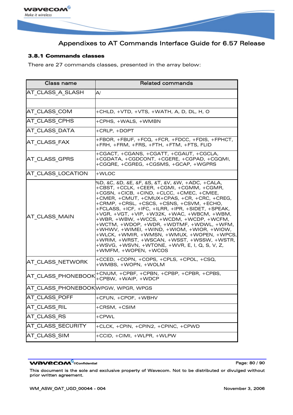

#### 3.8.1 Commands classes

There are 27 commands classes, presented in the array below:

| <b>Class name</b>                   | <b>Related commands</b>                                                                                                                                                                                                                                                                                                                                                                                                                                                                                                                                                                                                                                |
|-------------------------------------|--------------------------------------------------------------------------------------------------------------------------------------------------------------------------------------------------------------------------------------------------------------------------------------------------------------------------------------------------------------------------------------------------------------------------------------------------------------------------------------------------------------------------------------------------------------------------------------------------------------------------------------------------------|
| AT_CLASS_A_SLASH                    | $\mathsf{A}/\mathsf{A}$                                                                                                                                                                                                                                                                                                                                                                                                                                                                                                                                                                                                                                |
|                                     |                                                                                                                                                                                                                                                                                                                                                                                                                                                                                                                                                                                                                                                        |
| AT_CLASS_COM                        | +CHLD, +VTD, +VTS, +WATH, A, D, DL, H, O                                                                                                                                                                                                                                                                                                                                                                                                                                                                                                                                                                                                               |
| AT CLASS CPHS                       | +CPHS, +WALS, +WMBN                                                                                                                                                                                                                                                                                                                                                                                                                                                                                                                                                                                                                                    |
| AT CLASS DATA                       | +CRLP, +DOPT                                                                                                                                                                                                                                                                                                                                                                                                                                                                                                                                                                                                                                           |
| AT CLASS FAX                        | +FBOR, +FBUF, +FCQ, +FCR, +FDCC, +FDIS, +FPHCT,<br>+FRH, +FRM, +FRS, +FTH, +FTM, +FTS, FLID                                                                                                                                                                                                                                                                                                                                                                                                                                                                                                                                                            |
| AT_CLASS_GPRS                       | +CGACT, +CGANS, +CGATT, +CGAUT, +CGCLA,<br>+CGDATA, +CGDCONT, +CGERE, +CGPAD, +CGQMI,<br>+CGQRE, +CGREG, +CGSMS, +GCAP, +WGPRS                                                                                                                                                                                                                                                                                                                                                                                                                                                                                                                         |
| AT CLASS LOCATION                   | +WLOC                                                                                                                                                                                                                                                                                                                                                                                                                                                                                                                                                                                                                                                  |
| AT CLASS MAIN                       | %D, &C, &D, &E, &F, &S, &T, &V, &W, +ADC, +CALA,<br>+CBST, +CCLK, +CEER, +CGMI, +CGMM, +CGMR,<br>+CGSN, +CICB, +CIND, +CLCC, +CMEC, +CMEE,<br>+CMER, +CMUT, +CMUX+CPAS, +CR, +CRC, +CREG,<br>+CRMP, +CRSL, +CSCS, +CSNS, +CSVM, +ECHO,<br>+FCLASS, +ICF, +IFC, +ILRR, +IPR, +SIDET, +SPEAK,<br>$+VGR, +VGT, +VIP, +W32K, +WAC, +WBCM, +WBM,$<br>+WBR, +WBW, +WCCS, +WCDM, +WCDP, +WCFM,<br>+WCTM, +WDOP, +WDR, +WDTMF, +WDWL, +WFM,<br>+WHWV, +WIMEI, +WIND, +WIOM, +WIOR, +WIOW,<br>+WLCK, +WMIR, +WMSN, +WMUX, +WOPEN, +WPCS,<br>+WRIM, +WRST, +WSCAN, +WSST, +WSSW, +WSTR,<br>+WSVG, +WSVN, +WTONE, +WVR, E, I, Q, S, V, Z,<br>+WMFM, +WOPEN, +WCOS |
| AT CLASS NETWORK                    | +CCED, +COPN, +COPS, +CPLS, +CPOL, +CSQ,<br>+WMBS, +WOPN, +WOLM                                                                                                                                                                                                                                                                                                                                                                                                                                                                                                                                                                                        |
| AT CLASS PHONEBOOK                  | +CNUM, +CPBF, +CPBN, +CPBP, +CPBR, +CPBS,<br>+CPBW, +WAIP, +WDCP                                                                                                                                                                                                                                                                                                                                                                                                                                                                                                                                                                                       |
| AT CLASS PHONEBOOK WPGW, WPGR, WPGS |                                                                                                                                                                                                                                                                                                                                                                                                                                                                                                                                                                                                                                                        |
| AT CLASS POFF                       | +CFUN, +CPOF, +WBHV                                                                                                                                                                                                                                                                                                                                                                                                                                                                                                                                                                                                                                    |
| AT CLASS RIL                        | +CRSM, +CSIM                                                                                                                                                                                                                                                                                                                                                                                                                                                                                                                                                                                                                                           |
| AT_CLASS_RS                         | +CPWL                                                                                                                                                                                                                                                                                                                                                                                                                                                                                                                                                                                                                                                  |
| AT_CLASS_SECURITY                   | +CLCK, +CPIN, +CPIN2, +CPINC, +CPWD                                                                                                                                                                                                                                                                                                                                                                                                                                                                                                                                                                                                                    |
| AT_CLASS_SIM                        | +CCID, +CIMI, +WLPR, +WLPW                                                                                                                                                                                                                                                                                                                                                                                                                                                                                                                                                                                                                             |

#### WƏVECOM<sup>®</sup>cconfidential example of the example of the Page: 80 / 90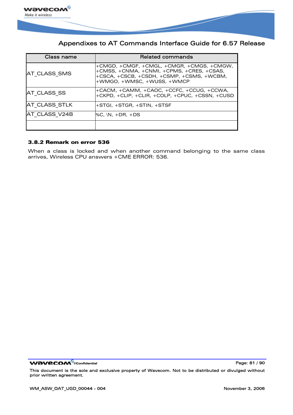

| Class name    | <b>Related commands</b>                                                                                                                                           |
|---------------|-------------------------------------------------------------------------------------------------------------------------------------------------------------------|
| AT CLASS SMS  | +CMGD, +CMGF, +CMGL, +CMGR, +CMGS, +CMGW,<br>+CMSS, +CNMA, +CNMI, +CPMS, +CRES, +CSAS,<br>+CSCA, +CSCB, +CSDH, +CSMP, +CSMS, +WCBM,<br>+WMGO, +WMSC, +WUSS, +WMCP |
| AT CLASS SS   | +CACM, +CAMM, +CAOC, +CCFC, +CCUG, +CCWA,<br>+CKPD, +CLIP, +CLIR, +COLP, +CPUC, +CSSN, +CUSD                                                                      |
| AT CLASS STLK | $+STGI. +STGR. +STIN. +STSF$                                                                                                                                      |
| AT CLASS V24B | $\%C. \ N. + DR. +DS$                                                                                                                                             |
|               |                                                                                                                                                                   |

#### 3.8.2 Remark on error 536

When a class is locked and when another command belonging to the same class arrives, Wireless CPU answers +CME ERROR: 536.

**WAVECOM**<sup>®</sup>confidential **Page: 81 / 90** Note that the end of the end of the end of the end of the end of the end of the end of the end of the end of the end of the end of the end of the end of the end of the end of the en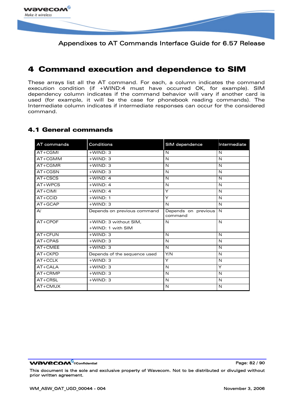

# 4 Command execution and dependence to SIM

These arrays list all the AT command. For each, a column indicates the command execution condition (if +WIND:4 must have occurred OK, for example). SIM dependency column indicates if the command behavior will vary if another card is used (for example, it will be the case for phonebook reading commands). The Intermediate column indicates if intermediate responses can occur for the considered command.

### 4.1 General commands

| AT commands | <b>Conditions</b>            | SIM dependence                 | Intermediate |
|-------------|------------------------------|--------------------------------|--------------|
| AT+CGMI     | $+$ WIND: 3                  | N                              | N            |
| AT+CGMM     | $+$ WIND: 3                  | N                              | N            |
| AT+CGMR     | $+$ WIND: 3                  | N                              | N            |
| $AT+CGSN$   | $+$ WIND: 3                  | N                              | N            |
| $AT+CSCS$   | $+$ WIND: 4                  | N                              | N            |
| AT+WPCS     | $+$ WIND: 4                  | N                              | N            |
| AT+CIMI     | $+$ WIND: 4                  | Y                              | N            |
| $AT+CCID$   | $+$ WIND: 1                  | Y                              | N            |
| $AT+GCAP$   | $+$ WIND: 3                  | N                              | N            |
| A/          | Depends on previous command  | Depends on previous<br>command | N            |
| $AT+CPOF$   | +WIND: 3 without SIM,        | N                              | N            |
|             | +WIND: 1 with SIM            |                                |              |
| AT+CFUN     | $+$ WIND: 3                  | N                              | N            |
| AT+CPAS     | $+$ WIND: 3                  | N                              | N            |
| AT+CMEE     | $+$ WIND: 3                  | $\mathsf{N}$                   | N            |
| AT+CKPD     | Depends of the sequence used | Y/N                            | N            |
| AT+CCLK     | $+$ WIND: 3                  | Y                              | N            |
| AT+CALA     | $+$ WIND: 3                  | N                              | Y            |
| AT+CRMP     | $+$ WIND: 3                  | N                              | N            |
| AT+CRSL     | $+$ WIND: 3                  | N                              | N            |
| AT+CMUX     |                              | N                              | N            |

**WƏVECOM**<sup>©</sup>confidential Page: 82 / 90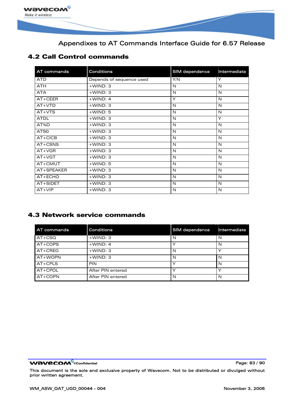

### 4.2 Call Control commands

| AT commands | <b>Conditions</b>        | SIM dependence | Intermediate |
|-------------|--------------------------|----------------|--------------|
| <b>ATD</b>  | Depends of sequence used | Y/N            | Y            |
| <b>ATH</b>  | $+$ WIND: 3              | N              | N            |
| <b>ATA</b>  | $+$ WIND: 3              | N              | N            |
| AT+CEER     | $+$ WIND: 4              | Y              | N            |
| $AT+VTD$    | $+$ WIND: 3              | N              | N            |
| $AT+VTS$    | $+$ WIND: 5              | N              | N            |
| <b>ATDL</b> | $+$ WIND: 3              | N              | Y            |
| AT%D        | $+$ WIND: 3              | N              | N            |
| ATS0        | $+$ WIND: 3              | N              | N            |
| $AT+CICB$   | $+$ WIND: 3              | N              | N            |
| $AT+CSNS$   | $+$ WIND: 3              | N              | $\mathsf{N}$ |
| $AT+VGR$    | $+$ WIND: 3              | N              | N            |
| $AT+VGT$    | $+$ WIND: 3              | N              | N            |
| AT+CMUT     | $+$ WIND: 5              | N              | N            |
| AT+SPEAKER  | $+$ WIND: 3              | N              | N            |
| AT+ECHO     | $+$ WIND: 3              | N              | $\mathsf{N}$ |
| AT+SIDET    | $+$ WIND: 3              | N              | N            |
| $AT+VIP$    | $+$ WIND: 3              | N              | N            |

### 4.3 Network service commands

| <b>AT commands</b> | <b>Conditions</b> | SIM dependence | Intermediate |
|--------------------|-------------------|----------------|--------------|
| $AT+CSQ$           | $+$ WIND: 3       | N              | N            |
| AT+COPS            | $+$ WIND: 4       |                | N            |
| AT+CREG            | $+$ WIND: 3       | N              | $\check{ }$  |
| AT+WOPN            | $+$ WIND: 3       | N              | N            |
| AT+CPLS            | <b>PIN</b>        |                | N            |
| AT+CPOL            | After PIN entered |                | ◡            |
| AT+COPN            | After PIN entered | N              | N            |

WƏVECOM<sup>®</sup>cconfidential example of the example of the Page: 83 / 90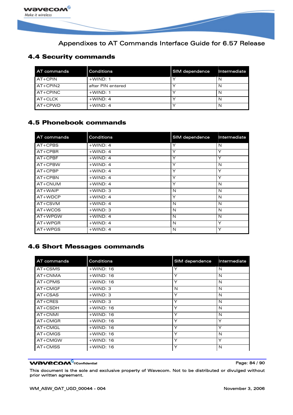

### 4.4 Security commands

| AT commands | Conditions        | SIM dependence | Intermediate |
|-------------|-------------------|----------------|--------------|
| $AT+CPIN$   | $+$ WIND: 1       |                |              |
| $AT+CPIN2$  | after PIN entered |                |              |
| $AT+CPINC$  | $+$ WIND: 1       |                |              |
| $AT+CLCK$   | $+$ WIND: 4       |                |              |
| $AT+CPWD$   | $+$ WIND: 4       |                | N            |

### 4.5 Phonebook commands

| AT commands | <b>Conditions</b> | <b>SIM</b> dependence | Intermediate |
|-------------|-------------------|-----------------------|--------------|
| $AT+CPBS$   | $+$ WIND: 4       | Υ                     | N            |
| $AT+CPBR$   | $+$ WIND: 4       | Υ                     | Y            |
| $AT+CPBF$   | $+$ WIND: 4       | Υ                     | Υ            |
| $AT+CPBW$   | $+$ WIND: 4       | Υ                     | N            |
| $AT+CPBP$   | $+$ WIND: 4       | Υ                     | Υ            |
| $AT+CPBN$   | $+$ WIND: 4       | Υ                     | Y            |
| $AT+CNUM$   | $+$ WIND: 4       | Υ                     | N            |
| $AT+WAIP$   | $+$ WIND: 3       | N                     | N            |
| $AT+WDCP$   | $+$ WIND: 4       | Υ                     | N            |
| $AT+CSVM$   | $+$ WIND: 4       | N                     | N            |
| $AT+WCOS$   | $+$ WIND: 3       | N                     | N            |
| AT+WPGW     | $+$ WIND: 4       | N                     | N            |
| $AT+WPGR$   | $+$ WIND: 4       | N                     | Υ            |
| $AT+WPGS$   | $+$ WIND: 4       | N                     | Υ            |

### 4.6 Short Messages commands

| AT commands | <b>Conditions</b> | SIM dependence | Intermediate |
|-------------|-------------------|----------------|--------------|
| $AT+CSMS$   | $+$ WIND: 16      | Υ              | N            |
| AT+CNMA     | $+$ WIND: 16      | Υ              | N            |
| $AT+CPMS$   | $+$ WIND: 16      | Υ              | N            |
| $AT+CMGF$   | $+$ WIND: 3       | N              | N            |
| $AT+CSAS$   | $+$ WIND: 3       | Υ              | N            |
| $AT+CRES$   | $+$ WIND: 3       | Υ              | N            |
| $AT+CSDH$   | $+$ WIND: 16      | Y              | N            |
| AT+CNMI     | $+$ WIND: 16      | Υ              | N            |
| $AT+CMGR$   | $+$ WIND: 16      | Υ              | Υ            |
| AT+CMGL     | $+$ WIND: 16      | Υ              | Υ            |
| $AT+CMGS$   | $+$ WIND: 16      | Υ              | N            |
| AT+CMGW     | $+$ WIND: 16      | Υ              | Υ            |
| $AT+CMSS$   | $+$ WIND: 16      | Υ              | N            |

#### WƏVECOM<sup>®</sup>cconfidential example of the example of the Page: 84 / 90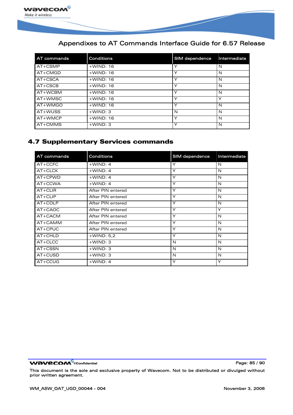

| AT commands | <b>Conditions</b> | <b>SIM dependence</b> | Intermediate |
|-------------|-------------------|-----------------------|--------------|
| $AT+CSMP$   | $+$ WIND: 16      | Υ                     | N            |
| $AT+CMGD$   | $+$ WIND: 16      | $\checkmark$          | N            |
| AT+CSCA     | $+$ WIND: 16      | $\checkmark$          | N            |
| $AT+CSCB$   | $+$ WIND: 16      | $\checkmark$          | N            |
| AT+WCBM     | $+$ WIND: 16      | $\checkmark$          | N            |
| AT+WMSC     | $+$ WIND: 16      | $\checkmark$          | Υ            |
| AT+WMGO     | $+$ WIND: 16      | Y                     | N            |
| AT+WUSS     | $+$ WIND: 3       | N                     | N            |
| AT+WMCP     | $+$ WIND: 16      | Y                     | N            |
| AT+CMMS     | $+$ WIND: 3       | ⋎                     | N            |

### 4.7 Supplementary Services commands

| AT commands | <b>Conditions</b> | SIM dependence | Intermediate |
|-------------|-------------------|----------------|--------------|
| $AT+CCFC$   | $+$ WIND: 4       | Y              | N            |
| $AT+CLCK$   | $+$ WIND: 4       | Y              | N            |
| $AT+CPWD$   | $+$ WIND: 4       | Y              | N            |
| AT+CCWA     | $+$ WIND: 4       | Y              | N            |
| $AT+CLIR$   | After PIN entered | Y              | N            |
| $AT+CLIP$   | After PIN entered | Y              | N            |
| AT+COLP     | After PIN entered | Y              | N            |
| AT+CAOC     | After PIN entered | Y              | Y            |
| $AT+CACM$   | After PIN entered | Y              | $\mathsf{N}$ |
| AT+CAMM     | After PIN entered | Y              | N            |
| $AT+CPUC$   | After PIN entered | Y              | N            |
| $AT+CHLD$   | $+$ WIND: 5,2     | Y              | N            |
| $AT+CLCC$   | $+$ WIND: 3       | N              | N            |
| $AT+CSSN$   | $+$ WIND: 3       | N              | N            |
| $AT+CUSD$   | $+$ WIND: 3       | N              | N            |
| $AT+CCUG$   | $+$ WIND: 4       | Y              | Υ            |

WƏVECOM<sup>®</sup>cconfidential example of the example of the Page: 85 / 90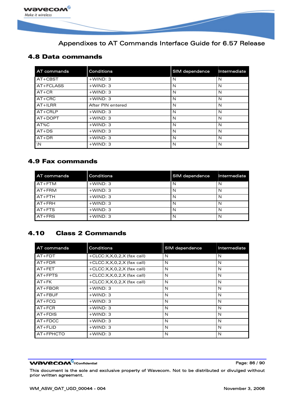

### 4.8 Data commands

| AT commands   | <b>Conditions</b> | SIM dependence | Intermediate |
|---------------|-------------------|----------------|--------------|
| $AT+CBST$     | $+$ WIND: 3       | N              | N            |
| AT+FCLASS     | $+$ WIND: 3       | N              | N            |
| $AT+CR$       | $+$ WIND: 3       | N              | N            |
| $AT+CRC$      | $+$ WIND: 3       | N              | N            |
| $AT+ILRR$     | After PIN entered | N              | N            |
| $AT+CRLP$     | $+$ WIND: 3       | N              | N            |
| $AT+DOPT$     | $+$ WIND: 3       | N              | N            |
| AT%C          | $+$ WIND: 3       | N              | N            |
| $AT+DS$       | $+$ WIND: 3       | N              | N            |
| $AT+DR$       | $+$ WIND: 3       | N              | N            |
| $\setminus N$ | $+$ WIND: 3       | N              | N            |

### 4.9 Fax commands

| <b>AT commands</b> | Conditions  | SIM dependence | Intermediate |
|--------------------|-------------|----------------|--------------|
| $AT+FTM$           | $+$ WIND: 3 |                | N            |
| AT+FRM             | $+$ WIND: 3 | N              | N            |
| $AT+FTH$           | $+$ WIND: 3 | N              | N            |
| $AT + FRH$         | $+$ WIND: 3 | N              | N            |
| $AT+FTS$           | $+$ WIND: 3 | N              | N            |
| $AT+FRS$           | $+$ WIND: 3 | N              | N            |

# 4.10 Class 2 Commands

| AT commands | <b>Conditions</b>             | SIM dependence | Intermediate |
|-------------|-------------------------------|----------------|--------------|
| $AT+FDT$    | +CLCC: $X,X,0,2,X$ (fax call) | N              | N            |
| $AT+FDR$    | $+CLCC:X,X,0,2,X$ (fax call)  | N              | N            |
| $AT + FET$  | $+CLCC:X,X,0,2,X$ (fax call)  | N              | N            |
| $AT+FPTS$   | $+CLCC:X,X,0,2,X$ (fax call)  | N              | N            |
| $AT+FK$     | $+CLCC:X,X,0,2,X$ (fax call)  | N              | N            |
| $AT + FBOR$ | $+$ WIND: 3                   | N              | N            |
| $AT + FBUF$ | $+$ WIND: 3                   | N              | N            |
| $AT+FCQ$    | $+$ WIND: 3                   | N              | N            |
| $AT+FCR$    | $+$ WIND: 3                   | N              | N            |
| $AT + FDIS$ | $+$ WIND: 3                   | N              | N            |
| $AT+FDCC$   | $+$ WIND: 3                   | N              | N            |
| $AT + FLID$ | $+$ WIND: 3                   | N              | N            |
| AT+FPHCTO   | $+$ WIND: 3                   | N              | N            |

#### WƏVECOM<sup>®</sup>cconfidential example of the example of the Page: 86 / 90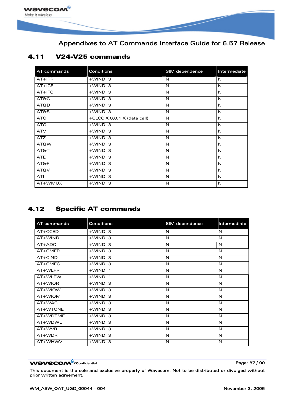

### 4.11 V24-V25 commands

| AT commands     | <b>Conditions</b>           | SIM dependence | Intermediate |
|-----------------|-----------------------------|----------------|--------------|
| $AT+IPR$        | $+$ WIND: 3                 | N              | N            |
| $AT+ICF$        | $+$ WIND: 3                 | N              | N            |
| $AT+IFC$        | $+$ WIND: 3                 | N              | N            |
| <b>AT&amp;C</b> | $+$ WIND: 3                 | N              | N            |
| <b>AT&amp;D</b> | $+$ WIND: 3                 | N              | N            |
| <b>AT&amp;S</b> | $+$ WIND: 3                 | N              | N            |
| <b>ATO</b>      | +CLCC:X,0,0,1,X (data call) | N              | N            |
| ATQ             | $+$ WIND: 3                 | N              | N            |
| <b>ATV</b>      | $+$ WIND: 3                 | N              | N            |
| <b>ATZ</b>      | $+$ WIND: 3                 | N              | N            |
| <b>AT&amp;W</b> | $+$ WIND: 3                 | N              | N            |
| <b>AT&amp;T</b> | $+$ WIND: 3                 | N              | N            |
| <b>ATE</b>      | $+$ WIND: 3                 | N              | N            |
| <b>AT&amp;F</b> | $+$ WIND: 3                 | N              | N            |
| <b>AT&amp;V</b> | $+$ WIND: 3                 | N              | N            |
| <b>ATI</b>      | $+$ WIND: 3                 | N              | N            |
| AT+WMUX         | $+$ WIND: 3                 | N              | N            |

# 4.12 Specific AT commands

| AT commands | <b>Conditions</b> | SIM dependence | Intermediate |
|-------------|-------------------|----------------|--------------|
| $AT+CCED$   | $+$ WIND: 3       | N              | N            |
| $AT+WIND$   | $+$ WIND: 3       | N              | N            |
| $AT+ADC$    | $+$ WIND: 3       | N              | N            |
| AT+CMER     | $+$ WIND: 3       | N              | N            |
| $AT+CIND$   | $+$ WIND: 3       | N              | N            |
| AT+CMEC     | $+$ WIND: 3       | N              | N            |
| AT+WLPR     | $+$ WIND: 1       | N              | N            |
| AT+WLPW     | $+$ WIND: 1       | N              | N            |
| AT+WIOR     | $+$ WIND: 3       | N              | N            |
| AT+WIOW     | $+$ WIND: 3       | N              | N            |
| AT+WIOM     | $+$ WIND: 3       | N              | N            |
| $AT+WAC$    | $+$ WIND: 3       | N              | N            |
| AT+WTONE    | $+$ WIND: 3       | N              | N            |
| AT+WDTMF    | $+$ WIND: 3       | N              | N            |
| AT+WDWL     | $+$ WIND: 3       | N              | N            |
| $AT+WVR$    | $+$ WIND: 3       | N              | N            |
| $AT+WDR$    | $+$ WIND: 3       | N              | N            |
| AT+WHWV     | $+$ WIND: 3       | N              | N            |

#### WƏVECOM<sup>®</sup>cconfidential example of the example of the Page: 87 / 90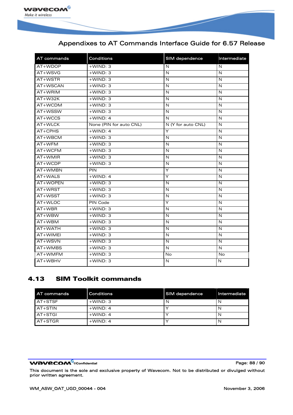

| AT commands | Conditions              | SIM dependence     | Intermediate            |
|-------------|-------------------------|--------------------|-------------------------|
| AT+WDOP     | $+$ WIND: 3             | N                  | $\mathsf{N}$            |
| AT+WSVG     | $+$ WIND: 3             | N                  | $\mathsf{N}$            |
| AT+WSTR     | $+WIND:3$               | N                  | $\mathsf{N}$            |
| AT+WSCAN    | $+$ WIND: 3             | N                  | $\mathsf{N}$            |
| AT+WRIM     | $+WIND:3$               | N                  | $\overline{\mathsf{N}}$ |
| AT+W32K     | $+$ WIND: 3             | N                  | $\mathsf{N}$            |
| AT+WCDM     | $+$ WIND: 3             | N                  | ${\sf N}$               |
| AT+WSSW     | $+WIND:3$               | N                  | $\mathsf{N}$            |
| AT+WCCS     | $+$ WIND: 4             | N                  | $\mathsf{N}$            |
| AT+WLCK     | None (PIN for auto CNL) | N (Y for auto CNL) | $\mathsf{N}$            |
| $AT+CPHS$   | $+$ WIND: 4             | Υ                  | $\mathsf{N}$            |
| AT+WBCM     | $+$ WIND: 3             | $\mathsf{N}$       | $\overline{N}$          |
| AT+WFM      | $+$ WIND: 3             | N                  | $\mathsf{N}$            |
| AT+WCFM     | $+$ WIND: 3             | N                  | $\mathsf{N}$            |
| AT+WMIR     | $+WIND:3$               | N                  | $\mathsf{N}$            |
| AT+WCDP     | $+$ WIND: 3             | N                  | N                       |
| AT+WMBN     | PIN                     | Y                  | N                       |
| AT+WALS     | $+$ WIND: 4             | Y                  | N                       |
| AT+WOPEN    | $+WIND:3$               | N                  | $\overline{\mathsf{N}}$ |
| AT+WRST     | $+$ WIND: 3             | N                  | $\mathsf{N}$            |
| AT+WSST     | $+$ WIND: 3             | N                  | $\mathsf{N}$            |
| AT+WLOC     | <b>PIN Code</b>         | Y                  | $\mathsf{N}$            |
| AT+WBR      | $+$ WIND: 3             | N                  | N                       |
| AT+WBW      | $+$ WIND: 3             | N                  | N                       |
| AT+WBM      | $+$ WIND: 3             | N                  | N                       |
| AT+WATH     | $+WIND:3$               | $\mathsf{N}$       | $\overline{\mathsf{N}}$ |
| AT+WIMEI    | $+$ WIND: 3             | $\mathsf{N}$       | $\mathsf{N}$            |
| AT+WSVN     | $+$ WIND: 3             | N                  | $\mathsf{N}$            |
| AT+WMBS     | $+$ WIND: 3             | $\mathsf{N}$       | $\mathsf{N}$            |
| AT+WMFM     | $+$ WIND: 3             | No                 | <b>No</b>               |
| AT+WBHV     | $+$ WIND: 3             | $\mathsf{N}$       | N                       |

### 4.13 SIM Toolkit commands

| <b>AT commands</b> | <b>Conditions</b> | SIM dependence | Intermediate |
|--------------------|-------------------|----------------|--------------|
| <b>AT+STSF</b>     | $+$ WIND: 3       |                | N            |
| LAT+STIN           | $+$ WIND: 4       |                |              |
| <b>AT+STGL</b>     | $+$ WIND: 4       |                |              |
| AT+STGR            | $+$ WIND: 4       |                | N            |

#### WƏVECOM<sup>®</sup>cconfidential example of the example of the Page: 88 / 90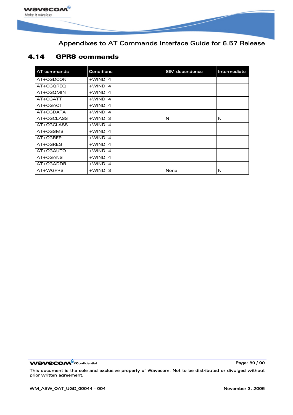

### 4.14 GPRS commands

| AT commands | <b>Conditions</b> | <b>SIM</b> dependence | Intermediate |
|-------------|-------------------|-----------------------|--------------|
| AT+CGDCONT  | $+$ WIND: 4       |                       |              |
| AT+CGQREQ   | $+$ WIND: 4       |                       |              |
| AT+CGOMIN   | $+$ WIND: 4       |                       |              |
| AT+CGATT    | $+$ WIND: 4       |                       |              |
| AT+CGACT    | $+$ WIND: 4       |                       |              |
| AT+CGDATA   | $+$ WIND: 4       |                       |              |
| AT+CGCLASS  | $+$ WIND: 3       | N                     | N            |
| AT+CGCLASS  | $+$ WIND: 4       |                       |              |
| AT+CGSMS    | $+$ WIND: 4       |                       |              |
| $AT+CGREP$  | $+$ WIND: 4       |                       |              |
| $AT+CGREG$  | $+$ WIND: 4       |                       |              |
| AT+CGAUTO   | $+$ WIND: 4       |                       |              |
| AT+CGANS    | $+$ WIND: 4       |                       |              |
| AT+CGADDR   | $+$ WIND: 4       |                       |              |
| AT+WGPRS    | $+$ WIND: 3       | None                  | N            |

WƏVECOM<sup>®</sup>cconfidential example of the example of the Page: 89 / 90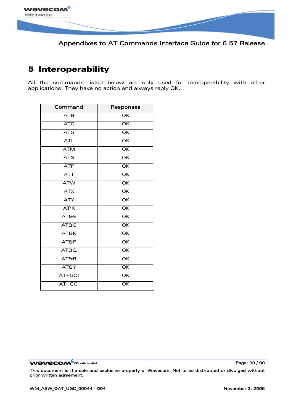

# 5 Interoperability

All the commands listed below are only used for interoperability with other applications. They have no action and always reply OK.

| Command         | Responses                |
|-----------------|--------------------------|
| <b>ATB</b>      | $\overline{OK}$          |
| <b>ATC</b>      | $\overline{\mathsf{OK}}$ |
| <b>ATG</b>      | $\overline{\mathsf{OK}}$ |
| <b>ATL</b>      | $\overline{\mathsf{OK}}$ |
| <b>ATM</b>      | $\overline{OK}$          |
| <b>ATN</b>      | $\overline{\mathsf{OK}}$ |
| <b>ATP</b>      | $\overline{OK}$          |
| <b>ATT</b>      | $\overline{\mathsf{OK}}$ |
| <b>ATW</b>      | $\overline{\mathsf{OK}}$ |
| <b>ATX</b>      | $\overline{\mathsf{OK}}$ |
| <b>ATY</b>      | $\overline{\mathsf{OK}}$ |
| ATK             | $\overline{\mathsf{OK}}$ |
| AT&E            | $\overline{\mathsf{OK}}$ |
| AT&G            | $\overline{\mathsf{OK}}$ |
| <b>AT&amp;K</b> | $\overline{\mathsf{OK}}$ |
| AT&P            | $\overline{\mathsf{OK}}$ |
| AT&Q            | $\overline{OK}$          |
| <b>AT&amp;R</b> | $\overline{\mathsf{OK}}$ |
| <b>AT&amp;Y</b> | $\overline{OK}$          |
| AT+GOI          | $\overline{\mathsf{OK}}$ |
| AT+GCI          | OK                       |

**WAVECOM**<sup>®</sup>confidential **Page: 90 / 90 Page: 90 / 90**